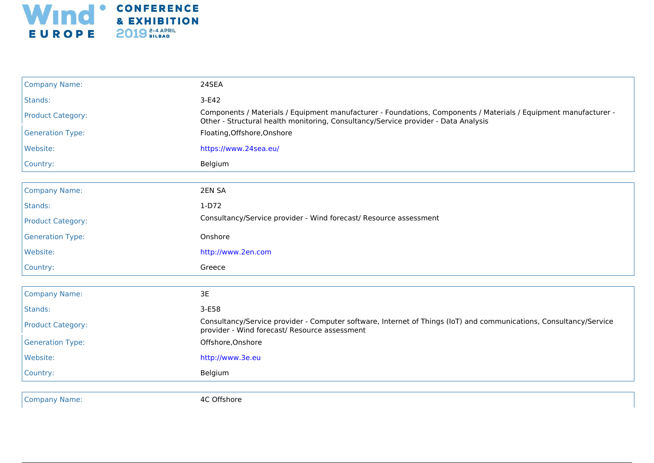

| <b>Company Name:</b>     | 24SEA                                                                                                                                                                                                  |
|--------------------------|--------------------------------------------------------------------------------------------------------------------------------------------------------------------------------------------------------|
| Stands:                  | $3-E42$                                                                                                                                                                                                |
| <b>Product Category:</b> | Components / Materials / Equipment manufacturer - Foundations, Components / Materials / Equipment manufacturer -<br>Other - Structural health monitoring, Consultancy/Service provider - Data Analysis |
| <b>Generation Type:</b>  | Floating, Offshore, Onshore                                                                                                                                                                            |
| Website:                 | https://www.24sea.eu/                                                                                                                                                                                  |
| Country:                 | Belgium                                                                                                                                                                                                |
|                          |                                                                                                                                                                                                        |
| <b>Company Name:</b>     | 2EN SA                                                                                                                                                                                                 |
| Stands:                  | $1-D72$                                                                                                                                                                                                |
| <b>Product Category:</b> | Consultancy/Service provider - Wind forecast/ Resource assessment                                                                                                                                      |
| <b>Generation Type:</b>  | Onshore                                                                                                                                                                                                |
| Website:                 | http://www.2en.com                                                                                                                                                                                     |
| Country:                 | Greece                                                                                                                                                                                                 |
|                          |                                                                                                                                                                                                        |
| <b>Company Name:</b>     | 3E                                                                                                                                                                                                     |
| Stands:                  | 3-E58                                                                                                                                                                                                  |
| <b>Product Category:</b> | Consultancy/Service provider - Computer software, Internet of Things (IoT) and communications, Consultancy/Service<br>provider - Wind forecast/ Resource assessment                                    |
| <b>Generation Type:</b>  | Offshore, Onshore                                                                                                                                                                                      |
| Website:                 | http://www.3e.eu                                                                                                                                                                                       |
| Country:                 | Belgium                                                                                                                                                                                                |
|                          |                                                                                                                                                                                                        |
| <b>Company Name:</b>     | 4C Offshore                                                                                                                                                                                            |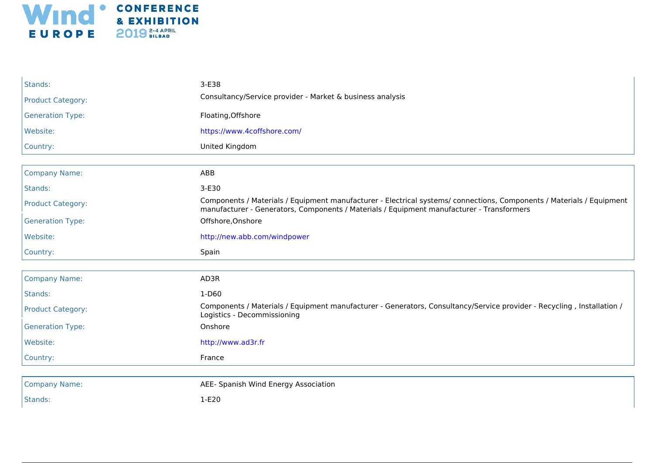

| Stands:                  | $3-E38$                                                                                                                                                                                                            |
|--------------------------|--------------------------------------------------------------------------------------------------------------------------------------------------------------------------------------------------------------------|
| <b>Product Category:</b> | Consultancy/Service provider - Market & business analysis                                                                                                                                                          |
| <b>Generation Type:</b>  | Floating, Offshore                                                                                                                                                                                                 |
| Website:                 | https://www.4coffshore.com/                                                                                                                                                                                        |
| Country:                 | United Kingdom                                                                                                                                                                                                     |
|                          |                                                                                                                                                                                                                    |
| <b>Company Name:</b>     | ABB                                                                                                                                                                                                                |
| Stands:                  | 3-E30                                                                                                                                                                                                              |
| <b>Product Category:</b> | Components / Materials / Equipment manufacturer - Electrical systems/ connections, Components / Materials / Equipment<br>manufacturer - Generators, Components / Materials / Equipment manufacturer - Transformers |
| <b>Generation Type:</b>  | Offshore, Onshore                                                                                                                                                                                                  |
| Website:                 | http://new.abb.com/windpower                                                                                                                                                                                       |
|                          |                                                                                                                                                                                                                    |
| Country:                 | Spain                                                                                                                                                                                                              |
|                          |                                                                                                                                                                                                                    |
| <b>Company Name:</b>     | AD3R                                                                                                                                                                                                               |
| Stands:                  | 1-D60                                                                                                                                                                                                              |
| <b>Product Category:</b> | Components / Materials / Equipment manufacturer - Generators, Consultancy/Service provider - Recycling, Installation /<br>Logistics - Decommissioning                                                              |
| <b>Generation Type:</b>  | Onshore                                                                                                                                                                                                            |
| Website:                 | http://www.ad3r.fr                                                                                                                                                                                                 |
| Country:                 | France                                                                                                                                                                                                             |
|                          |                                                                                                                                                                                                                    |
| <b>Company Name:</b>     | AEE- Spanish Wind Energy Association                                                                                                                                                                               |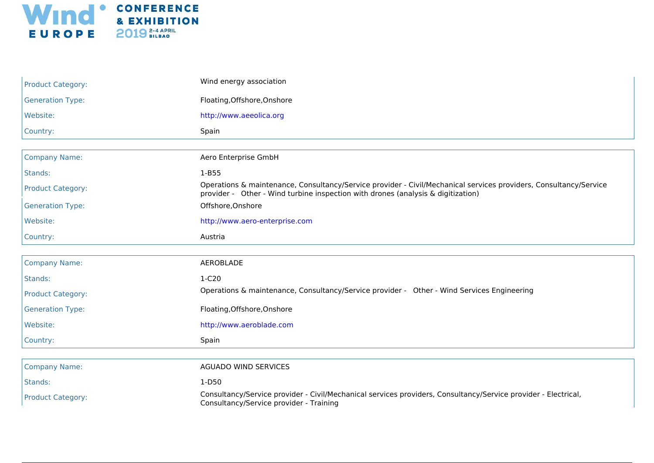

| <b>Product Category:</b> | Wind energy association                                                                                                                                                                               |
|--------------------------|-------------------------------------------------------------------------------------------------------------------------------------------------------------------------------------------------------|
| <b>Generation Type:</b>  | Floating, Offshore, Onshore                                                                                                                                                                           |
| Website:                 | http://www.aeeolica.org                                                                                                                                                                               |
| Country:                 | Spain                                                                                                                                                                                                 |
|                          |                                                                                                                                                                                                       |
| <b>Company Name:</b>     | Aero Enterprise GmbH                                                                                                                                                                                  |
| Stands:                  | $1 - B55$                                                                                                                                                                                             |
| <b>Product Category:</b> | Operations & maintenance, Consultancy/Service provider - Civil/Mechanical services providers, Consultancy/Service<br>provider - Other - Wind turbine inspection with drones (analysis & digitization) |
| <b>Generation Type:</b>  | Offshore, Onshore                                                                                                                                                                                     |
| Website:                 | http://www.aero-enterprise.com                                                                                                                                                                        |
| Country:                 | Austria                                                                                                                                                                                               |
|                          |                                                                                                                                                                                                       |
| <b>Company Name:</b>     | AEROBLADE                                                                                                                                                                                             |
| Stands:                  | $1-C20$                                                                                                                                                                                               |
| <b>Product Category:</b> | Operations & maintenance, Consultancy/Service provider - Other - Wind Services Engineering                                                                                                            |
| <b>Generation Type:</b>  | Floating, Offshore, Onshore                                                                                                                                                                           |
| Website:                 | http://www.aeroblade.com                                                                                                                                                                              |
| Country:                 | Spain                                                                                                                                                                                                 |
|                          |                                                                                                                                                                                                       |
| <b>Company Name:</b>     | <b>AGUADO WIND SERVICES</b>                                                                                                                                                                           |
| Stands:                  | $1-D50$                                                                                                                                                                                               |
| <b>Product Category:</b> | Consultancy/Service provider - Civil/Mechanical services providers, Consultancy/Service provider - Electrical,<br>Consultancy/Service provider - Training                                             |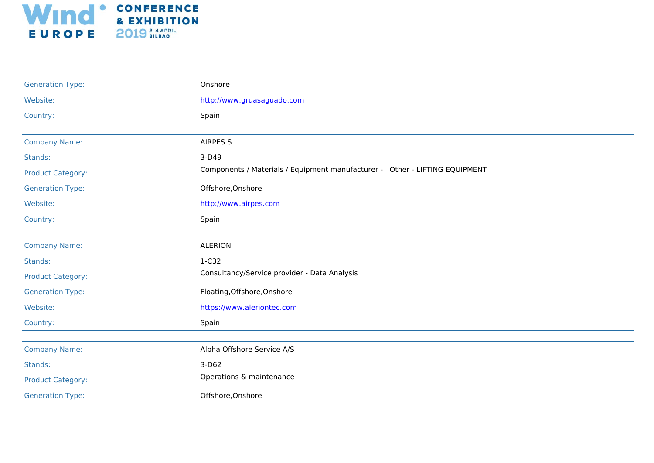

| <b>Generation Type:</b>  | Onshore                                                                     |
|--------------------------|-----------------------------------------------------------------------------|
| Website:                 | http://www.gruasaguado.com                                                  |
| Country:                 | Spain                                                                       |
|                          |                                                                             |
| <b>Company Name:</b>     | <b>AIRPES S.L</b>                                                           |
| Stands:                  | 3-D49                                                                       |
| <b>Product Category:</b> | Components / Materials / Equipment manufacturer - Other - LIFTING EQUIPMENT |
| <b>Generation Type:</b>  | Offshore, Onshore                                                           |
| Website:                 | http://www.airpes.com                                                       |
| Country:                 | Spain                                                                       |
|                          |                                                                             |
| <b>Company Name:</b>     | <b>ALERION</b>                                                              |
| Stands:                  | 1-C32                                                                       |
| <b>Product Category:</b> | Consultancy/Service provider - Data Analysis                                |
| <b>Generation Type:</b>  | Floating, Offshore, Onshore                                                 |
| Website:                 | https://www.aleriontec.com                                                  |
| Country:                 | Spain                                                                       |
|                          |                                                                             |
| <b>Company Name:</b>     | Alpha Offshore Service A/S                                                  |
| Stands:                  | $3-D62$                                                                     |
| <b>Product Category:</b> | Operations & maintenance                                                    |
| <b>Generation Type:</b>  | Offshore, Onshore                                                           |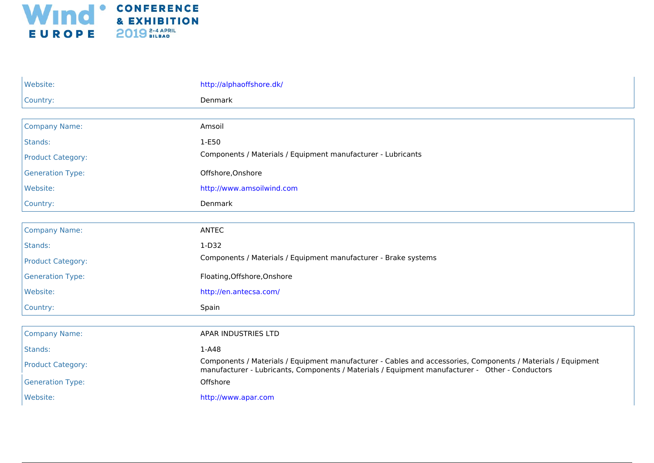

| Website:                 | http://alphaoffshore.dk/                                                                                                                                                                                        |
|--------------------------|-----------------------------------------------------------------------------------------------------------------------------------------------------------------------------------------------------------------|
| Country:                 | Denmark                                                                                                                                                                                                         |
|                          |                                                                                                                                                                                                                 |
| <b>Company Name:</b>     | Amsoil                                                                                                                                                                                                          |
| Stands:                  | 1-E50                                                                                                                                                                                                           |
| <b>Product Category:</b> | Components / Materials / Equipment manufacturer - Lubricants                                                                                                                                                    |
| <b>Generation Type:</b>  | Offshore, Onshore                                                                                                                                                                                               |
| Website:                 | http://www.amsoilwind.com                                                                                                                                                                                       |
| Country:                 | Denmark                                                                                                                                                                                                         |
|                          |                                                                                                                                                                                                                 |
| <b>Company Name:</b>     | <b>ANTEC</b>                                                                                                                                                                                                    |
| Stands:                  | $1-D32$                                                                                                                                                                                                         |
| <b>Product Category:</b> | Components / Materials / Equipment manufacturer - Brake systems                                                                                                                                                 |
| <b>Generation Type:</b>  | Floating, Offshore, Onshore                                                                                                                                                                                     |
| Website:                 | http://en.antecsa.com/                                                                                                                                                                                          |
| Country:                 | Spain                                                                                                                                                                                                           |
|                          |                                                                                                                                                                                                                 |
| <b>Company Name:</b>     | APAR INDUSTRIES LTD                                                                                                                                                                                             |
| Stands:                  | $1-A48$                                                                                                                                                                                                         |
| <b>Product Category:</b> | Components / Materials / Equipment manufacturer - Cables and accessories, Components / Materials / Equipment<br>manufacturer - Lubricants, Components / Materials / Equipment manufacturer - Other - Conductors |
| <b>Generation Type:</b>  | Offshore                                                                                                                                                                                                        |
| Website:                 | http://www.apar.com                                                                                                                                                                                             |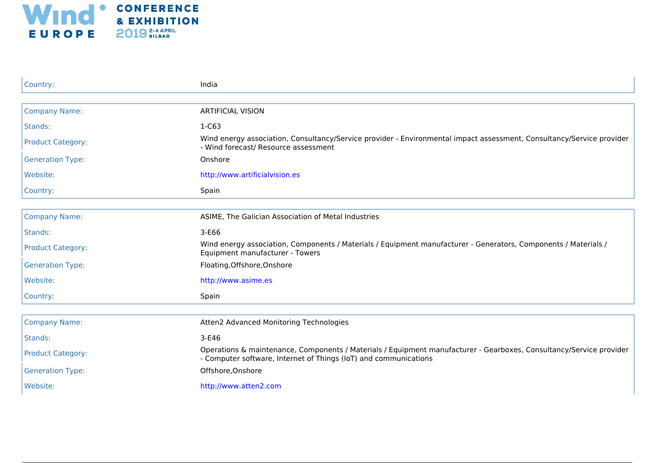

| Country:                 | India                                                                                                                                                                                   |
|--------------------------|-----------------------------------------------------------------------------------------------------------------------------------------------------------------------------------------|
|                          |                                                                                                                                                                                         |
| <b>Company Name:</b>     | <b>ARTIFICIAL VISION</b>                                                                                                                                                                |
| Stands:                  | $1-C63$                                                                                                                                                                                 |
| <b>Product Category:</b> | Wind energy association, Consultancy/Service provider - Environmental impact assessment, Consultancy/Service provider<br>- Wind forecast/ Resource assessment                           |
| <b>Generation Type:</b>  | Onshore                                                                                                                                                                                 |
| Website:                 | http://www.artificialvision.es                                                                                                                                                          |
| Country:                 | Spain                                                                                                                                                                                   |
|                          |                                                                                                                                                                                         |
| <b>Company Name:</b>     | ASIME, The Galician Association of Metal Industries                                                                                                                                     |
| Stands:                  | $3-E66$                                                                                                                                                                                 |
| <b>Product Category:</b> | Wind energy association, Components / Materials / Equipment manufacturer - Generators, Components / Materials /<br>Equipment manufacturer - Towers                                      |
| <b>Generation Type:</b>  | Floating, Offshore, Onshore                                                                                                                                                             |
| Website:                 | http://www.asime.es                                                                                                                                                                     |
| Country:                 | Spain                                                                                                                                                                                   |
|                          |                                                                                                                                                                                         |
| <b>Company Name:</b>     | Atten2 Advanced Monitoring Technologies                                                                                                                                                 |
| Stands:                  | $3-E46$                                                                                                                                                                                 |
| <b>Product Category:</b> | Operations & maintenance, Components / Materials / Equipment manufacturer - Gearboxes, Consultancy/Service provider<br>- Computer software, Internet of Things (IoT) and communications |
| <b>Generation Type:</b>  | Offshore, Onshore                                                                                                                                                                       |
| Website:                 | http://www.atten2.com                                                                                                                                                                   |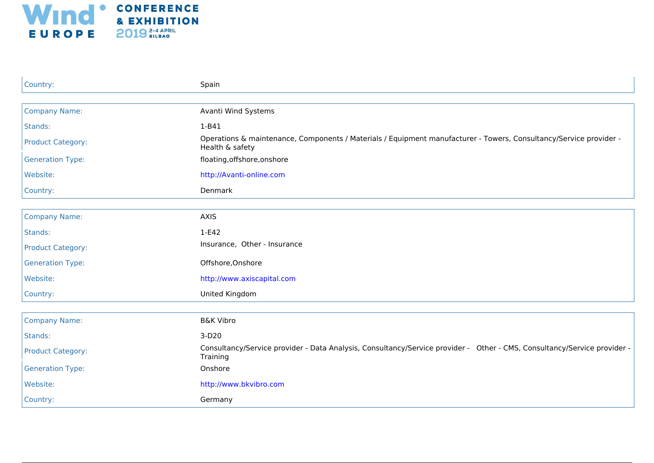

| Country:                 | Spain                                                                                                                                 |
|--------------------------|---------------------------------------------------------------------------------------------------------------------------------------|
|                          |                                                                                                                                       |
| <b>Company Name:</b>     | Avanti Wind Systems                                                                                                                   |
| Stands:                  | $1 - B41$                                                                                                                             |
| <b>Product Category:</b> | Operations & maintenance, Components / Materials / Equipment manufacturer - Towers, Consultancy/Service provider -<br>Health & safety |
| <b>Generation Type:</b>  | floating, offshore, on shore                                                                                                          |
| Website:                 | http://Avanti-online.com                                                                                                              |
| Country:                 | Denmark                                                                                                                               |
|                          |                                                                                                                                       |
| <b>Company Name:</b>     | <b>AXIS</b>                                                                                                                           |
| Stands:                  | $1-E42$                                                                                                                               |
| <b>Product Category:</b> | Insurance, Other - Insurance                                                                                                          |
| <b>Generation Type:</b>  | Offshore, Onshore                                                                                                                     |
| Website:                 | http://www.axiscapital.com                                                                                                            |
| Country:                 | United Kingdom                                                                                                                        |
|                          |                                                                                                                                       |
| <b>Company Name:</b>     | <b>B&amp;K Vibro</b>                                                                                                                  |
| Stands:                  | $3-D20$                                                                                                                               |
| <b>Product Category:</b> | Consultancy/Service provider - Data Analysis, Consultancy/Service provider - Other - CMS, Consultancy/Service provider -<br>Training  |
| <b>Generation Type:</b>  | Onshore                                                                                                                               |
| Website:                 | http://www.bkvibro.com                                                                                                                |
| Country:                 | Germany                                                                                                                               |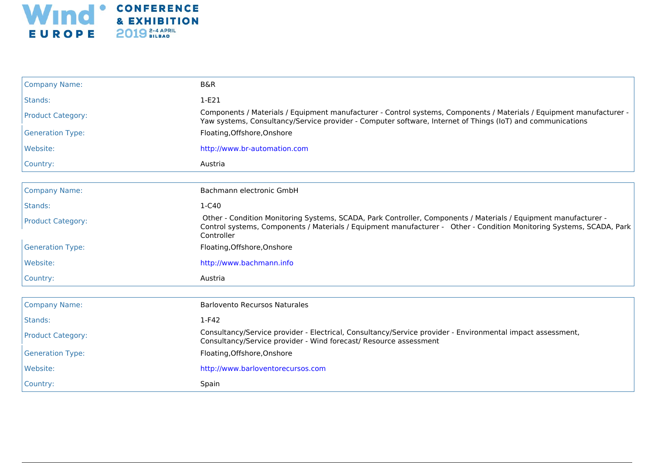

| <b>Company Name:</b>     | <b>B&amp;R</b>                                                                                                                                                                                                                                        |
|--------------------------|-------------------------------------------------------------------------------------------------------------------------------------------------------------------------------------------------------------------------------------------------------|
| Stands:                  | $1-E21$                                                                                                                                                                                                                                               |
| <b>Product Category:</b> | Components / Materials / Equipment manufacturer - Control systems, Components / Materials / Equipment manufacturer -<br>Yaw systems, Consultancy/Service provider - Computer software, Internet of Things (IoT) and communications                    |
| <b>Generation Type:</b>  | Floating, Offshore, Onshore                                                                                                                                                                                                                           |
| Website:                 | http://www.br-automation.com                                                                                                                                                                                                                          |
| Country:                 | Austria                                                                                                                                                                                                                                               |
|                          |                                                                                                                                                                                                                                                       |
| <b>Company Name:</b>     | Bachmann electronic GmbH                                                                                                                                                                                                                              |
| Stands:                  | 1-C40                                                                                                                                                                                                                                                 |
| <b>Product Category:</b> | Other - Condition Monitoring Systems, SCADA, Park Controller, Components / Materials / Equipment manufacturer -<br>Control systems, Components / Materials / Equipment manufacturer - Other - Condition Monitoring Systems, SCADA, Park<br>Controller |
| <b>Generation Type:</b>  | Floating, Offshore, Onshore                                                                                                                                                                                                                           |
| Website:                 | http://www.bachmann.info                                                                                                                                                                                                                              |
| Country:                 | Austria                                                                                                                                                                                                                                               |
|                          |                                                                                                                                                                                                                                                       |
| <b>Company Name:</b>     | <b>Barlovento Recursos Naturales</b>                                                                                                                                                                                                                  |
| Stands:                  | $1-F42$                                                                                                                                                                                                                                               |
| <b>Product Category:</b> | Consultancy/Service provider - Electrical, Consultancy/Service provider - Environmental impact assessment,<br>Consultancy/Service provider - Wind forecast/ Resource assessment                                                                       |
| <b>Generation Type:</b>  | Floating, Offshore, Onshore                                                                                                                                                                                                                           |
| Website:                 | http://www.barloventorecursos.com                                                                                                                                                                                                                     |
| Country:                 | Spain                                                                                                                                                                                                                                                 |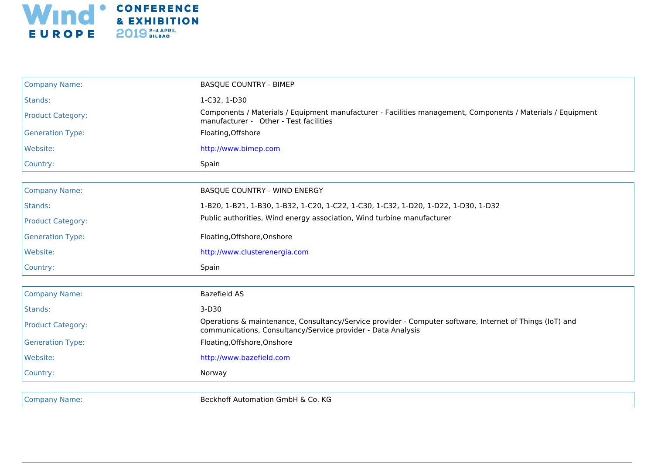

| <b>Company Name:</b>     | <b>BASQUE COUNTRY - BIMEP</b>                                                                                                                                            |
|--------------------------|--------------------------------------------------------------------------------------------------------------------------------------------------------------------------|
| Stands:                  | 1-C32, 1-D30                                                                                                                                                             |
| <b>Product Category:</b> | Components / Materials / Equipment manufacturer - Facilities management, Components / Materials / Equipment<br>manufacturer - Other - Test facilities                    |
| <b>Generation Type:</b>  | Floating, Offshore                                                                                                                                                       |
| Website:                 | http://www.bimep.com                                                                                                                                                     |
| Country:                 | Spain                                                                                                                                                                    |
|                          |                                                                                                                                                                          |
| <b>Company Name:</b>     | BASQUE COUNTRY - WIND ENERGY                                                                                                                                             |
| Stands:                  | 1-B20, 1-B21, 1-B30, 1-B32, 1-C20, 1-C22, 1-C30, 1-C32, 1-D20, 1-D22, 1-D30, 1-D32                                                                                       |
| <b>Product Category:</b> | Public authorities, Wind energy association, Wind turbine manufacturer                                                                                                   |
| <b>Generation Type:</b>  | Floating, Offshore, Onshore                                                                                                                                              |
| Website:                 | http://www.clusterenergia.com                                                                                                                                            |
| Country:                 | Spain                                                                                                                                                                    |
|                          |                                                                                                                                                                          |
| <b>Company Name:</b>     | <b>Bazefield AS</b>                                                                                                                                                      |
| Stands:                  | $3-D30$                                                                                                                                                                  |
| <b>Product Category:</b> | Operations & maintenance, Consultancy/Service provider - Computer software, Internet of Things (IoT) and<br>communications, Consultancy/Service provider - Data Analysis |
| <b>Generation Type:</b>  | Floating, Offshore, Onshore                                                                                                                                              |
| Website:                 | http://www.bazefield.com                                                                                                                                                 |
| Country:                 | Norway                                                                                                                                                                   |
|                          |                                                                                                                                                                          |

Company Name: Beckhoff Automation GmbH & Co. KG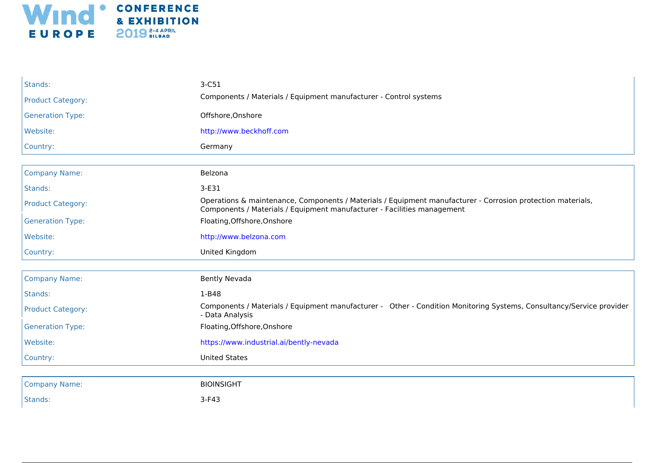

| Stands:                  | $3-C51$                                                                                                                                                                                |
|--------------------------|----------------------------------------------------------------------------------------------------------------------------------------------------------------------------------------|
| <b>Product Category:</b> | Components / Materials / Equipment manufacturer - Control systems                                                                                                                      |
| <b>Generation Type:</b>  | Offshore, Onshore                                                                                                                                                                      |
| Website:                 | http://www.beckhoff.com                                                                                                                                                                |
| Country:                 | Germany                                                                                                                                                                                |
|                          |                                                                                                                                                                                        |
| <b>Company Name:</b>     | Belzona                                                                                                                                                                                |
| Stands:                  | $3-E31$                                                                                                                                                                                |
| <b>Product Category:</b> | Operations & maintenance, Components / Materials / Equipment manufacturer - Corrosion protection materials,<br>Components / Materials / Equipment manufacturer - Facilities management |
| <b>Generation Type:</b>  | Floating, Offshore, Onshore                                                                                                                                                            |
| Website:                 | http://www.belzona.com                                                                                                                                                                 |
|                          |                                                                                                                                                                                        |
| Country:                 | United Kingdom                                                                                                                                                                         |
|                          |                                                                                                                                                                                        |
| <b>Company Name:</b>     | <b>Bently Nevada</b>                                                                                                                                                                   |
| Stands:                  | $1 - B48$                                                                                                                                                                              |
| <b>Product Category:</b> | Components / Materials / Equipment manufacturer - Other - Condition Monitoring Systems, Consultancy/Service provider<br>- Data Analysis                                                |
| <b>Generation Type:</b>  | Floating, Offshore, Onshore                                                                                                                                                            |
| Website:                 | https://www.industrial.ai/bently-nevada                                                                                                                                                |
| Country:                 | <b>United States</b>                                                                                                                                                                   |
|                          |                                                                                                                                                                                        |
| <b>Company Name:</b>     | <b>BIOINSIGHT</b>                                                                                                                                                                      |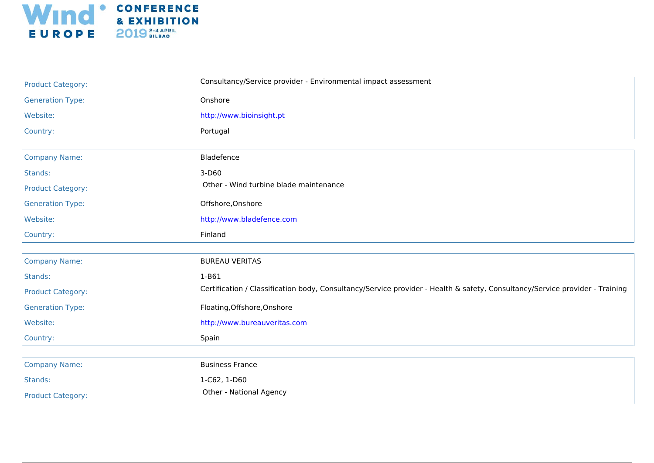

| <b>Product Category:</b> | Consultancy/Service provider - Environmental impact assessment                                                               |
|--------------------------|------------------------------------------------------------------------------------------------------------------------------|
| <b>Generation Type:</b>  | Onshore                                                                                                                      |
| Website:                 | http://www.bioinsight.pt                                                                                                     |
| Country:                 | Portugal                                                                                                                     |
|                          |                                                                                                                              |
| <b>Company Name:</b>     | Bladefence                                                                                                                   |
| Stands:                  | $3-D60$                                                                                                                      |
| <b>Product Category:</b> | Other - Wind turbine blade maintenance                                                                                       |
| <b>Generation Type:</b>  | Offshore, Onshore                                                                                                            |
| Website:                 | http://www.bladefence.com                                                                                                    |
| Country:                 | Finland                                                                                                                      |
|                          |                                                                                                                              |
| <b>Company Name:</b>     | <b>BUREAU VERITAS</b>                                                                                                        |
| Stands:                  | 1-B61                                                                                                                        |
| <b>Product Category:</b> | Certification / Classification body, Consultancy/Service provider - Health & safety, Consultancy/Service provider - Training |
| <b>Generation Type:</b>  | Floating, Offshore, Onshore                                                                                                  |
| Website:                 | http://www.bureauveritas.com                                                                                                 |
| Country:                 | Spain                                                                                                                        |
|                          |                                                                                                                              |
| <b>Company Name:</b>     | <b>Business France</b>                                                                                                       |
| Stands:                  | 1-C62, 1-D60                                                                                                                 |
| <b>Product Category:</b> | Other - National Agency                                                                                                      |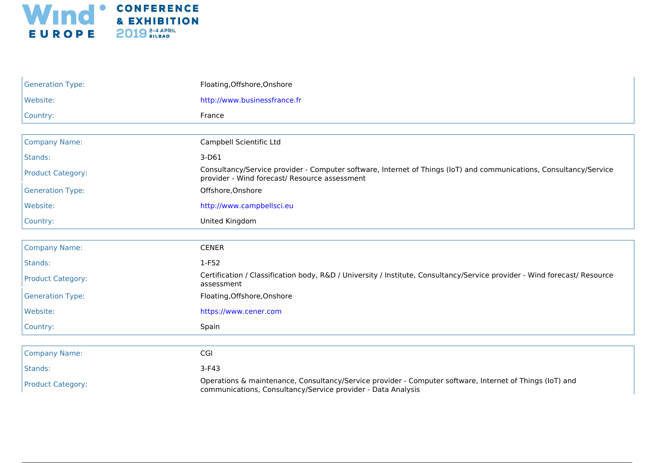

| <b>Generation Type:</b>  | Floating, Offshore, Onshore                                                                                                                                              |
|--------------------------|--------------------------------------------------------------------------------------------------------------------------------------------------------------------------|
| Website:                 | http://www.businessfrance.fr                                                                                                                                             |
| Country:                 | France                                                                                                                                                                   |
|                          |                                                                                                                                                                          |
| <b>Company Name:</b>     | Campbell Scientific Ltd                                                                                                                                                  |
| Stands:                  | 3-D61                                                                                                                                                                    |
| <b>Product Category:</b> | Consultancy/Service provider - Computer software, Internet of Things (IoT) and communications, Consultancy/Service<br>provider - Wind forecast/ Resource assessment      |
| <b>Generation Type:</b>  | Offshore, Onshore                                                                                                                                                        |
| Website:                 | http://www.campbellsci.eu                                                                                                                                                |
| Country:                 | United Kingdom                                                                                                                                                           |
|                          |                                                                                                                                                                          |
| <b>Company Name:</b>     | <b>CENER</b>                                                                                                                                                             |
| Stands:                  | $1-F52$                                                                                                                                                                  |
| <b>Product Category:</b> | Certification / Classification body, R&D / University / Institute, Consultancy/Service provider - Wind forecast/ Resource<br>assessment                                  |
| <b>Generation Type:</b>  | Floating, Offshore, Onshore                                                                                                                                              |
| Website:                 | https://www.cener.com                                                                                                                                                    |
| Country:                 | Spain                                                                                                                                                                    |
| <b>Company Name:</b>     | CGI                                                                                                                                                                      |
| Stands:                  | $3-F43$                                                                                                                                                                  |
| <b>Product Category:</b> | Operations & maintenance, Consultancy/Service provider - Computer software, Internet of Things (IoT) and<br>communications, Consultancy/Service provider - Data Analysis |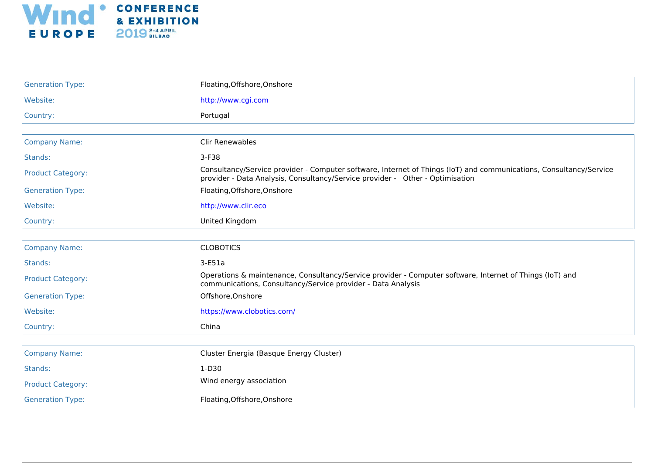

| <b>Generation Type:</b>  | Floating, Offshore, Onshore                                                                                                                                                                         |
|--------------------------|-----------------------------------------------------------------------------------------------------------------------------------------------------------------------------------------------------|
| Website:                 | http://www.cgi.com                                                                                                                                                                                  |
| Country:                 | Portugal                                                                                                                                                                                            |
| <b>Company Name:</b>     | <b>Clir Renewables</b>                                                                                                                                                                              |
| Stands:                  | 3-F38                                                                                                                                                                                               |
| <b>Product Category:</b> | Consultancy/Service provider - Computer software, Internet of Things (IoT) and communications, Consultancy/Service<br>provider - Data Analysis, Consultancy/Service provider - Other - Optimisation |
| <b>Generation Type:</b>  | Floating, Offshore, Onshore                                                                                                                                                                         |
| Website:                 | http://www.clir.eco                                                                                                                                                                                 |
| Country:                 | United Kingdom                                                                                                                                                                                      |
| <b>Company Name:</b>     | <b>CLOBOTICS</b>                                                                                                                                                                                    |
| Stands:                  | $3-E51a$                                                                                                                                                                                            |
| <b>Product Category:</b> | Operations & maintenance, Consultancy/Service provider - Computer software, Internet of Things (IoT) and<br>communications, Consultancy/Service provider - Data Analysis                            |
| <b>Generation Type:</b>  | Offshore, Onshore                                                                                                                                                                                   |
| Website:                 | https://www.clobotics.com/                                                                                                                                                                          |
| Country:                 | China                                                                                                                                                                                               |
| <b>Company Name:</b>     | Cluster Energia (Basque Energy Cluster)                                                                                                                                                             |
| Stands:                  | $1-D30$                                                                                                                                                                                             |
| <b>Product Category:</b> | Wind energy association                                                                                                                                                                             |
| <b>Generation Type:</b>  | Floating, Offshore, Onshore                                                                                                                                                                         |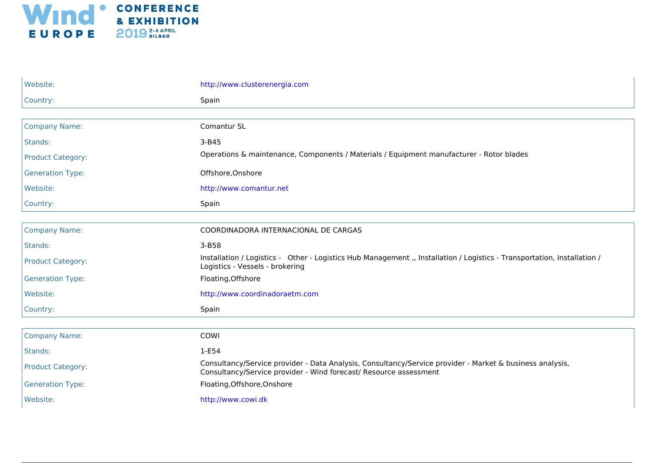

| Website:                 | http://www.clusterenergia.com                                                                                                                                                 |
|--------------------------|-------------------------------------------------------------------------------------------------------------------------------------------------------------------------------|
| Country:                 | Spain                                                                                                                                                                         |
|                          |                                                                                                                                                                               |
| <b>Company Name:</b>     | Comantur SL                                                                                                                                                                   |
| Stands:                  | 3-B45                                                                                                                                                                         |
| <b>Product Category:</b> | Operations & maintenance, Components / Materials / Equipment manufacturer - Rotor blades                                                                                      |
| <b>Generation Type:</b>  | Offshore, Onshore                                                                                                                                                             |
| Website:                 | http://www.comantur.net                                                                                                                                                       |
| Country:                 | Spain                                                                                                                                                                         |
|                          |                                                                                                                                                                               |
| <b>Company Name:</b>     | COORDINADORA INTERNACIONAL DE CARGAS                                                                                                                                          |
| Stands:                  | $3 - B58$                                                                                                                                                                     |
| <b>Product Category:</b> | Installation / Logistics - Other - Logistics Hub Management ,, Installation / Logistics - Transportation, Installation /<br>Logistics - Vessels - brokering                   |
| <b>Generation Type:</b>  | Floating, Offshore                                                                                                                                                            |
| Website:                 | http://www.coordinadoraetm.com                                                                                                                                                |
| Country:                 | Spain                                                                                                                                                                         |
|                          |                                                                                                                                                                               |
| <b>Company Name:</b>     | COWI                                                                                                                                                                          |
| Stands:                  | $1-E54$                                                                                                                                                                       |
| <b>Product Category:</b> | Consultancy/Service provider - Data Analysis, Consultancy/Service provider - Market & business analysis,<br>Consultancy/Service provider - Wind forecast/ Resource assessment |
| <b>Generation Type:</b>  | Floating, Offshore, Onshore                                                                                                                                                   |
| Website:                 | http://www.cowi.dk                                                                                                                                                            |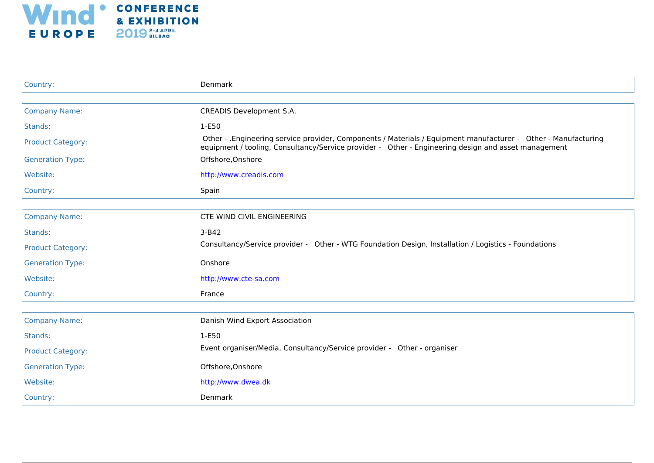

| Country:                 | Denmark                                                                                                                                                                                                                |
|--------------------------|------------------------------------------------------------------------------------------------------------------------------------------------------------------------------------------------------------------------|
|                          |                                                                                                                                                                                                                        |
| <b>Company Name:</b>     | <b>CREADIS Development S.A.</b>                                                                                                                                                                                        |
| Stands:                  | 1-E50                                                                                                                                                                                                                  |
| <b>Product Category:</b> | Other - . Engineering service provider, Components / Materials / Equipment manufacturer - Other - Manufacturing<br>equipment / tooling, Consultancy/Service provider - Other - Engineering design and asset management |
| <b>Generation Type:</b>  | Offshore, Onshore                                                                                                                                                                                                      |
| Website:                 | http://www.creadis.com                                                                                                                                                                                                 |
| Country:                 | Spain                                                                                                                                                                                                                  |
|                          |                                                                                                                                                                                                                        |
| <b>Company Name:</b>     | CTE WIND CIVIL ENGINEERING                                                                                                                                                                                             |
| Stands:                  | $3-B42$                                                                                                                                                                                                                |
| <b>Product Category:</b> | Consultancy/Service provider - Other - WTG Foundation Design, Installation / Logistics - Foundations                                                                                                                   |
| <b>Generation Type:</b>  | Onshore                                                                                                                                                                                                                |
| Website:                 | http://www.cte-sa.com                                                                                                                                                                                                  |
| Country:                 | France                                                                                                                                                                                                                 |
|                          |                                                                                                                                                                                                                        |
| <b>Company Name:</b>     | Danish Wind Export Association                                                                                                                                                                                         |
| Stands:                  | 1-E50                                                                                                                                                                                                                  |
| <b>Product Category:</b> | Event organiser/Media, Consultancy/Service provider - Other - organiser                                                                                                                                                |
| <b>Generation Type:</b>  | Offshore, Onshore                                                                                                                                                                                                      |
| Website:                 | http://www.dwea.dk                                                                                                                                                                                                     |
| Country:                 | Denmark                                                                                                                                                                                                                |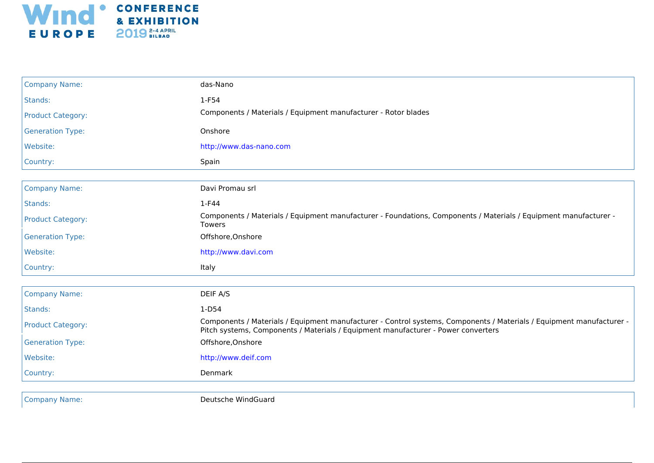

| <b>Company Name:</b>     | das-Nano                                                                                                                                                                                                  |
|--------------------------|-----------------------------------------------------------------------------------------------------------------------------------------------------------------------------------------------------------|
| Stands:                  | $1-F54$                                                                                                                                                                                                   |
| <b>Product Category:</b> | Components / Materials / Equipment manufacturer - Rotor blades                                                                                                                                            |
| <b>Generation Type:</b>  | Onshore                                                                                                                                                                                                   |
| Website:                 | http://www.das-nano.com                                                                                                                                                                                   |
| Country:                 | Spain                                                                                                                                                                                                     |
|                          |                                                                                                                                                                                                           |
| <b>Company Name:</b>     | Davi Promau srl                                                                                                                                                                                           |
| Stands:                  | 1-F44                                                                                                                                                                                                     |
| <b>Product Category:</b> | Components / Materials / Equipment manufacturer - Foundations, Components / Materials / Equipment manufacturer -<br>Towers                                                                                |
| <b>Generation Type:</b>  | Offshore, Onshore                                                                                                                                                                                         |
| Website:                 | http://www.davi.com                                                                                                                                                                                       |
| Country:                 | Italy                                                                                                                                                                                                     |
|                          |                                                                                                                                                                                                           |
| <b>Company Name:</b>     | DEIF A/S                                                                                                                                                                                                  |
| Stands:                  | $1-D54$                                                                                                                                                                                                   |
| <b>Product Category:</b> | Components / Materials / Equipment manufacturer - Control systems, Components / Materials / Equipment manufacturer -<br>Pitch systems, Components / Materials / Equipment manufacturer - Power converters |
| <b>Generation Type:</b>  | Offshore, Onshore                                                                                                                                                                                         |
| Website:                 | http://www.deif.com                                                                                                                                                                                       |
| Country:                 | Denmark                                                                                                                                                                                                   |

Company Name: Company Name: Company Name: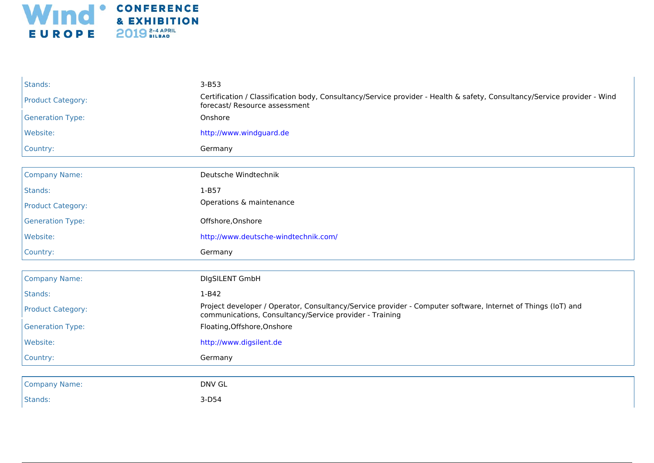

| Stands:                  | $3-B53$                                                                                                                                                                 |
|--------------------------|-------------------------------------------------------------------------------------------------------------------------------------------------------------------------|
| <b>Product Category:</b> | Certification / Classification body, Consultancy/Service provider - Health & safety, Consultancy/Service provider - Wind<br>forecast/ Resource assessment               |
| <b>Generation Type:</b>  | Onshore                                                                                                                                                                 |
| Website:                 | http://www.windguard.de                                                                                                                                                 |
| Country:                 | Germany                                                                                                                                                                 |
|                          |                                                                                                                                                                         |
| <b>Company Name:</b>     | Deutsche Windtechnik                                                                                                                                                    |
| Stands:                  | $1-B57$                                                                                                                                                                 |
| <b>Product Category:</b> | Operations & maintenance                                                                                                                                                |
| <b>Generation Type:</b>  | Offshore, Onshore                                                                                                                                                       |
| Website:                 | http://www.deutsche-windtechnik.com/                                                                                                                                    |
|                          |                                                                                                                                                                         |
| Country:                 | Germany                                                                                                                                                                 |
|                          |                                                                                                                                                                         |
| <b>Company Name:</b>     | DIgSILENT GmbH                                                                                                                                                          |
| Stands:                  | $1-B42$                                                                                                                                                                 |
| <b>Product Category:</b> | Project developer / Operator, Consultancy/Service provider - Computer software, Internet of Things (IoT) and<br>communications, Consultancy/Service provider - Training |
| <b>Generation Type:</b>  | Floating, Offshore, Onshore                                                                                                                                             |
| Website:                 | http://www.digsilent.de                                                                                                                                                 |
| Country:                 | Germany                                                                                                                                                                 |
|                          |                                                                                                                                                                         |
| <b>Company Name:</b>     | <b>DNV GL</b>                                                                                                                                                           |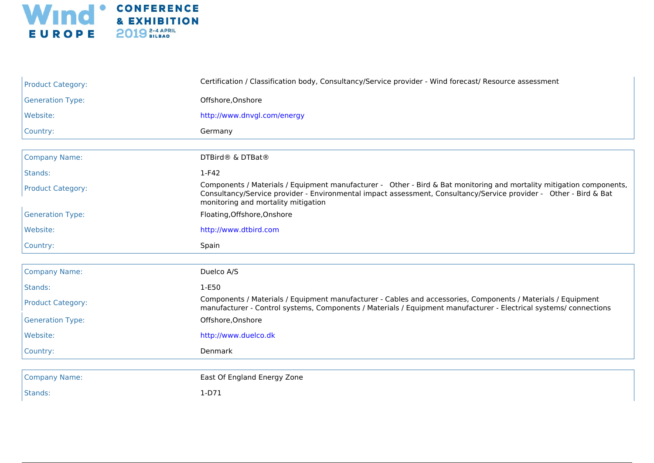

| <b>Product Category:</b> | Certification / Classification body, Consultancy/Service provider - Wind forecast/ Resource assessment                                                                                                                                                                           |
|--------------------------|----------------------------------------------------------------------------------------------------------------------------------------------------------------------------------------------------------------------------------------------------------------------------------|
| <b>Generation Type:</b>  | Offshore, Onshore                                                                                                                                                                                                                                                                |
| Website:                 | http://www.dnvgl.com/energy                                                                                                                                                                                                                                                      |
| Country:                 | Germany                                                                                                                                                                                                                                                                          |
|                          |                                                                                                                                                                                                                                                                                  |
| <b>Company Name:</b>     | DTBird® & DTBat®                                                                                                                                                                                                                                                                 |
| Stands:                  | $1-F42$                                                                                                                                                                                                                                                                          |
| <b>Product Category:</b> | Components / Materials / Equipment manufacturer - Other - Bird & Bat monitoring and mortality mitigation components,<br>Consultancy/Service provider - Environmental impact assessment, Consultancy/Service provider - Other - Bird & Bat<br>monitoring and mortality mitigation |
| <b>Generation Type:</b>  | Floating, Offshore, Onshore                                                                                                                                                                                                                                                      |
| Website:                 | http://www.dtbird.com                                                                                                                                                                                                                                                            |
|                          |                                                                                                                                                                                                                                                                                  |
| Country:                 | Spain                                                                                                                                                                                                                                                                            |
| <b>Company Name:</b>     | Duelco A/S                                                                                                                                                                                                                                                                       |
| Stands:                  | 1-E50                                                                                                                                                                                                                                                                            |
| <b>Product Category:</b> | Components / Materials / Equipment manufacturer - Cables and accessories, Components / Materials / Equipment<br>manufacturer - Control systems, Components / Materials / Equipment manufacturer - Electrical systems/ connections                                                |
| <b>Generation Type:</b>  | Offshore, Onshore                                                                                                                                                                                                                                                                |
| Website:                 | http://www.duelco.dk                                                                                                                                                                                                                                                             |
| Country:                 | Denmark                                                                                                                                                                                                                                                                          |
|                          |                                                                                                                                                                                                                                                                                  |
| <b>Company Name:</b>     | East Of England Energy Zone                                                                                                                                                                                                                                                      |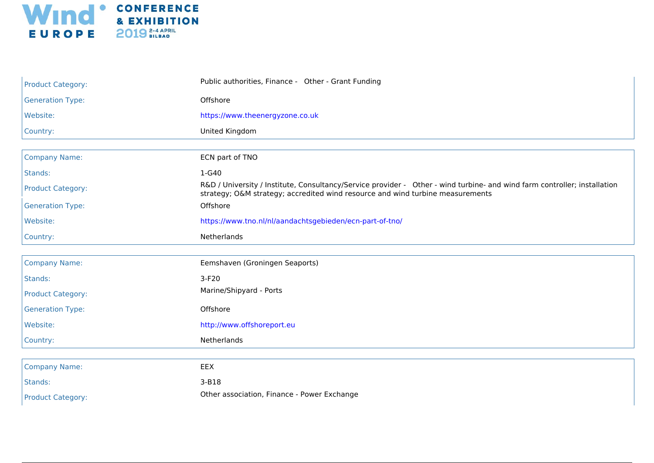

| <b>Product Category:</b> | Public authorities, Finance - Other - Grant Funding                                                                                                                                                         |
|--------------------------|-------------------------------------------------------------------------------------------------------------------------------------------------------------------------------------------------------------|
| <b>Generation Type:</b>  | Offshore                                                                                                                                                                                                    |
| Website:                 | https://www.theenergyzone.co.uk                                                                                                                                                                             |
| Country:                 | United Kingdom                                                                                                                                                                                              |
| <b>Company Name:</b>     | ECN part of TNO                                                                                                                                                                                             |
|                          |                                                                                                                                                                                                             |
| Stands:                  | 1-G40                                                                                                                                                                                                       |
| <b>Product Category:</b> | R&D / University / Institute, Consultancy/Service provider - Other - wind turbine- and wind farm controller; installation<br>strategy; O&M strategy; accredited wind resource and wind turbine measurements |
| <b>Generation Type:</b>  | Offshore                                                                                                                                                                                                    |
| Website:                 | https://www.tno.nl/nl/aandachtsgebieden/ecn-part-of-tno/                                                                                                                                                    |
| Country:                 | Netherlands                                                                                                                                                                                                 |
|                          |                                                                                                                                                                                                             |
| <b>Company Name:</b>     | Eemshaven (Groningen Seaports)                                                                                                                                                                              |
| Stands:                  | $3-F20$                                                                                                                                                                                                     |
| <b>Product Category:</b> | Marine/Shipyard - Ports                                                                                                                                                                                     |
| <b>Generation Type:</b>  | Offshore                                                                                                                                                                                                    |
| Website:                 | http://www.offshoreport.eu                                                                                                                                                                                  |
| Country:                 | Netherlands                                                                                                                                                                                                 |
|                          |                                                                                                                                                                                                             |
| <b>Company Name:</b>     | EEX                                                                                                                                                                                                         |
| Stands:                  | 3-B18                                                                                                                                                                                                       |
| <b>Product Category:</b> | Other association, Finance - Power Exchange                                                                                                                                                                 |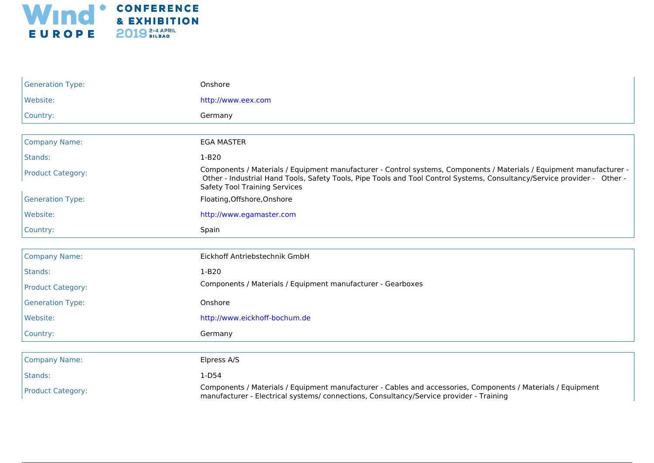

| <b>Generation Type:</b>  | Onshore                                                                                                                                                                                                                                                                                  |
|--------------------------|------------------------------------------------------------------------------------------------------------------------------------------------------------------------------------------------------------------------------------------------------------------------------------------|
| Website:                 | http://www.eex.com                                                                                                                                                                                                                                                                       |
| Country:                 | Germany                                                                                                                                                                                                                                                                                  |
|                          |                                                                                                                                                                                                                                                                                          |
| <b>Company Name:</b>     | <b>EGA MASTER</b>                                                                                                                                                                                                                                                                        |
| Stands:                  | $1-B20$                                                                                                                                                                                                                                                                                  |
| <b>Product Category:</b> | Components / Materials / Equipment manufacturer - Control systems, Components / Materials / Equipment manufacturer -<br>Other - Industrial Hand Tools, Safety Tools, Pipe Tools and Tool Control Systems, Consultancy/Service provider - Other -<br><b>Safety Tool Training Services</b> |
| <b>Generation Type:</b>  | Floating, Offshore, Onshore                                                                                                                                                                                                                                                              |
| Website:                 | http://www.egamaster.com                                                                                                                                                                                                                                                                 |
| Country:                 | Spain                                                                                                                                                                                                                                                                                    |
|                          |                                                                                                                                                                                                                                                                                          |
| <b>Company Name:</b>     | Eickhoff Antriebstechnik GmbH                                                                                                                                                                                                                                                            |
| Stands:                  | $1-B20$                                                                                                                                                                                                                                                                                  |
| <b>Product Category:</b> | Components / Materials / Equipment manufacturer - Gearboxes                                                                                                                                                                                                                              |
| <b>Generation Type:</b>  | Onshore                                                                                                                                                                                                                                                                                  |
| Website:                 | http://www.eickhoff-bochum.de                                                                                                                                                                                                                                                            |
| Country:                 | Germany                                                                                                                                                                                                                                                                                  |
|                          |                                                                                                                                                                                                                                                                                          |
| <b>Company Name:</b>     | Elpress A/S                                                                                                                                                                                                                                                                              |
| Stands:                  | $1-D54$                                                                                                                                                                                                                                                                                  |
| <b>Product Category:</b> | Components / Materials / Equipment manufacturer - Cables and accessories, Components / Materials / Equipment<br>manufacturer - Electrical systems/connections, Consultancy/Service provider - Training                                                                                   |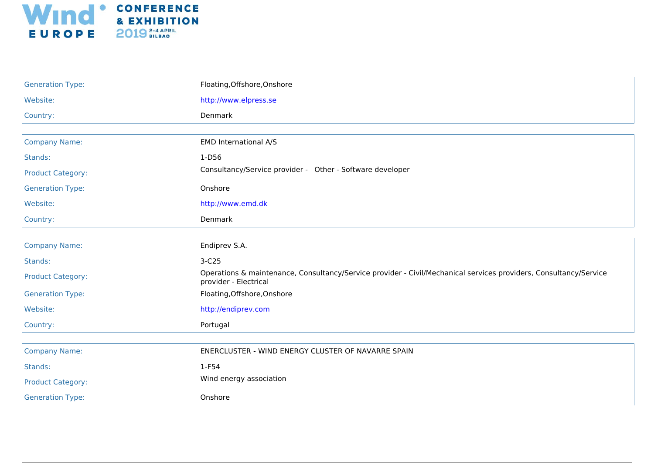

| <b>Generation Type:</b>  | Floating, Offshore, Onshore                                                                                                                |
|--------------------------|--------------------------------------------------------------------------------------------------------------------------------------------|
| Website:                 | http://www.elpress.se                                                                                                                      |
| Country:                 | Denmark                                                                                                                                    |
|                          |                                                                                                                                            |
| <b>Company Name:</b>     | EMD International A/S                                                                                                                      |
| Stands:                  | 1-D56                                                                                                                                      |
| <b>Product Category:</b> | Consultancy/Service provider - Other - Software developer                                                                                  |
| <b>Generation Type:</b>  | Onshore                                                                                                                                    |
| Website:                 | http://www.emd.dk                                                                                                                          |
| Country:                 | Denmark                                                                                                                                    |
|                          |                                                                                                                                            |
| <b>Company Name:</b>     | Endiprev S.A.                                                                                                                              |
| Stands:                  | $3-C25$                                                                                                                                    |
| <b>Product Category:</b> | Operations & maintenance, Consultancy/Service provider - Civil/Mechanical services providers, Consultancy/Service<br>provider - Electrical |
| <b>Generation Type:</b>  | Floating, Offshore, Onshore                                                                                                                |
| Website:                 | http://endiprev.com                                                                                                                        |
| Country:                 | Portugal                                                                                                                                   |
|                          |                                                                                                                                            |
| <b>Company Name:</b>     | ENERCLUSTER - WIND ENERGY CLUSTER OF NAVARRE SPAIN                                                                                         |
| Stands:                  | 1-F54                                                                                                                                      |
| <b>Product Category:</b> | Wind energy association                                                                                                                    |
| <b>Generation Type:</b>  | Onshore                                                                                                                                    |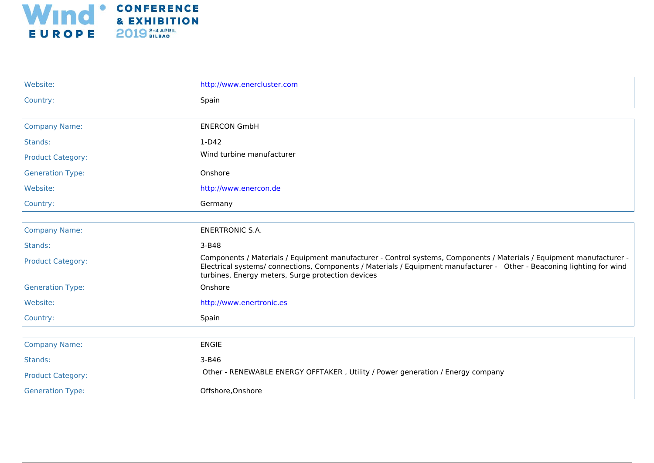

| Website:                 | http://www.enercluster.com                                                                                                                                                                                                                                                                         |
|--------------------------|----------------------------------------------------------------------------------------------------------------------------------------------------------------------------------------------------------------------------------------------------------------------------------------------------|
| Country:                 | Spain                                                                                                                                                                                                                                                                                              |
|                          |                                                                                                                                                                                                                                                                                                    |
| <b>Company Name:</b>     | <b>ENERCON GmbH</b>                                                                                                                                                                                                                                                                                |
| Stands:                  | $1-D42$                                                                                                                                                                                                                                                                                            |
| <b>Product Category:</b> | Wind turbine manufacturer                                                                                                                                                                                                                                                                          |
| <b>Generation Type:</b>  | Onshore                                                                                                                                                                                                                                                                                            |
| Website:                 | http://www.enercon.de                                                                                                                                                                                                                                                                              |
| Country:                 | Germany                                                                                                                                                                                                                                                                                            |
|                          |                                                                                                                                                                                                                                                                                                    |
| <b>Company Name:</b>     | <b>ENERTRONIC S.A.</b>                                                                                                                                                                                                                                                                             |
| Stands:                  | 3-B48                                                                                                                                                                                                                                                                                              |
| <b>Product Category:</b> | Components / Materials / Equipment manufacturer - Control systems, Components / Materials / Equipment manufacturer -<br>Electrical systems/connections, Components / Materials / Equipment manufacturer - Other - Beaconing lighting for wind<br>turbines, Energy meters, Surge protection devices |
| <b>Generation Type:</b>  | Onshore                                                                                                                                                                                                                                                                                            |
| Website:                 | http://www.enertronic.es                                                                                                                                                                                                                                                                           |
| Country:                 | Spain                                                                                                                                                                                                                                                                                              |
|                          |                                                                                                                                                                                                                                                                                                    |
| <b>Company Name:</b>     | <b>ENGIE</b>                                                                                                                                                                                                                                                                                       |
| Stands:                  | 3-B46                                                                                                                                                                                                                                                                                              |
| <b>Product Category:</b> | Other - RENEWABLE ENERGY OFFTAKER, Utility / Power generation / Energy company                                                                                                                                                                                                                     |
| <b>Generation Type:</b>  | Offshore, Onshore                                                                                                                                                                                                                                                                                  |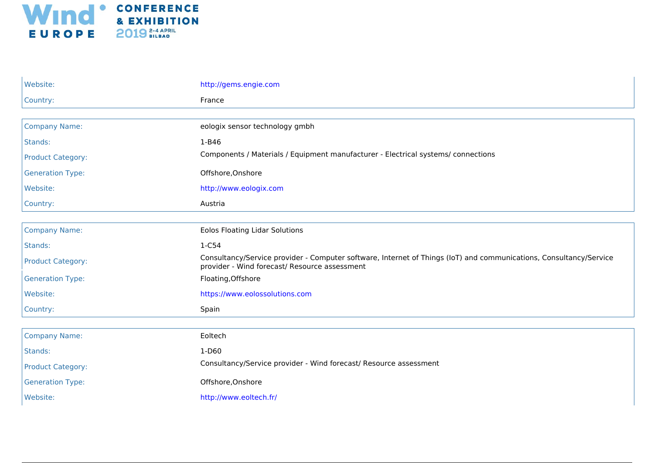

| Website:                 | http://gems.engie.com                                                                                                                                               |
|--------------------------|---------------------------------------------------------------------------------------------------------------------------------------------------------------------|
| Country:                 | France                                                                                                                                                              |
|                          |                                                                                                                                                                     |
| <b>Company Name:</b>     | eologix sensor technology gmbh                                                                                                                                      |
| Stands:                  | 1-B46                                                                                                                                                               |
| <b>Product Category:</b> | Components / Materials / Equipment manufacturer - Electrical systems/ connections                                                                                   |
| <b>Generation Type:</b>  | Offshore, Onshore                                                                                                                                                   |
| Website:                 | http://www.eologix.com                                                                                                                                              |
| Country:                 | Austria                                                                                                                                                             |
|                          |                                                                                                                                                                     |
| <b>Company Name:</b>     | <b>Eolos Floating Lidar Solutions</b>                                                                                                                               |
| Stands:                  | 1-C54                                                                                                                                                               |
| <b>Product Category:</b> | Consultancy/Service provider - Computer software, Internet of Things (IoT) and communications, Consultancy/Service<br>provider - Wind forecast/ Resource assessment |
| <b>Generation Type:</b>  | Floating, Offshore                                                                                                                                                  |
| Website:                 | https://www.eolossolutions.com                                                                                                                                      |
| Country:                 | Spain                                                                                                                                                               |
|                          |                                                                                                                                                                     |
| <b>Company Name:</b>     | Eoltech                                                                                                                                                             |
| Stands:                  | $1-D60$                                                                                                                                                             |
| <b>Product Category:</b> | Consultancy/Service provider - Wind forecast/ Resource assessment                                                                                                   |
| <b>Generation Type:</b>  | Offshore, Onshore                                                                                                                                                   |
| Website:                 | http://www.eoltech.fr/                                                                                                                                              |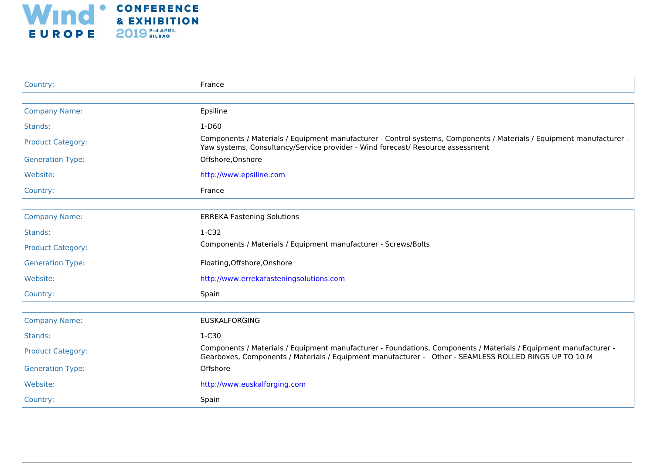

| Country:                 | France                                                                                                                                                                                                                    |
|--------------------------|---------------------------------------------------------------------------------------------------------------------------------------------------------------------------------------------------------------------------|
|                          |                                                                                                                                                                                                                           |
| <b>Company Name:</b>     | Epsiline                                                                                                                                                                                                                  |
| Stands:                  | $1-D60$                                                                                                                                                                                                                   |
| <b>Product Category:</b> | Components / Materials / Equipment manufacturer - Control systems, Components / Materials / Equipment manufacturer -<br>Yaw systems, Consultancy/Service provider - Wind forecast/ Resource assessment                    |
| <b>Generation Type:</b>  | Offshore, Onshore                                                                                                                                                                                                         |
| Website:                 | http://www.epsiline.com                                                                                                                                                                                                   |
| Country:                 | France                                                                                                                                                                                                                    |
|                          |                                                                                                                                                                                                                           |
| <b>Company Name:</b>     | <b>ERREKA Fastening Solutions</b>                                                                                                                                                                                         |
| Stands:                  | $1-C32$                                                                                                                                                                                                                   |
| <b>Product Category:</b> | Components / Materials / Equipment manufacturer - Screws/Bolts                                                                                                                                                            |
| <b>Generation Type:</b>  | Floating, Offshore, Onshore                                                                                                                                                                                               |
| Website:                 | http://www.errekafasteningsolutions.com                                                                                                                                                                                   |
| Country:                 | Spain                                                                                                                                                                                                                     |
|                          |                                                                                                                                                                                                                           |
| <b>Company Name:</b>     | <b>EUSKALFORGING</b>                                                                                                                                                                                                      |
| Stands:                  | $1-C30$                                                                                                                                                                                                                   |
| <b>Product Category:</b> | Components / Materials / Equipment manufacturer - Foundations, Components / Materials / Equipment manufacturer -<br>Gearboxes, Components / Materials / Equipment manufacturer - Other - SEAMLESS ROLLED RINGS UP TO 10 M |
| <b>Generation Type:</b>  | Offshore                                                                                                                                                                                                                  |
| Website:                 | http://www.euskalforging.com                                                                                                                                                                                              |
| Country:                 | Spain                                                                                                                                                                                                                     |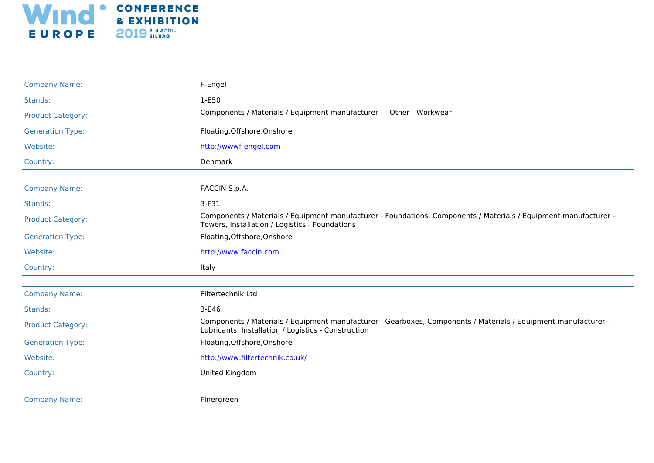

| <b>Company Name:</b>     | F-Engel                                                                                                                                                               |
|--------------------------|-----------------------------------------------------------------------------------------------------------------------------------------------------------------------|
| Stands:                  | 1-E50                                                                                                                                                                 |
| <b>Product Category:</b> | Components / Materials / Equipment manufacturer - Other - Workwear                                                                                                    |
| <b>Generation Type:</b>  | Floating, Offshore, Onshore                                                                                                                                           |
| Website:                 | http://wwwf-engel.com                                                                                                                                                 |
| Country:                 | Denmark                                                                                                                                                               |
|                          |                                                                                                                                                                       |
| <b>Company Name:</b>     | FACCIN S.p.A.                                                                                                                                                         |
| Stands:                  | $3-F31$                                                                                                                                                               |
| <b>Product Category:</b> | Components / Materials / Equipment manufacturer - Foundations, Components / Materials / Equipment manufacturer -<br>Towers, Installation / Logistics - Foundations    |
| <b>Generation Type:</b>  | Floating, Offshore, Onshore                                                                                                                                           |
| Website:                 | http://www.faccin.com                                                                                                                                                 |
| Country:                 | Italy                                                                                                                                                                 |
| <b>Company Name:</b>     | Filtertechnik Ltd                                                                                                                                                     |
| Stands:                  | $3-E46$                                                                                                                                                               |
| <b>Product Category:</b> | Components / Materials / Equipment manufacturer - Gearboxes, Components / Materials / Equipment manufacturer -<br>Lubricants, Installation / Logistics - Construction |
| <b>Generation Type:</b>  | Floating, Offshore, Onshore                                                                                                                                           |
| Website:                 | http://www.filtertechnik.co.uk/                                                                                                                                       |
| Country:                 | United Kingdom                                                                                                                                                        |
|                          |                                                                                                                                                                       |

Company Name: The Company Name: The Company Name: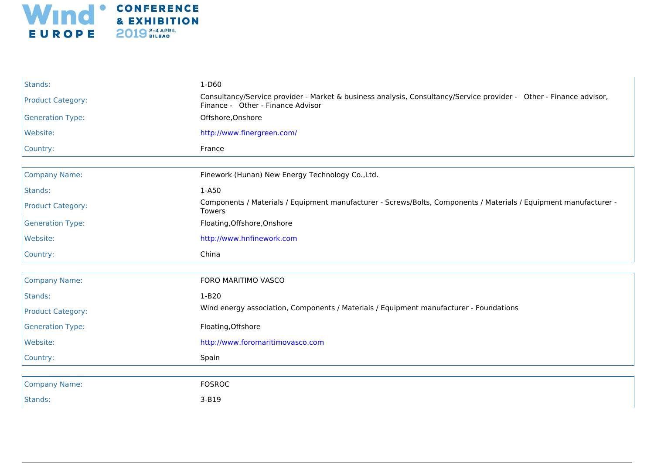

| Stands:                  | $1-D60$                                                                                                                                                 |
|--------------------------|---------------------------------------------------------------------------------------------------------------------------------------------------------|
| <b>Product Category:</b> | Consultancy/Service provider - Market & business analysis, Consultancy/Service provider - Other - Finance advisor,<br>Finance - Other - Finance Advisor |
| <b>Generation Type:</b>  | Offshore, Onshore                                                                                                                                       |
| Website:                 | http://www.finergreen.com/                                                                                                                              |
| Country:                 | France                                                                                                                                                  |
|                          |                                                                                                                                                         |
| <b>Company Name:</b>     | Finework (Hunan) New Energy Technology Co., Ltd.                                                                                                        |
| Stands:                  | $1-A50$                                                                                                                                                 |
| <b>Product Category:</b> | Components / Materials / Equipment manufacturer - Screws/Bolts, Components / Materials / Equipment manufacturer -<br><b>Towers</b>                      |
| <b>Generation Type:</b>  | Floating, Offshore, Onshore                                                                                                                             |
| Website:                 | http://www.hnfinework.com                                                                                                                               |
| Country:                 | China                                                                                                                                                   |
|                          |                                                                                                                                                         |
| <b>Company Name:</b>     | FORO MARITIMO VASCO                                                                                                                                     |
| Stands:                  | $1-B20$                                                                                                                                                 |
| <b>Product Category:</b> | Wind energy association, Components / Materials / Equipment manufacturer - Foundations                                                                  |
| <b>Generation Type:</b>  | Floating, Offshore                                                                                                                                      |
| Website:                 | http://www.foromaritimovasco.com                                                                                                                        |
| Country:                 | Spain                                                                                                                                                   |
|                          |                                                                                                                                                         |
| <b>Company Name:</b>     | <b>FOSROC</b>                                                                                                                                           |
| Stands:                  | 3-B19                                                                                                                                                   |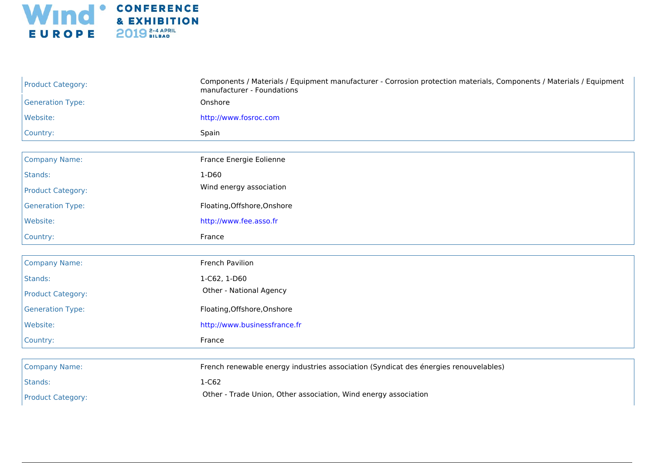

| <b>Product Category:</b> | Components / Materials / Equipment manufacturer - Corrosion protection materials, Components / Materials / Equipment<br>manufacturer - Foundations |
|--------------------------|----------------------------------------------------------------------------------------------------------------------------------------------------|
| <b>Generation Type:</b>  | Onshore                                                                                                                                            |
| Website:                 | http://www.fosroc.com                                                                                                                              |
| Country:                 | Spain                                                                                                                                              |
|                          |                                                                                                                                                    |
| <b>Company Name:</b>     | France Energie Eolienne                                                                                                                            |
| Stands:                  | $1-D60$                                                                                                                                            |
| <b>Product Category:</b> | Wind energy association                                                                                                                            |
| <b>Generation Type:</b>  | Floating, Offshore, Onshore                                                                                                                        |
| Website:                 | http://www.fee.asso.fr                                                                                                                             |
| Country:                 | France                                                                                                                                             |
|                          |                                                                                                                                                    |
| <b>Company Name:</b>     | French Pavilion                                                                                                                                    |
| Stands:                  | 1-C62, 1-D60                                                                                                                                       |
| <b>Product Category:</b> | Other - National Agency                                                                                                                            |
| <b>Generation Type:</b>  | Floating, Offshore, Onshore                                                                                                                        |
| Website:                 | http://www.businessfrance.fr                                                                                                                       |
| Country:                 | France                                                                                                                                             |
|                          |                                                                                                                                                    |
| <b>Company Name:</b>     | French renewable energy industries association (Syndicat des énergies renouvelables)                                                               |
| Stands:                  | 1-C62                                                                                                                                              |
| <b>Product Category:</b> | Other - Trade Union, Other association, Wind energy association                                                                                    |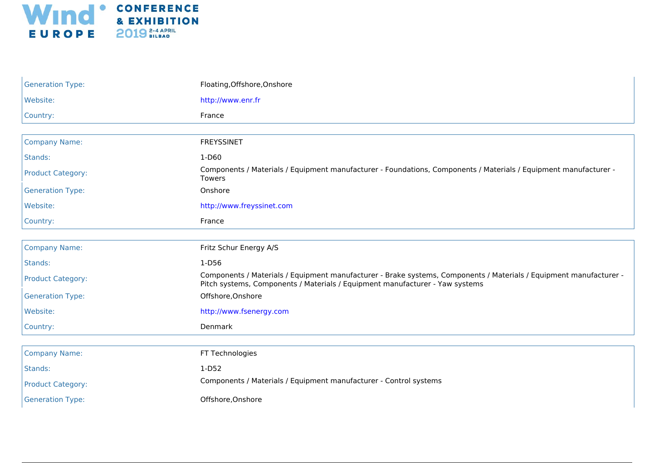

| <b>Generation Type:</b>  | Floating, Offshore, Onshore                                                                                                                                                                        |
|--------------------------|----------------------------------------------------------------------------------------------------------------------------------------------------------------------------------------------------|
| Website:                 | http://www.enr.fr                                                                                                                                                                                  |
| Country:                 | France                                                                                                                                                                                             |
|                          |                                                                                                                                                                                                    |
| <b>Company Name:</b>     | <b>FREYSSINET</b>                                                                                                                                                                                  |
| Stands:                  | $1-D60$                                                                                                                                                                                            |
| <b>Product Category:</b> | Components / Materials / Equipment manufacturer - Foundations, Components / Materials / Equipment manufacturer -<br>Towers                                                                         |
| <b>Generation Type:</b>  | Onshore                                                                                                                                                                                            |
| Website:                 | http://www.freyssinet.com                                                                                                                                                                          |
| Country:                 | France                                                                                                                                                                                             |
|                          |                                                                                                                                                                                                    |
| <b>Company Name:</b>     | Fritz Schur Energy A/S                                                                                                                                                                             |
| Stands:                  | 1-D56                                                                                                                                                                                              |
| <b>Product Category:</b> | Components / Materials / Equipment manufacturer - Brake systems, Components / Materials / Equipment manufacturer -<br>Pitch systems, Components / Materials / Equipment manufacturer - Yaw systems |
| <b>Generation Type:</b>  | Offshore, Onshore                                                                                                                                                                                  |
| Website:                 | http://www.fsenergy.com                                                                                                                                                                            |
| Country:                 | Denmark                                                                                                                                                                                            |
|                          |                                                                                                                                                                                                    |
| <b>Company Name:</b>     | FT Technologies                                                                                                                                                                                    |
| Stands:                  | $1-D52$                                                                                                                                                                                            |
| <b>Product Category:</b> | Components / Materials / Equipment manufacturer - Control systems                                                                                                                                  |
| <b>Generation Type:</b>  | Offshore, Onshore                                                                                                                                                                                  |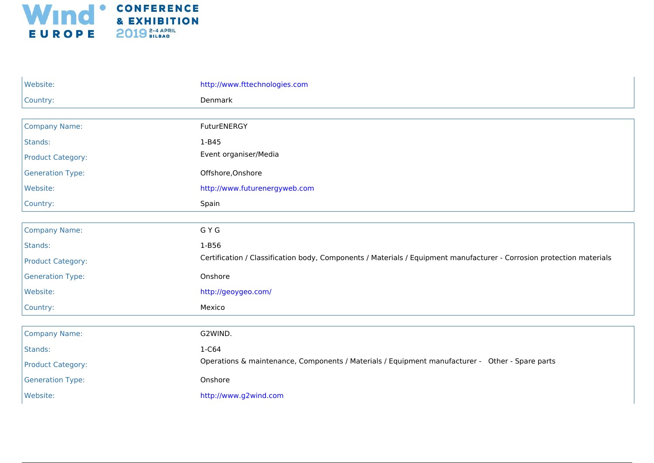

| Website:                 | http://www.fttechnologies.com                                                                                         |
|--------------------------|-----------------------------------------------------------------------------------------------------------------------|
| Country:                 | Denmark                                                                                                               |
|                          |                                                                                                                       |
| <b>Company Name:</b>     | FuturENERGY                                                                                                           |
| Stands:                  | $1 - B45$                                                                                                             |
| <b>Product Category:</b> | Event organiser/Media                                                                                                 |
| <b>Generation Type:</b>  | Offshore, Onshore                                                                                                     |
| Website:                 | http://www.futurenergyweb.com                                                                                         |
| Country:                 | Spain                                                                                                                 |
|                          |                                                                                                                       |
| <b>Company Name:</b>     | G Y G                                                                                                                 |
| Stands:                  | 1-B56                                                                                                                 |
| <b>Product Category:</b> | Certification / Classification body, Components / Materials / Equipment manufacturer - Corrosion protection materials |
| <b>Generation Type:</b>  | Onshore                                                                                                               |
| Website:                 | http://geoygeo.com/                                                                                                   |
| Country:                 | Mexico                                                                                                                |
|                          |                                                                                                                       |
| <b>Company Name:</b>     | G2WIND.                                                                                                               |
| Stands:                  | 1-C64                                                                                                                 |
| <b>Product Category:</b> | Operations & maintenance, Components / Materials / Equipment manufacturer - Other - Spare parts                       |
| <b>Generation Type:</b>  | Onshore                                                                                                               |
| Website:                 | http://www.g2wind.com                                                                                                 |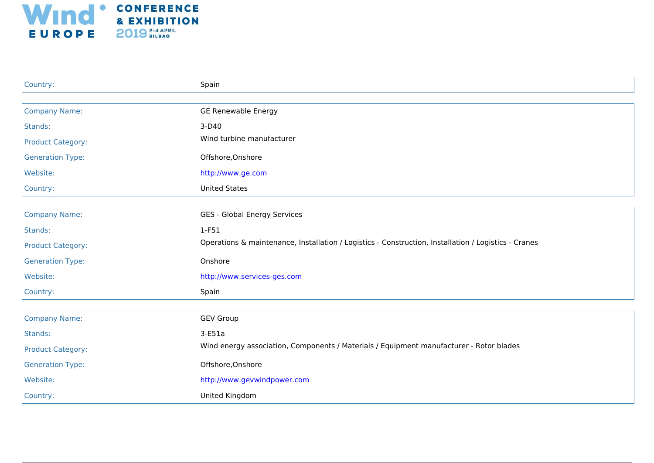

| Country:                 | Spain                                                                                                |
|--------------------------|------------------------------------------------------------------------------------------------------|
|                          |                                                                                                      |
| <b>Company Name:</b>     | <b>GE Renewable Energy</b>                                                                           |
| Stands:                  | $3-D40$                                                                                              |
| <b>Product Category:</b> | Wind turbine manufacturer                                                                            |
| <b>Generation Type:</b>  | Offshore, Onshore                                                                                    |
| Website:                 | http://www.ge.com                                                                                    |
| Country:                 | <b>United States</b>                                                                                 |
|                          |                                                                                                      |
| <b>Company Name:</b>     | GES - Global Energy Services                                                                         |
| Stands:                  | $1-F51$                                                                                              |
| <b>Product Category:</b> | Operations & maintenance, Installation / Logistics - Construction, Installation / Logistics - Cranes |
| <b>Generation Type:</b>  | Onshore                                                                                              |
| Website:                 | http://www.services-ges.com                                                                          |
| Country:                 | Spain                                                                                                |
|                          |                                                                                                      |
| <b>Company Name:</b>     | <b>GEV Group</b>                                                                                     |
| Stands:                  | $3-E51a$                                                                                             |
| <b>Product Category:</b> | Wind energy association, Components / Materials / Equipment manufacturer - Rotor blades              |
| <b>Generation Type:</b>  | Offshore, Onshore                                                                                    |
| Website:                 | http://www.gevwindpower.com                                                                          |
| Country:                 | United Kingdom                                                                                       |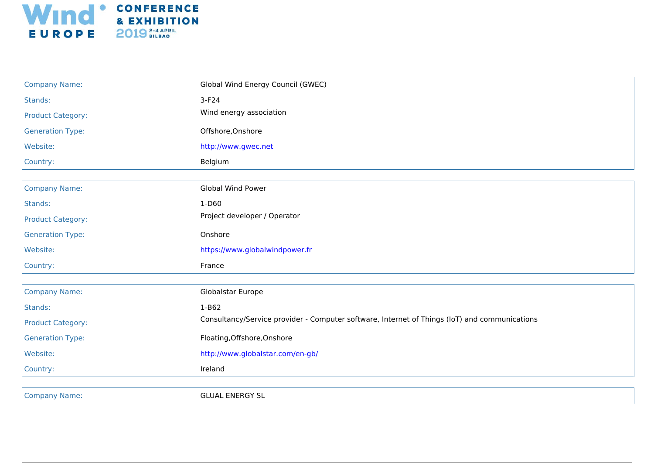

| <b>Company Name:</b>     | Global Wind Energy Council (GWEC)                                                             |
|--------------------------|-----------------------------------------------------------------------------------------------|
| Stands:                  | $3-F24$                                                                                       |
| <b>Product Category:</b> | Wind energy association                                                                       |
| <b>Generation Type:</b>  | Offshore, Onshore                                                                             |
| Website:                 | http://www.gwec.net                                                                           |
| Country:                 | Belgium                                                                                       |
|                          |                                                                                               |
| <b>Company Name:</b>     | <b>Global Wind Power</b>                                                                      |
| Stands:                  | $1-D60$                                                                                       |
| <b>Product Category:</b> | Project developer / Operator                                                                  |
| <b>Generation Type:</b>  | Onshore                                                                                       |
| Website:                 | https://www.globalwindpower.fr                                                                |
| Country:                 | France                                                                                        |
|                          |                                                                                               |
| <b>Company Name:</b>     | Globalstar Europe                                                                             |
| Stands:                  | $1-B62$                                                                                       |
| <b>Product Category:</b> | Consultancy/Service provider - Computer software, Internet of Things (IoT) and communications |
| <b>Generation Type:</b>  | Floating, Offshore, Onshore                                                                   |
| Website:                 | http://www.globalstar.com/en-gb/                                                              |
| Country:                 | Ireland                                                                                       |
|                          |                                                                                               |
| <b>Company Name:</b>     | <b>GLUAL ENERGY SL</b>                                                                        |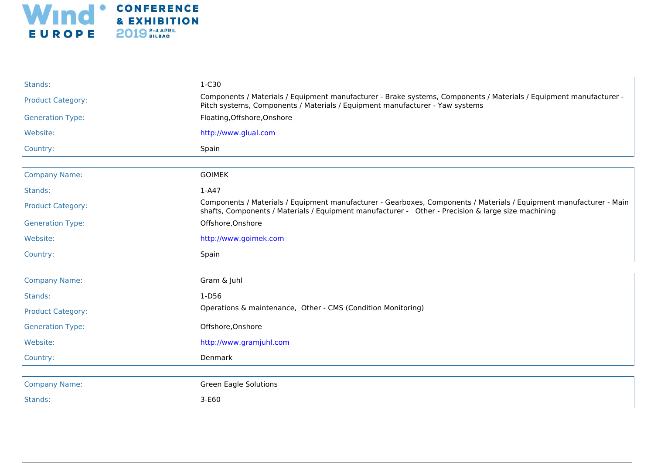

| Stands:                  | 1-C30                                                                                                                                                                                                                     |
|--------------------------|---------------------------------------------------------------------------------------------------------------------------------------------------------------------------------------------------------------------------|
| <b>Product Category:</b> | Components / Materials / Equipment manufacturer - Brake systems, Components / Materials / Equipment manufacturer -<br>Pitch systems, Components / Materials / Equipment manufacturer - Yaw systems                        |
| <b>Generation Type:</b>  | Floating, Offshore, Onshore                                                                                                                                                                                               |
| Website:                 | http://www.glual.com                                                                                                                                                                                                      |
| Country:                 | Spain                                                                                                                                                                                                                     |
|                          |                                                                                                                                                                                                                           |
| <b>Company Name:</b>     | <b>GOIMEK</b>                                                                                                                                                                                                             |
| Stands:                  | $1-A47$                                                                                                                                                                                                                   |
| <b>Product Category:</b> | Components / Materials / Equipment manufacturer - Gearboxes, Components / Materials / Equipment manufacturer - Main<br>shafts, Components / Materials / Equipment manufacturer - Other - Precision & large size machining |
| <b>Generation Type:</b>  | Offshore, Onshore                                                                                                                                                                                                         |
| Website:                 | http://www.goimek.com                                                                                                                                                                                                     |
| Country:                 | Spain                                                                                                                                                                                                                     |
|                          |                                                                                                                                                                                                                           |
| <b>Company Name:</b>     | Gram & Juhl                                                                                                                                                                                                               |
| Stands:                  | $1-D56$                                                                                                                                                                                                                   |
| <b>Product Category:</b> | Operations & maintenance, Other - CMS (Condition Monitoring)                                                                                                                                                              |
| <b>Generation Type:</b>  | Offshore, Onshore                                                                                                                                                                                                         |
| Website:                 | http://www.gramjuhl.com                                                                                                                                                                                                   |
| Country:                 | Denmark                                                                                                                                                                                                                   |
|                          |                                                                                                                                                                                                                           |
| <b>Company Name:</b>     | <b>Green Eagle Solutions</b>                                                                                                                                                                                              |
| Stands:                  | $3-E60$                                                                                                                                                                                                                   |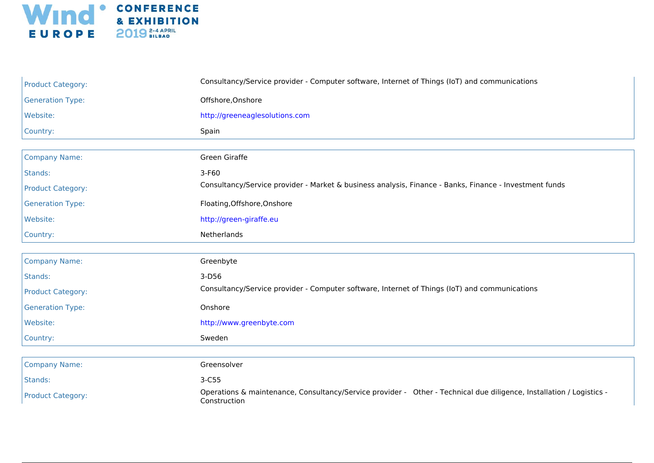

| <b>Product Category:</b> | Consultancy/Service provider - Computer software, Internet of Things (IoT) and communications                                        |
|--------------------------|--------------------------------------------------------------------------------------------------------------------------------------|
| <b>Generation Type:</b>  | Offshore, Onshore                                                                                                                    |
| Website:                 | http://greeneaglesolutions.com                                                                                                       |
| Country:                 | Spain                                                                                                                                |
|                          |                                                                                                                                      |
| <b>Company Name:</b>     | Green Giraffe                                                                                                                        |
| Stands:                  | 3-F60                                                                                                                                |
| <b>Product Category:</b> | Consultancy/Service provider - Market & business analysis, Finance - Banks, Finance - Investment funds                               |
| <b>Generation Type:</b>  | Floating, Offshore, Onshore                                                                                                          |
| Website:                 | http://green-giraffe.eu                                                                                                              |
| Country:                 | Netherlands                                                                                                                          |
|                          |                                                                                                                                      |
| <b>Company Name:</b>     | Greenbyte                                                                                                                            |
| Stands:                  | $3-D56$                                                                                                                              |
| <b>Product Category:</b> | Consultancy/Service provider - Computer software, Internet of Things (IoT) and communications                                        |
| <b>Generation Type:</b>  | Onshore                                                                                                                              |
| Website:                 | http://www.greenbyte.com                                                                                                             |
| Country:                 | Sweden                                                                                                                               |
|                          |                                                                                                                                      |
| <b>Company Name:</b>     | Greensolver                                                                                                                          |
| Stands:                  | $3-C55$                                                                                                                              |
| <b>Product Category:</b> | Operations & maintenance, Consultancy/Service provider - Other - Technical due diligence, Installation / Logistics -<br>Construction |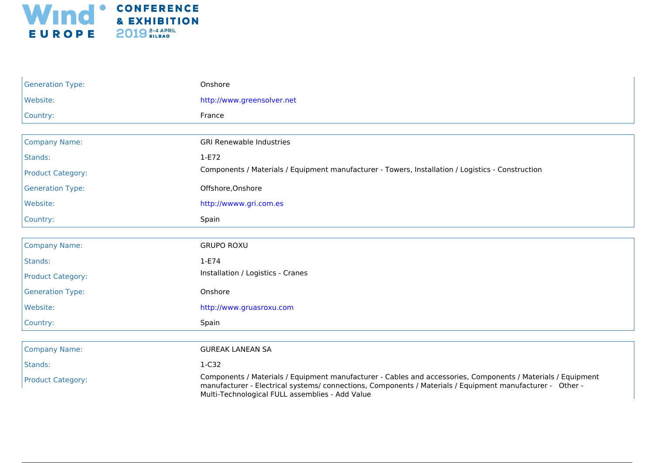

| <b>Generation Type:</b>  | Onshore                                                                                                                                                                                                                                                                      |
|--------------------------|------------------------------------------------------------------------------------------------------------------------------------------------------------------------------------------------------------------------------------------------------------------------------|
| Website:                 | http://www.greensolver.net                                                                                                                                                                                                                                                   |
| Country:                 | France                                                                                                                                                                                                                                                                       |
|                          |                                                                                                                                                                                                                                                                              |
| <b>Company Name:</b>     | <b>GRI Renewable Industries</b>                                                                                                                                                                                                                                              |
| Stands:                  | $1-E72$                                                                                                                                                                                                                                                                      |
| <b>Product Category:</b> | Components / Materials / Equipment manufacturer - Towers, Installation / Logistics - Construction                                                                                                                                                                            |
| <b>Generation Type:</b>  | Offshore, Onshore                                                                                                                                                                                                                                                            |
| Website:                 | http://wwww.gri.com.es                                                                                                                                                                                                                                                       |
| Country:                 | Spain                                                                                                                                                                                                                                                                        |
|                          |                                                                                                                                                                                                                                                                              |
| <b>Company Name:</b>     | <b>GRUPO ROXU</b>                                                                                                                                                                                                                                                            |
| Stands:                  | $1-E74$                                                                                                                                                                                                                                                                      |
| <b>Product Category:</b> | Installation / Logistics - Cranes                                                                                                                                                                                                                                            |
| <b>Generation Type:</b>  | Onshore                                                                                                                                                                                                                                                                      |
| Website:                 | http://www.gruasroxu.com                                                                                                                                                                                                                                                     |
| Country:                 | Spain                                                                                                                                                                                                                                                                        |
|                          |                                                                                                                                                                                                                                                                              |
| <b>Company Name:</b>     | <b>GUREAK LANEAN SA</b>                                                                                                                                                                                                                                                      |
| Stands:                  | $1-C32$                                                                                                                                                                                                                                                                      |
| <b>Product Category:</b> | Components / Materials / Equipment manufacturer - Cables and accessories, Components / Materials / Equipment<br>manufacturer - Electrical systems/ connections, Components / Materials / Equipment manufacturer - Other -<br>Multi-Technological FULL assemblies - Add Value |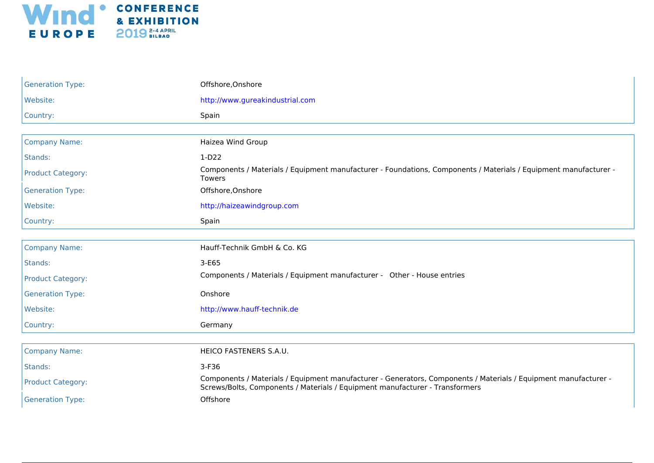

| <b>Generation Type:</b>  | Offshore, Onshore                                                                                                                                                                               |
|--------------------------|-------------------------------------------------------------------------------------------------------------------------------------------------------------------------------------------------|
| Website:                 | http://www.gureakindustrial.com                                                                                                                                                                 |
| Country:                 | Spain                                                                                                                                                                                           |
|                          |                                                                                                                                                                                                 |
| <b>Company Name:</b>     | Haizea Wind Group                                                                                                                                                                               |
| Stands:                  | $1-D22$                                                                                                                                                                                         |
| <b>Product Category:</b> | Components / Materials / Equipment manufacturer - Foundations, Components / Materials / Equipment manufacturer -<br>Towers                                                                      |
| <b>Generation Type:</b>  | Offshore, Onshore                                                                                                                                                                               |
| Website:                 | http://haizeawindgroup.com                                                                                                                                                                      |
| Country:                 | Spain                                                                                                                                                                                           |
|                          |                                                                                                                                                                                                 |
| <b>Company Name:</b>     | Hauff-Technik GmbH & Co. KG                                                                                                                                                                     |
| Stands:                  | $3-E65$                                                                                                                                                                                         |
| <b>Product Category:</b> | Components / Materials / Equipment manufacturer - Other - House entries                                                                                                                         |
| <b>Generation Type:</b>  | Onshore                                                                                                                                                                                         |
| Website:                 | http://www.hauff-technik.de                                                                                                                                                                     |
| Country:                 | Germany                                                                                                                                                                                         |
|                          |                                                                                                                                                                                                 |
| <b>Company Name:</b>     | HEICO FASTENERS S.A.U.                                                                                                                                                                          |
| Stands:                  | $3-F36$                                                                                                                                                                                         |
| <b>Product Category:</b> | Components / Materials / Equipment manufacturer - Generators, Components / Materials / Equipment manufacturer -<br>Screws/Bolts, Components / Materials / Equipment manufacturer - Transformers |
| <b>Generation Type:</b>  | Offshore                                                                                                                                                                                        |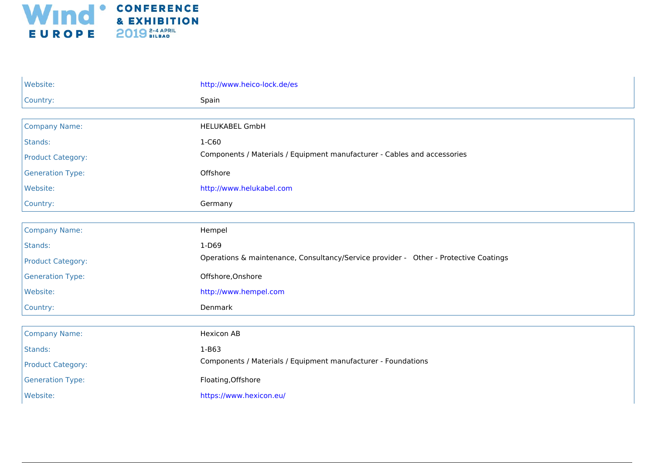

| Website:                 | http://www.heico-lock.de/es                                                          |
|--------------------------|--------------------------------------------------------------------------------------|
| Country:                 | Spain                                                                                |
|                          |                                                                                      |
| <b>Company Name:</b>     | <b>HELUKABEL GmbH</b>                                                                |
| Stands:                  | 1-C60                                                                                |
| <b>Product Category:</b> | Components / Materials / Equipment manufacturer - Cables and accessories             |
| <b>Generation Type:</b>  | Offshore                                                                             |
| Website:                 | http://www.helukabel.com                                                             |
| Country:                 | Germany                                                                              |
|                          |                                                                                      |
| <b>Company Name:</b>     | Hempel                                                                               |
| Stands:                  | $1-D69$                                                                              |
| <b>Product Category:</b> | Operations & maintenance, Consultancy/Service provider - Other - Protective Coatings |
| <b>Generation Type:</b>  | Offshore, Onshore                                                                    |
| Website:                 | http://www.hempel.com                                                                |
| Country:                 | Denmark                                                                              |
|                          |                                                                                      |
| <b>Company Name:</b>     | <b>Hexicon AB</b>                                                                    |
| Stands:                  | $1 - B63$                                                                            |
| <b>Product Category:</b> | Components / Materials / Equipment manufacturer - Foundations                        |
| <b>Generation Type:</b>  | Floating, Offshore                                                                   |
| Website:                 | https://www.hexicon.eu/                                                              |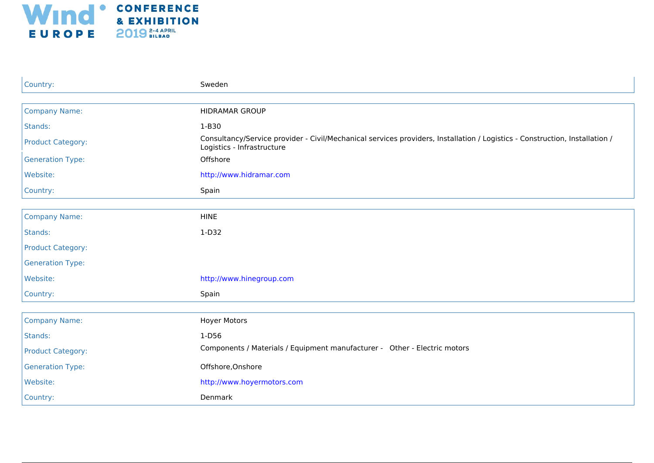

| Country:                 | Sweden                                                                                                                                                    |
|--------------------------|-----------------------------------------------------------------------------------------------------------------------------------------------------------|
|                          |                                                                                                                                                           |
| <b>Company Name:</b>     | <b>HIDRAMAR GROUP</b>                                                                                                                                     |
| Stands:                  | $1-B30$                                                                                                                                                   |
| <b>Product Category:</b> | Consultancy/Service provider - Civil/Mechanical services providers, Installation / Logistics - Construction, Installation /<br>Logistics - Infrastructure |
| <b>Generation Type:</b>  | Offshore                                                                                                                                                  |
| Website:                 | http://www.hidramar.com                                                                                                                                   |
| Country:                 | Spain                                                                                                                                                     |
|                          |                                                                                                                                                           |
| <b>Company Name:</b>     | <b>HINE</b>                                                                                                                                               |
| Stands:                  | $1-D32$                                                                                                                                                   |
| <b>Product Category:</b> |                                                                                                                                                           |
| <b>Generation Type:</b>  |                                                                                                                                                           |
| Website:                 | http://www.hinegroup.com                                                                                                                                  |
| Country:                 | Spain                                                                                                                                                     |
|                          |                                                                                                                                                           |
| <b>Company Name:</b>     | <b>Hoyer Motors</b>                                                                                                                                       |
| Stands:                  | $1-D56$                                                                                                                                                   |
| <b>Product Category:</b> | Components / Materials / Equipment manufacturer - Other - Electric motors                                                                                 |
| <b>Generation Type:</b>  | Offshore, Onshore                                                                                                                                         |
| Website:                 | http://www.hoyermotors.com                                                                                                                                |
| Country:                 | Denmark                                                                                                                                                   |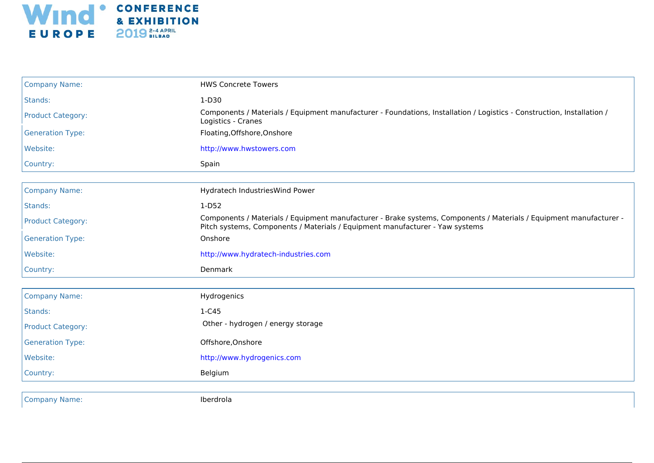

| <b>Company Name:</b>     | <b>HWS Concrete Towers</b>                                                                                                                                                                         |
|--------------------------|----------------------------------------------------------------------------------------------------------------------------------------------------------------------------------------------------|
| Stands:                  | 1-D30                                                                                                                                                                                              |
| <b>Product Category:</b> | Components / Materials / Equipment manufacturer - Foundations, Installation / Logistics - Construction, Installation /<br>Logistics - Cranes                                                       |
| <b>Generation Type:</b>  | Floating, Offshore, Onshore                                                                                                                                                                        |
| Website:                 | http://www.hwstowers.com                                                                                                                                                                           |
| Country:                 | Spain                                                                                                                                                                                              |
|                          |                                                                                                                                                                                                    |
| <b>Company Name:</b>     | Hydratech IndustriesWind Power                                                                                                                                                                     |
| Stands:                  | $1-D52$                                                                                                                                                                                            |
| <b>Product Category:</b> | Components / Materials / Equipment manufacturer - Brake systems, Components / Materials / Equipment manufacturer -<br>Pitch systems, Components / Materials / Equipment manufacturer - Yaw systems |
| <b>Generation Type:</b>  | Onshore                                                                                                                                                                                            |
| Website:                 | http://www.hydratech-industries.com                                                                                                                                                                |
| Country:                 | Denmark                                                                                                                                                                                            |
|                          |                                                                                                                                                                                                    |
| <b>Company Name:</b>     | Hydrogenics                                                                                                                                                                                        |
| Stands:                  | $1-C45$                                                                                                                                                                                            |
| <b>Product Category:</b> | Other - hydrogen / energy storage                                                                                                                                                                  |
| <b>Generation Type:</b>  | Offshore, Onshore                                                                                                                                                                                  |
| Website:                 | http://www.hydrogenics.com                                                                                                                                                                         |
| Country:                 | Belgium                                                                                                                                                                                            |
|                          |                                                                                                                                                                                                    |
|                          | $\sim$ $\sim$                                                                                                                                                                                      |

Company Name: Iberdrola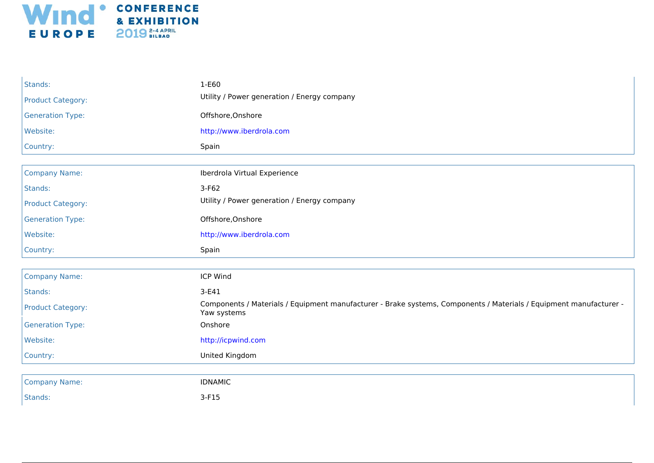

| Stands:                  | 1-E60                                                                                                                             |
|--------------------------|-----------------------------------------------------------------------------------------------------------------------------------|
| <b>Product Category:</b> | Utility / Power generation / Energy company                                                                                       |
| <b>Generation Type:</b>  | Offshore, Onshore                                                                                                                 |
| Website:                 | http://www.iberdrola.com                                                                                                          |
| Country:                 | Spain                                                                                                                             |
|                          |                                                                                                                                   |
| <b>Company Name:</b>     | Iberdrola Virtual Experience                                                                                                      |
| Stands:                  | $3-F62$                                                                                                                           |
| <b>Product Category:</b> | Utility / Power generation / Energy company                                                                                       |
| <b>Generation Type:</b>  | Offshore, Onshore                                                                                                                 |
| Website:                 | http://www.iberdrola.com                                                                                                          |
| Country:                 | Spain                                                                                                                             |
|                          |                                                                                                                                   |
| <b>Company Name:</b>     | ICP Wind                                                                                                                          |
| Stands:                  | $3-E41$                                                                                                                           |
| <b>Product Category:</b> | Components / Materials / Equipment manufacturer - Brake systems, Components / Materials / Equipment manufacturer -<br>Yaw systems |
| <b>Generation Type:</b>  | Onshore                                                                                                                           |
| Website:                 | http://icpwind.com                                                                                                                |
| Country:                 | United Kingdom                                                                                                                    |
|                          |                                                                                                                                   |
| <b>Company Name:</b>     | <b>IDNAMIC</b>                                                                                                                    |
| Stands:                  | $3-F15$                                                                                                                           |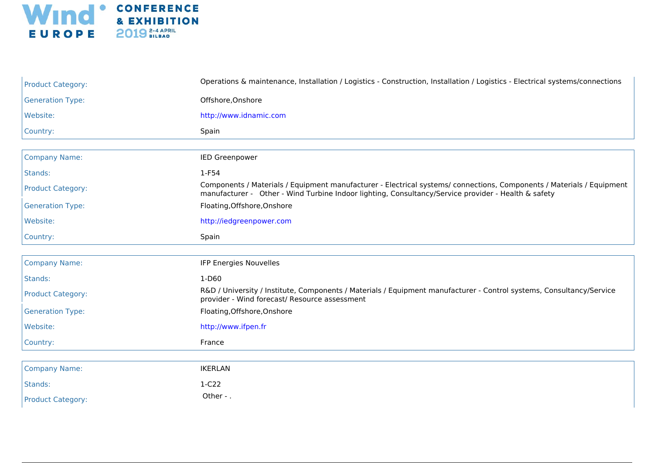

| <b>Product Category:</b> | Operations & maintenance, Installation / Logistics - Construction, Installation / Logistics - Electrical systems/connections                                                                                                 |
|--------------------------|------------------------------------------------------------------------------------------------------------------------------------------------------------------------------------------------------------------------------|
| <b>Generation Type:</b>  | Offshore, Onshore                                                                                                                                                                                                            |
| Website:                 | http://www.idnamic.com                                                                                                                                                                                                       |
| Country:                 | Spain                                                                                                                                                                                                                        |
|                          |                                                                                                                                                                                                                              |
| <b>Company Name:</b>     | <b>IED Greenpower</b>                                                                                                                                                                                                        |
| Stands:                  | $1-F54$                                                                                                                                                                                                                      |
| <b>Product Category:</b> | Components / Materials / Equipment manufacturer - Electrical systems/ connections, Components / Materials / Equipment<br>manufacturer - Other - Wind Turbine Indoor lighting, Consultancy/Service provider - Health & safety |
| <b>Generation Type:</b>  | Floating, Offshore, Onshore                                                                                                                                                                                                  |
| Website:                 | http://iedgreenpower.com                                                                                                                                                                                                     |
| Country:                 | Spain                                                                                                                                                                                                                        |
|                          |                                                                                                                                                                                                                              |
| <b>Company Name:</b>     | IFP Energies Nouvelles                                                                                                                                                                                                       |
| Stands:                  | 1-D60                                                                                                                                                                                                                        |
| <b>Product Category:</b> | R&D / University / Institute, Components / Materials / Equipment manufacturer - Control systems, Consultancy/Service<br>provider - Wind forecast/ Resource assessment                                                        |
| <b>Generation Type:</b>  | Floating, Offshore, Onshore                                                                                                                                                                                                  |
| Website:                 | http://www.ifpen.fr                                                                                                                                                                                                          |
| Country:                 | France                                                                                                                                                                                                                       |
|                          |                                                                                                                                                                                                                              |
| <b>Company Name:</b>     | <b>IKERLAN</b>                                                                                                                                                                                                               |
| Stands:                  | $1-C22$                                                                                                                                                                                                                      |
| <b>Product Category:</b> | Other - .                                                                                                                                                                                                                    |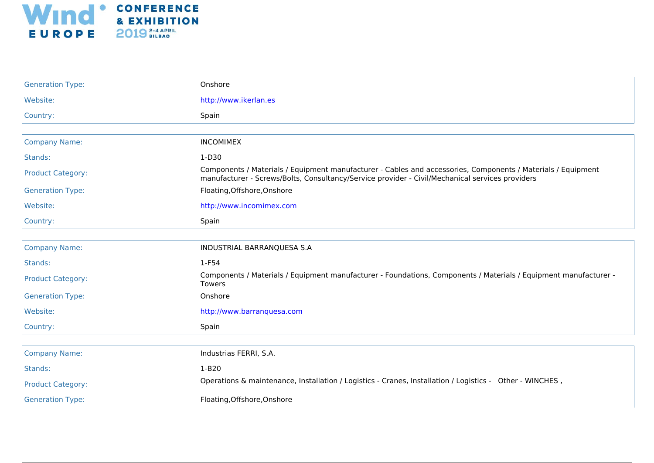

| <b>Generation Type:</b>  | Onshore                                                                                                                                                                                                         |
|--------------------------|-----------------------------------------------------------------------------------------------------------------------------------------------------------------------------------------------------------------|
| Website:                 | http://www.ikerlan.es                                                                                                                                                                                           |
| Country:                 | Spain                                                                                                                                                                                                           |
|                          |                                                                                                                                                                                                                 |
| <b>Company Name:</b>     | <b>INCOMIMEX</b>                                                                                                                                                                                                |
| Stands:                  | $1-D30$                                                                                                                                                                                                         |
| <b>Product Category:</b> | Components / Materials / Equipment manufacturer - Cables and accessories, Components / Materials / Equipment<br>manufacturer - Screws/Bolts, Consultancy/Service provider - Civil/Mechanical services providers |
| <b>Generation Type:</b>  | Floating, Offshore, Onshore                                                                                                                                                                                     |
| Website:                 | http://www.incomimex.com                                                                                                                                                                                        |
| Country:                 | Spain                                                                                                                                                                                                           |
| <b>Company Name:</b>     | INDUSTRIAL BARRANQUESA S.A                                                                                                                                                                                      |
| Stands:                  | $1-F54$                                                                                                                                                                                                         |
| <b>Product Category:</b> | Components / Materials / Equipment manufacturer - Foundations, Components / Materials / Equipment manufacturer -<br><b>Towers</b>                                                                               |
| <b>Generation Type:</b>  | Onshore                                                                                                                                                                                                         |
| Website:                 | http://www.barranquesa.com                                                                                                                                                                                      |
| Country:                 | Spain                                                                                                                                                                                                           |
|                          |                                                                                                                                                                                                                 |
| <b>Company Name:</b>     | Industrias FERRI, S.A.                                                                                                                                                                                          |
| Stands:                  | $1-B20$                                                                                                                                                                                                         |
| <b>Product Category:</b> | Operations & maintenance, Installation / Logistics - Cranes, Installation / Logistics - Other - WINCHES,                                                                                                        |
| <b>Generation Type:</b>  | Floating, Offshore, Onshore                                                                                                                                                                                     |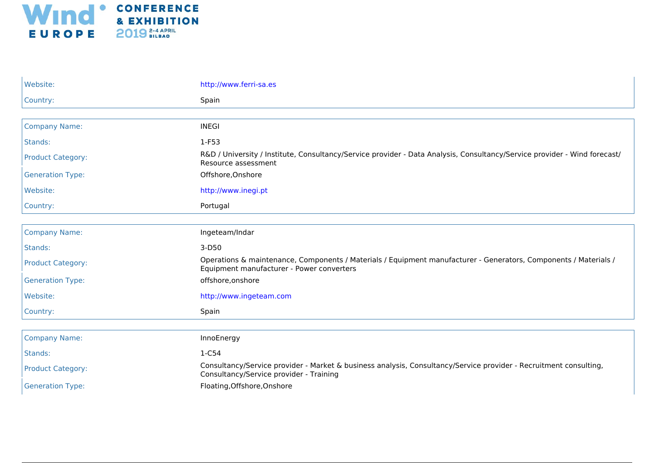

| Website:                 | http://www.ferri-sa.es                                                                                                                                        |
|--------------------------|---------------------------------------------------------------------------------------------------------------------------------------------------------------|
| Country:                 | Spain                                                                                                                                                         |
|                          |                                                                                                                                                               |
| <b>Company Name:</b>     | <b>INEGI</b>                                                                                                                                                  |
| Stands:                  | $1-F53$                                                                                                                                                       |
| <b>Product Category:</b> | R&D / University / Institute, Consultancy/Service provider - Data Analysis, Consultancy/Service provider - Wind forecast/<br>Resource assessment              |
| <b>Generation Type:</b>  | Offshore, Onshore                                                                                                                                             |
| Website:                 | http://www.inegi.pt                                                                                                                                           |
| Country:                 | Portugal                                                                                                                                                      |
|                          |                                                                                                                                                               |
| <b>Company Name:</b>     | Ingeteam/Indar                                                                                                                                                |
| Stands:                  | $3-D50$                                                                                                                                                       |
| <b>Product Category:</b> | Operations & maintenance, Components / Materials / Equipment manufacturer - Generators, Components / Materials /<br>Equipment manufacturer - Power converters |
| <b>Generation Type:</b>  | offshore, onshore                                                                                                                                             |
| Website:                 | http://www.ingeteam.com                                                                                                                                       |
| Country:                 | Spain                                                                                                                                                         |
|                          |                                                                                                                                                               |
| <b>Company Name:</b>     | InnoEnergy                                                                                                                                                    |
| Stands:                  | 1-C54                                                                                                                                                         |
| <b>Product Category:</b> | Consultancy/Service provider - Market & business analysis, Consultancy/Service provider - Recruitment consulting,<br>Consultancy/Service provider - Training  |
| <b>Generation Type:</b>  | Floating, Offshore, Onshore                                                                                                                                   |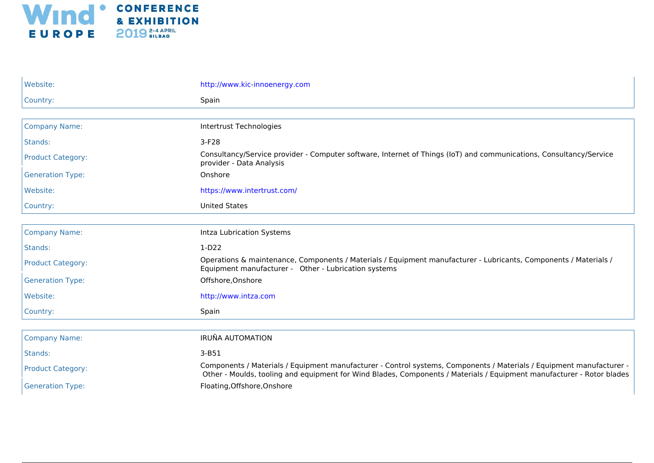

| Website:                 | http://www.kic-innoenergy.com                                                                                                                                                                                                                 |
|--------------------------|-----------------------------------------------------------------------------------------------------------------------------------------------------------------------------------------------------------------------------------------------|
| Country:                 | Spain                                                                                                                                                                                                                                         |
|                          |                                                                                                                                                                                                                                               |
| <b>Company Name:</b>     | Intertrust Technologies                                                                                                                                                                                                                       |
| Stands:                  | $3-F28$                                                                                                                                                                                                                                       |
| <b>Product Category:</b> | Consultancy/Service provider - Computer software, Internet of Things (IoT) and communications, Consultancy/Service<br>provider - Data Analysis                                                                                                |
| <b>Generation Type:</b>  | Onshore                                                                                                                                                                                                                                       |
| Website:                 | https://www.intertrust.com/                                                                                                                                                                                                                   |
| Country:                 | <b>United States</b>                                                                                                                                                                                                                          |
|                          |                                                                                                                                                                                                                                               |
| <b>Company Name:</b>     | Intza Lubrication Systems                                                                                                                                                                                                                     |
| Stands:                  | $1-D22$                                                                                                                                                                                                                                       |
| <b>Product Category:</b> | Operations & maintenance, Components / Materials / Equipment manufacturer - Lubricants, Components / Materials /<br>Equipment manufacturer - Other - Lubrication systems                                                                      |
| <b>Generation Type:</b>  | Offshore, Onshore                                                                                                                                                                                                                             |
| Website:                 | http://www.intza.com                                                                                                                                                                                                                          |
| Country:                 | Spain                                                                                                                                                                                                                                         |
|                          |                                                                                                                                                                                                                                               |
| <b>Company Name:</b>     | <b>IRUÑA AUTOMATION</b>                                                                                                                                                                                                                       |
| Stands:                  | $3-B51$                                                                                                                                                                                                                                       |
| <b>Product Category:</b> | Components / Materials / Equipment manufacturer - Control systems, Components / Materials / Equipment manufacturer -<br>Other - Moulds, tooling and equipment for Wind Blades, Components / Materials / Equipment manufacturer - Rotor blades |
| <b>Generation Type:</b>  | Floating, Offshore, Onshore                                                                                                                                                                                                                   |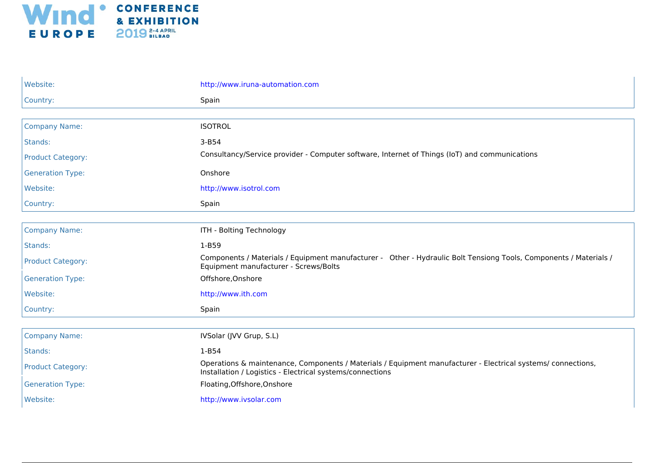

| Website:                 | http://www.iruna-automation.com                                                                                                                                           |
|--------------------------|---------------------------------------------------------------------------------------------------------------------------------------------------------------------------|
| Country:                 | Spain                                                                                                                                                                     |
|                          |                                                                                                                                                                           |
| <b>Company Name:</b>     | <b>ISOTROL</b>                                                                                                                                                            |
| Stands:                  | $3 - B54$                                                                                                                                                                 |
| <b>Product Category:</b> | Consultancy/Service provider - Computer software, Internet of Things (IoT) and communications                                                                             |
| <b>Generation Type:</b>  | Onshore                                                                                                                                                                   |
| Website:                 | http://www.isotrol.com                                                                                                                                                    |
| Country:                 | Spain                                                                                                                                                                     |
|                          |                                                                                                                                                                           |
| <b>Company Name:</b>     | ITH - Bolting Technology                                                                                                                                                  |
| Stands:                  | 1-B59                                                                                                                                                                     |
| <b>Product Category:</b> | Components / Materials / Equipment manufacturer - Other - Hydraulic Bolt Tensiong Tools, Components / Materials /<br>Equipment manufacturer - Screws/Bolts                |
| <b>Generation Type:</b>  | Offshore, Onshore                                                                                                                                                         |
| Website:                 | http://www.ith.com                                                                                                                                                        |
| Country:                 | Spain                                                                                                                                                                     |
|                          |                                                                                                                                                                           |
| <b>Company Name:</b>     | IVSolar (JVV Grup, S.L)                                                                                                                                                   |
| Stands:                  | $1-B54$                                                                                                                                                                   |
| <b>Product Category:</b> | Operations & maintenance, Components / Materials / Equipment manufacturer - Electrical systems/ connections,<br>Installation / Logistics - Electrical systems/connections |
| <b>Generation Type:</b>  | Floating, Offshore, Onshore                                                                                                                                               |
| Website:                 | http://www.ivsolar.com                                                                                                                                                    |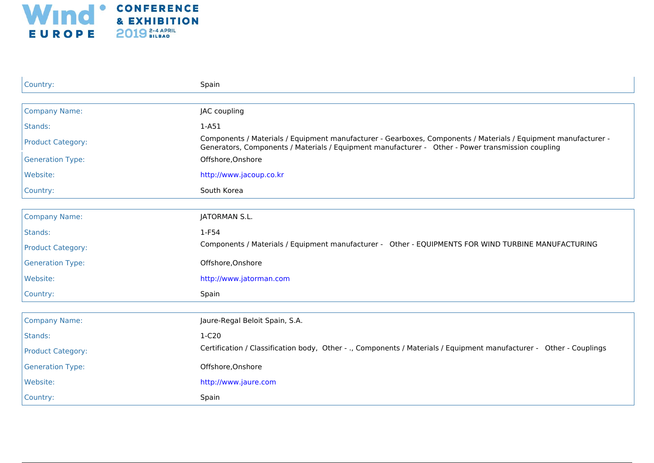

| Country:                 | Spain                                                                                                                                                                                                               |
|--------------------------|---------------------------------------------------------------------------------------------------------------------------------------------------------------------------------------------------------------------|
|                          |                                                                                                                                                                                                                     |
| <b>Company Name:</b>     | JAC coupling                                                                                                                                                                                                        |
| Stands:                  | $1-A51$                                                                                                                                                                                                             |
| <b>Product Category:</b> | Components / Materials / Equipment manufacturer - Gearboxes, Components / Materials / Equipment manufacturer -<br>Generators, Components / Materials / Equipment manufacturer - Other - Power transmission coupling |
| <b>Generation Type:</b>  | Offshore, Onshore                                                                                                                                                                                                   |
| Website:                 | http://www.jacoup.co.kr                                                                                                                                                                                             |
| Country:                 | South Korea                                                                                                                                                                                                         |
|                          |                                                                                                                                                                                                                     |
| <b>Company Name:</b>     | JATORMAN S.L.                                                                                                                                                                                                       |
| Stands:                  | $1-F54$                                                                                                                                                                                                             |
| <b>Product Category:</b> | Components / Materials / Equipment manufacturer - Other - EQUIPMENTS FOR WIND TURBINE MANUFACTURING                                                                                                                 |
| <b>Generation Type:</b>  | Offshore, Onshore                                                                                                                                                                                                   |
| Website:                 | http://www.jatorman.com                                                                                                                                                                                             |
| Country:                 | Spain                                                                                                                                                                                                               |
|                          |                                                                                                                                                                                                                     |
| <b>Company Name:</b>     | Jaure-Regal Beloit Spain, S.A.                                                                                                                                                                                      |
| Stands:                  | $1-C20$                                                                                                                                                                                                             |
| <b>Product Category:</b> | Certification / Classification body, Other - ., Components / Materials / Equipment manufacturer - Other - Couplings                                                                                                 |
| <b>Generation Type:</b>  | Offshore, Onshore                                                                                                                                                                                                   |
| Website:                 | http://www.jaure.com                                                                                                                                                                                                |
| Country:                 | Spain                                                                                                                                                                                                               |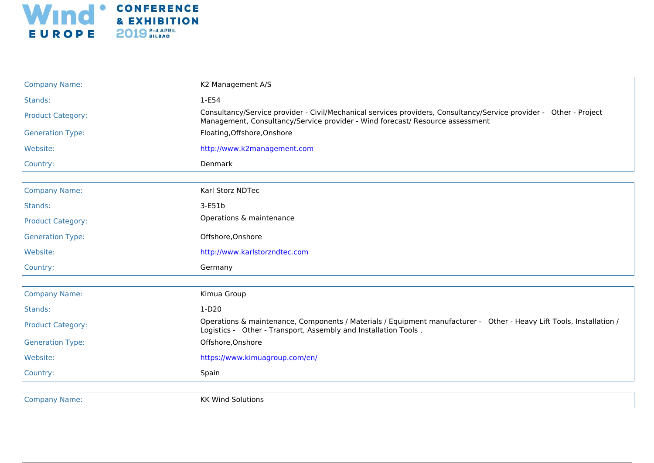

| <b>Company Name:</b>     | K2 Management A/S                                                                                                                                                                                   |
|--------------------------|-----------------------------------------------------------------------------------------------------------------------------------------------------------------------------------------------------|
| Stands:                  | 1-E54                                                                                                                                                                                               |
| <b>Product Category:</b> | Consultancy/Service provider - Civil/Mechanical services providers, Consultancy/Service provider - Other - Project<br>Management, Consultancy/Service provider - Wind forecast/ Resource assessment |
| <b>Generation Type:</b>  | Floating, Offshore, Onshore                                                                                                                                                                         |
| Website:                 | http://www.k2management.com                                                                                                                                                                         |
| Country:                 | Denmark                                                                                                                                                                                             |
|                          |                                                                                                                                                                                                     |
| <b>Company Name:</b>     | Karl Storz NDTec                                                                                                                                                                                    |
| Stands:                  | 3-E51b                                                                                                                                                                                              |
| <b>Product Category:</b> | Operations & maintenance                                                                                                                                                                            |
| <b>Generation Type:</b>  | Offshore, Onshore                                                                                                                                                                                   |
| Website:                 | http://www.karlstorzndtec.com                                                                                                                                                                       |
| Country:                 | Germany                                                                                                                                                                                             |
|                          |                                                                                                                                                                                                     |
| <b>Company Name:</b>     | Kimua Group                                                                                                                                                                                         |
| Stands:                  | $1-D20$                                                                                                                                                                                             |
| <b>Product Category:</b> | Operations & maintenance, Components / Materials / Equipment manufacturer - Other - Heavy Lift Tools, Installation /<br>Logistics - Other - Transport, Assembly and Installation Tools,             |
| <b>Generation Type:</b>  | Offshore, Onshore                                                                                                                                                                                   |
| Website:                 | https://www.kimuagroup.com/en/                                                                                                                                                                      |
| Country:                 | Spain                                                                                                                                                                                               |
|                          |                                                                                                                                                                                                     |

**Company Name:** Company Name: Company Name: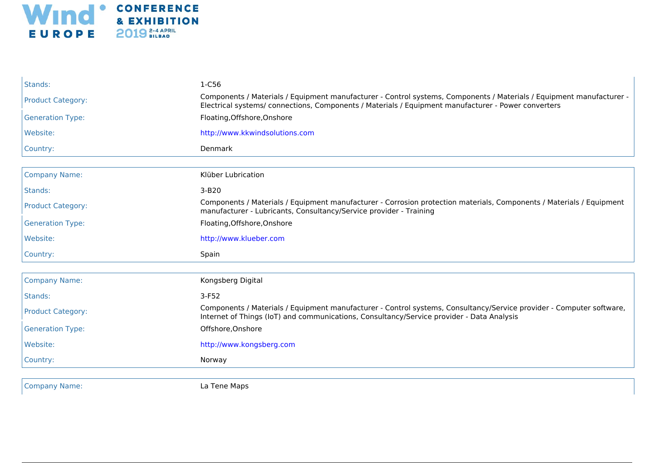

| Stands:                  | 1-C56                                                                                                                                                                                                                       |
|--------------------------|-----------------------------------------------------------------------------------------------------------------------------------------------------------------------------------------------------------------------------|
| <b>Product Category:</b> | Components / Materials / Equipment manufacturer - Control systems, Components / Materials / Equipment manufacturer -<br>Electrical systems/ connections, Components / Materials / Equipment manufacturer - Power converters |
| <b>Generation Type:</b>  | Floating, Offshore, Onshore                                                                                                                                                                                                 |
| Website:                 | http://www.kkwindsolutions.com                                                                                                                                                                                              |
| Country:                 | Denmark                                                                                                                                                                                                                     |
|                          |                                                                                                                                                                                                                             |
| <b>Company Name:</b>     | Klüber Lubrication                                                                                                                                                                                                          |
| Stands:                  | 3-B20                                                                                                                                                                                                                       |
| <b>Product Category:</b> | Components / Materials / Equipment manufacturer - Corrosion protection materials, Components / Materials / Equipment<br>manufacturer - Lubricants, Consultancy/Service provider - Training                                  |
| <b>Generation Type:</b>  | Floating, Offshore, Onshore                                                                                                                                                                                                 |
| Website:                 | http://www.klueber.com                                                                                                                                                                                                      |
| Country:                 | Spain                                                                                                                                                                                                                       |
| <b>Company Name:</b>     | Kongsberg Digital                                                                                                                                                                                                           |
| Stands:                  | $3-F52$                                                                                                                                                                                                                     |
| <b>Product Category:</b> | Components / Materials / Equipment manufacturer - Control systems, Consultancy/Service provider - Computer software,<br>Internet of Things (IoT) and communications, Consultancy/Service provider - Data Analysis           |
| <b>Generation Type:</b>  | Offshore, Onshore                                                                                                                                                                                                           |
| Website:                 | http://www.kongsberg.com                                                                                                                                                                                                    |
| Country:                 | Norway                                                                                                                                                                                                                      |
|                          |                                                                                                                                                                                                                             |

Company Name: La Tene Maps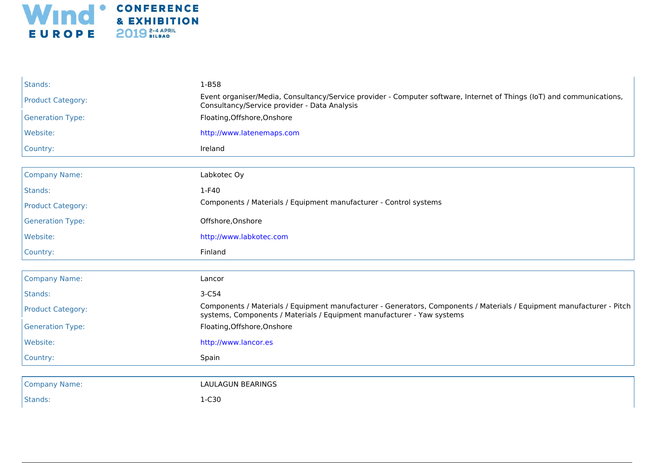

| Stands:                  | 1-B58                                                                                                                                                                                           |
|--------------------------|-------------------------------------------------------------------------------------------------------------------------------------------------------------------------------------------------|
| <b>Product Category:</b> | Event organiser/Media, Consultancy/Service provider - Computer software, Internet of Things (IoT) and communications,<br>Consultancy/Service provider - Data Analysis                           |
| <b>Generation Type:</b>  | Floating, Offshore, Onshore                                                                                                                                                                     |
| Website:                 | http://www.latenemaps.com                                                                                                                                                                       |
| Country:                 | Ireland                                                                                                                                                                                         |
|                          |                                                                                                                                                                                                 |
| <b>Company Name:</b>     | Labkotec Oy                                                                                                                                                                                     |
| Stands:                  | 1-F40                                                                                                                                                                                           |
| <b>Product Category:</b> | Components / Materials / Equipment manufacturer - Control systems                                                                                                                               |
| <b>Generation Type:</b>  | Offshore, Onshore                                                                                                                                                                               |
| Website:                 | http://www.labkotec.com                                                                                                                                                                         |
|                          |                                                                                                                                                                                                 |
| Country:                 | Finland                                                                                                                                                                                         |
|                          |                                                                                                                                                                                                 |
| <b>Company Name:</b>     | Lancor                                                                                                                                                                                          |
| Stands:                  | 3-C54                                                                                                                                                                                           |
| <b>Product Category:</b> | Components / Materials / Equipment manufacturer - Generators, Components / Materials / Equipment manufacturer - Pitch<br>systems, Components / Materials / Equipment manufacturer - Yaw systems |
| <b>Generation Type:</b>  | Floating, Offshore, Onshore                                                                                                                                                                     |
| Website:                 | http://www.lancor.es                                                                                                                                                                            |
| Country:                 | Spain                                                                                                                                                                                           |
|                          |                                                                                                                                                                                                 |
| <b>Company Name:</b>     | <b>LAULAGUN BEARINGS</b>                                                                                                                                                                        |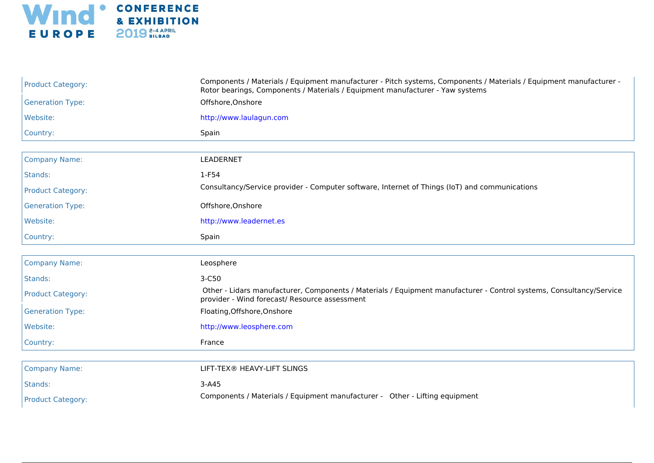

| <b>Product Category:</b> | Components / Materials / Equipment manufacturer - Pitch systems, Components / Materials / Equipment manufacturer -<br>Rotor bearings, Components / Materials / Equipment manufacturer - Yaw systems |
|--------------------------|-----------------------------------------------------------------------------------------------------------------------------------------------------------------------------------------------------|
| <b>Generation Type:</b>  | Offshore, Onshore                                                                                                                                                                                   |
| Website:                 | http://www.laulagun.com                                                                                                                                                                             |
| Country:                 | Spain                                                                                                                                                                                               |
|                          |                                                                                                                                                                                                     |
| <b>Company Name:</b>     | LEADERNET                                                                                                                                                                                           |
| Stands:                  | 1-F54                                                                                                                                                                                               |
| <b>Product Category:</b> | Consultancy/Service provider - Computer software, Internet of Things (IoT) and communications                                                                                                       |
| <b>Generation Type:</b>  | Offshore, Onshore                                                                                                                                                                                   |
| Website:                 | http://www.leadernet.es                                                                                                                                                                             |
| Country:                 | Spain                                                                                                                                                                                               |
|                          |                                                                                                                                                                                                     |
| <b>Company Name:</b>     | Leosphere                                                                                                                                                                                           |
| Stands:                  | 3-C50                                                                                                                                                                                               |
| <b>Product Category:</b> | Other - Lidars manufacturer, Components / Materials / Equipment manufacturer - Control systems, Consultancy/Service<br>provider - Wind forecast/ Resource assessment                                |
| <b>Generation Type:</b>  | Floating, Offshore, Onshore                                                                                                                                                                         |
| Website:                 | http://www.leosphere.com                                                                                                                                                                            |
| Country:                 | France                                                                                                                                                                                              |
|                          |                                                                                                                                                                                                     |
| <b>Company Name:</b>     | LIFT-TEX® HEAVY-LIFT SLINGS                                                                                                                                                                         |
| Stands:                  | $3-A45$                                                                                                                                                                                             |
| <b>Product Category:</b> | Components / Materials / Equipment manufacturer - Other - Lifting equipment                                                                                                                         |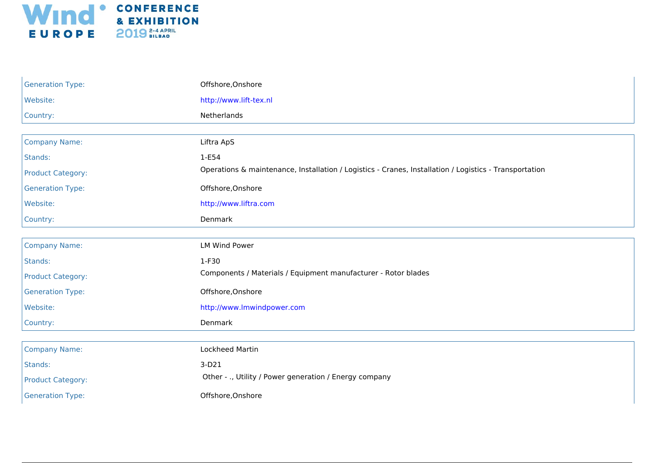

| <b>Generation Type:</b>  | Offshore, Onshore                                                                                      |
|--------------------------|--------------------------------------------------------------------------------------------------------|
| Website:                 | http://www.lift-tex.nl                                                                                 |
| Country:                 | Netherlands                                                                                            |
|                          |                                                                                                        |
| <b>Company Name:</b>     | Liftra ApS                                                                                             |
| Stands:                  | $1-E54$                                                                                                |
| <b>Product Category:</b> | Operations & maintenance, Installation / Logistics - Cranes, Installation / Logistics - Transportation |
| <b>Generation Type:</b>  | Offshore, Onshore                                                                                      |
| Website:                 | http://www.liftra.com                                                                                  |
| Country:                 | Denmark                                                                                                |
|                          |                                                                                                        |
| <b>Company Name:</b>     | <b>LM Wind Power</b>                                                                                   |
| Stands:                  | 1-F30                                                                                                  |
| <b>Product Category:</b> | Components / Materials / Equipment manufacturer - Rotor blades                                         |
| <b>Generation Type:</b>  | Offshore, Onshore                                                                                      |
| Website:                 | http://www.lmwindpower.com                                                                             |
| Country:                 | Denmark                                                                                                |
|                          |                                                                                                        |
| <b>Company Name:</b>     | Lockheed Martin                                                                                        |
| Stands:                  | $3-D21$                                                                                                |
| <b>Product Category:</b> | Other - ., Utility / Power generation / Energy company                                                 |
| <b>Generation Type:</b>  | Offshore, Onshore                                                                                      |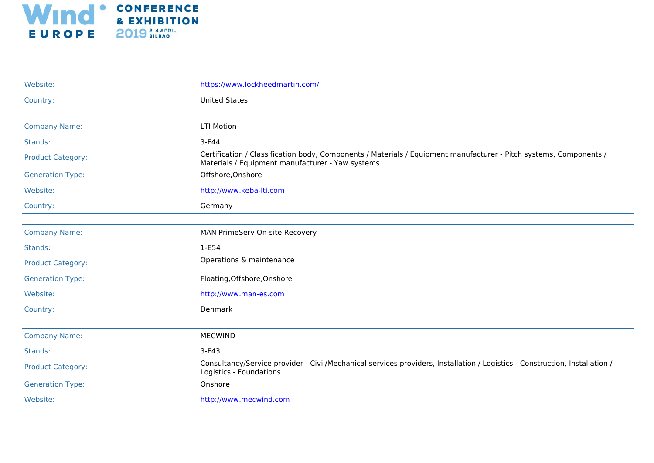

| Website:                 | https://www.lockheedmartin.com/                                                                                                                                        |
|--------------------------|------------------------------------------------------------------------------------------------------------------------------------------------------------------------|
| Country:                 | <b>United States</b>                                                                                                                                                   |
|                          |                                                                                                                                                                        |
| <b>Company Name:</b>     | <b>LTI Motion</b>                                                                                                                                                      |
| Stands:                  | $3-F44$                                                                                                                                                                |
| <b>Product Category:</b> | Certification / Classification body, Components / Materials / Equipment manufacturer - Pitch systems, Components /<br>Materials / Equipment manufacturer - Yaw systems |
| <b>Generation Type:</b>  | Offshore, Onshore                                                                                                                                                      |
| Website:                 | http://www.keba-lti.com                                                                                                                                                |
| Country:                 | Germany                                                                                                                                                                |
|                          |                                                                                                                                                                        |
| <b>Company Name:</b>     | MAN PrimeServ On-site Recovery                                                                                                                                         |
| Stands:                  | $1-E54$                                                                                                                                                                |
| <b>Product Category:</b> | Operations & maintenance                                                                                                                                               |
| <b>Generation Type:</b>  | Floating, Offshore, Onshore                                                                                                                                            |
| Website:                 | http://www.man-es.com                                                                                                                                                  |
| Country:                 | Denmark                                                                                                                                                                |
|                          |                                                                                                                                                                        |
| <b>Company Name:</b>     | <b>MECWIND</b>                                                                                                                                                         |
| Stands:                  | $3-F43$                                                                                                                                                                |
| <b>Product Category:</b> | Consultancy/Service provider - Civil/Mechanical services providers, Installation / Logistics - Construction, Installation /<br>Logistics - Foundations                 |
| <b>Generation Type:</b>  | Onshore                                                                                                                                                                |
| Website:                 | http://www.mecwind.com                                                                                                                                                 |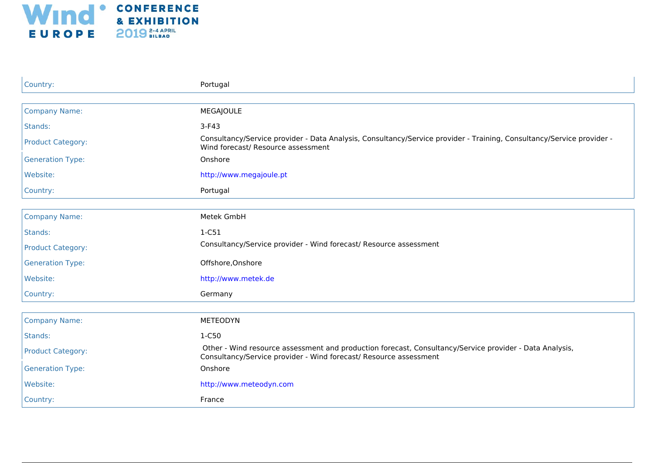

| Country:                 | Portugal                                                                                                                                                                     |
|--------------------------|------------------------------------------------------------------------------------------------------------------------------------------------------------------------------|
|                          |                                                                                                                                                                              |
| <b>Company Name:</b>     | <b>MEGAJOULE</b>                                                                                                                                                             |
| Stands:                  | $3-F43$                                                                                                                                                                      |
| <b>Product Category:</b> | Consultancy/Service provider - Data Analysis, Consultancy/Service provider - Training, Consultancy/Service provider -<br>Wind forecast/ Resource assessment                  |
| <b>Generation Type:</b>  | Onshore                                                                                                                                                                      |
| Website:                 | http://www.megajoule.pt                                                                                                                                                      |
| Country:                 | Portugal                                                                                                                                                                     |
|                          |                                                                                                                                                                              |
| <b>Company Name:</b>     | Metek GmbH                                                                                                                                                                   |
| Stands:                  | $1-C51$                                                                                                                                                                      |
| <b>Product Category:</b> | Consultancy/Service provider - Wind forecast/ Resource assessment                                                                                                            |
| <b>Generation Type:</b>  | Offshore, Onshore                                                                                                                                                            |
| Website:                 | http://www.metek.de                                                                                                                                                          |
| Country:                 | Germany                                                                                                                                                                      |
|                          |                                                                                                                                                                              |
| <b>Company Name:</b>     | <b>METEODYN</b>                                                                                                                                                              |
| Stands:                  | 1-C50                                                                                                                                                                        |
| <b>Product Category:</b> | Other - Wind resource assessment and production forecast, Consultancy/Service provider - Data Analysis,<br>Consultancy/Service provider - Wind forecast/ Resource assessment |
| <b>Generation Type:</b>  | Onshore                                                                                                                                                                      |
| Website:                 | http://www.meteodyn.com                                                                                                                                                      |
| Country:                 | France                                                                                                                                                                       |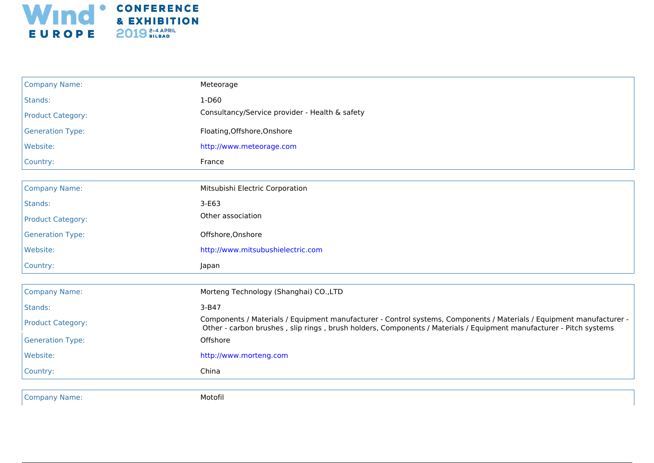

| <b>Company Name:</b>     | Meteorage                                                                                                                                                                                                                                  |
|--------------------------|--------------------------------------------------------------------------------------------------------------------------------------------------------------------------------------------------------------------------------------------|
| Stands:                  | 1-D60                                                                                                                                                                                                                                      |
| <b>Product Category:</b> | Consultancy/Service provider - Health & safety                                                                                                                                                                                             |
| <b>Generation Type:</b>  | Floating, Offshore, Onshore                                                                                                                                                                                                                |
| Website:                 | http://www.meteorage.com                                                                                                                                                                                                                   |
| Country:                 | France                                                                                                                                                                                                                                     |
|                          |                                                                                                                                                                                                                                            |
| <b>Company Name:</b>     | Mitsubishi Electric Corporation                                                                                                                                                                                                            |
| Stands:                  | $3-E63$                                                                                                                                                                                                                                    |
| <b>Product Category:</b> | Other association                                                                                                                                                                                                                          |
| <b>Generation Type:</b>  | Offshore, Onshore                                                                                                                                                                                                                          |
| Website:                 | http://www.mitsubushielectric.com                                                                                                                                                                                                          |
| Country:                 | Japan                                                                                                                                                                                                                                      |
| <b>Company Name:</b>     | Morteng Technology (Shanghai) CO., LTD                                                                                                                                                                                                     |
| Stands:                  | 3-B47                                                                                                                                                                                                                                      |
| <b>Product Category:</b> | Components / Materials / Equipment manufacturer - Control systems, Components / Materials / Equipment manufacturer -<br>Other - carbon brushes, slip rings, brush holders, Components / Materials / Equipment manufacturer - Pitch systems |
| <b>Generation Type:</b>  | Offshore                                                                                                                                                                                                                                   |
| Website:                 | http://www.morteng.com                                                                                                                                                                                                                     |
| Country:                 | China                                                                                                                                                                                                                                      |
|                          |                                                                                                                                                                                                                                            |
| <b>Company Name:</b>     | Motofil                                                                                                                                                                                                                                    |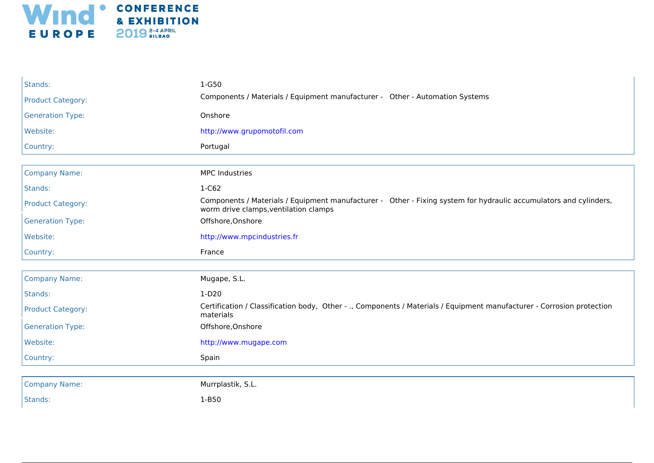

| Stands:                  | 1-G50                                                                                                                                                      |
|--------------------------|------------------------------------------------------------------------------------------------------------------------------------------------------------|
| <b>Product Category:</b> | Components / Materials / Equipment manufacturer - Other - Automation Systems                                                                               |
| <b>Generation Type:</b>  | Onshore                                                                                                                                                    |
| Website:                 | http://www.grupomotofil.com                                                                                                                                |
| Country:                 | Portugal                                                                                                                                                   |
|                          |                                                                                                                                                            |
| <b>Company Name:</b>     | <b>MPC Industries</b>                                                                                                                                      |
| Stands:                  | $1-C62$                                                                                                                                                    |
| <b>Product Category:</b> | Components / Materials / Equipment manufacturer - Other - Fixing system for hydraulic accumulators and cylinders,<br>worm drive clamps, ventilation clamps |
| <b>Generation Type:</b>  | Offshore, Onshore                                                                                                                                          |
| Website:                 | http://www.mpcindustries.fr                                                                                                                                |
|                          |                                                                                                                                                            |
| Country:                 | France                                                                                                                                                     |
|                          |                                                                                                                                                            |
| <b>Company Name:</b>     | Mugape, S.L.                                                                                                                                               |
| Stands:                  | $1-D20$                                                                                                                                                    |
| <b>Product Category:</b> | Certification / Classification body, Other - ., Components / Materials / Equipment manufacturer - Corrosion protection<br>materials                        |
| <b>Generation Type:</b>  | Offshore, Onshore                                                                                                                                          |
| Website:                 | http://www.mugape.com                                                                                                                                      |
| Country:                 | Spain                                                                                                                                                      |
| <b>Company Name:</b>     | Murrplastik, S.L.                                                                                                                                          |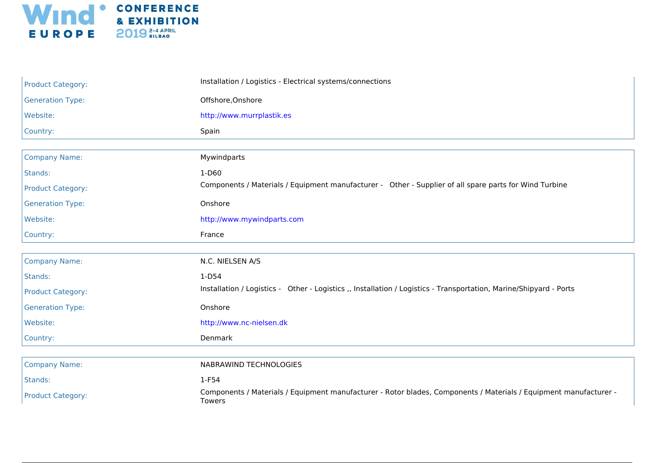

| <b>Product Category:</b> | Installation / Logistics - Electrical systems/connections                                                                   |
|--------------------------|-----------------------------------------------------------------------------------------------------------------------------|
| <b>Generation Type:</b>  | Offshore, Onshore                                                                                                           |
| Website:                 | http://www.murrplastik.es                                                                                                   |
| Country:                 | Spain                                                                                                                       |
|                          |                                                                                                                             |
| <b>Company Name:</b>     | Mywindparts                                                                                                                 |
| Stands:                  | $1-D60$                                                                                                                     |
| <b>Product Category:</b> | Components / Materials / Equipment manufacturer - Other - Supplier of all spare parts for Wind Turbine                      |
| <b>Generation Type:</b>  | Onshore                                                                                                                     |
| Website:                 | http://www.mywindparts.com                                                                                                  |
| Country:                 | France                                                                                                                      |
|                          |                                                                                                                             |
| <b>Company Name:</b>     | N.C. NIELSEN A/S                                                                                                            |
| Stands:                  | $1-D54$                                                                                                                     |
| <b>Product Category:</b> | Installation / Logistics - Other - Logistics ,, Installation / Logistics - Transportation, Marine/Shipyard - Ports          |
| <b>Generation Type:</b>  | Onshore                                                                                                                     |
| Website:                 | http://www.nc-nielsen.dk                                                                                                    |
| Country:                 | Denmark                                                                                                                     |
|                          |                                                                                                                             |
| <b>Company Name:</b>     | NABRAWIND TECHNOLOGIES                                                                                                      |
| Stands:                  | 1-F54                                                                                                                       |
| <b>Product Category:</b> | Components / Materials / Equipment manufacturer - Rotor blades, Components / Materials / Equipment manufacturer -<br>Towers |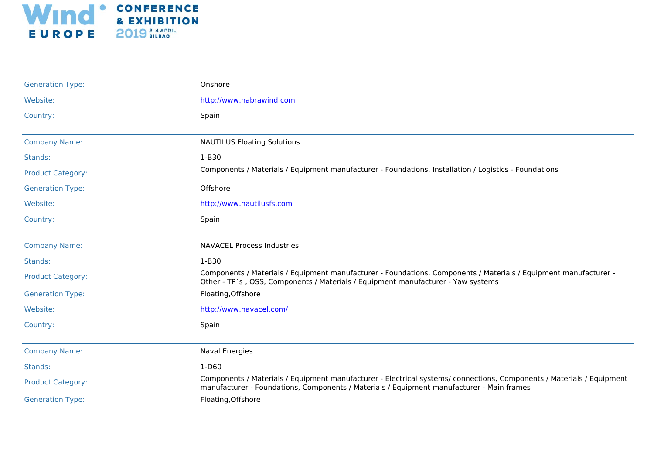

| <b>Generation Type:</b>  | Onshore                                                                                                                                                                                                            |
|--------------------------|--------------------------------------------------------------------------------------------------------------------------------------------------------------------------------------------------------------------|
| Website:                 | http://www.nabrawind.com                                                                                                                                                                                           |
| Country:                 | Spain                                                                                                                                                                                                              |
|                          |                                                                                                                                                                                                                    |
| <b>Company Name:</b>     | <b>NAUTILUS Floating Solutions</b>                                                                                                                                                                                 |
| Stands:                  | 1-B30                                                                                                                                                                                                              |
| <b>Product Category:</b> | Components / Materials / Equipment manufacturer - Foundations, Installation / Logistics - Foundations                                                                                                              |
| <b>Generation Type:</b>  | Offshore                                                                                                                                                                                                           |
| Website:                 | http://www.nautilusfs.com                                                                                                                                                                                          |
| Country:                 | Spain                                                                                                                                                                                                              |
|                          |                                                                                                                                                                                                                    |
| <b>Company Name:</b>     | <b>NAVACEL Process Industries</b>                                                                                                                                                                                  |
| Stands:                  | 1-B30                                                                                                                                                                                                              |
| <b>Product Category:</b> | Components / Materials / Equipment manufacturer - Foundations, Components / Materials / Equipment manufacturer -<br>Other - TP's, OSS, Components / Materials / Equipment manufacturer - Yaw systems               |
| <b>Generation Type:</b>  | Floating, Offshore                                                                                                                                                                                                 |
| Website:                 | http://www.navacel.com/                                                                                                                                                                                            |
| Country:                 | Spain                                                                                                                                                                                                              |
|                          |                                                                                                                                                                                                                    |
| <b>Company Name:</b>     | <b>Naval Energies</b>                                                                                                                                                                                              |
| Stands:                  | 1-D60                                                                                                                                                                                                              |
| <b>Product Category:</b> | Components / Materials / Equipment manufacturer - Electrical systems/ connections, Components / Materials / Equipment<br>manufacturer - Foundations, Components / Materials / Equipment manufacturer - Main frames |
| <b>Generation Type:</b>  | Floating, Offshore                                                                                                                                                                                                 |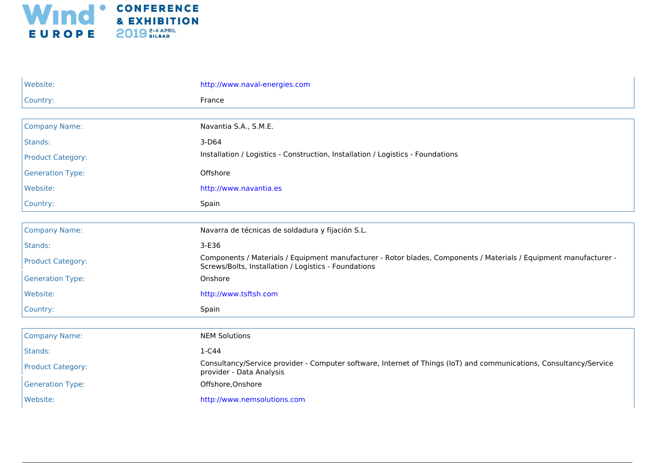

| Website:                 | http://www.naval-energies.com                                                                                                                                             |
|--------------------------|---------------------------------------------------------------------------------------------------------------------------------------------------------------------------|
| Country:                 | France                                                                                                                                                                    |
|                          |                                                                                                                                                                           |
| <b>Company Name:</b>     | Navantia S.A., S.M.E.                                                                                                                                                     |
| Stands:                  | 3-D64                                                                                                                                                                     |
| <b>Product Category:</b> | Installation / Logistics - Construction, Installation / Logistics - Foundations                                                                                           |
| <b>Generation Type:</b>  | Offshore                                                                                                                                                                  |
| Website:                 | http://www.navantia.es                                                                                                                                                    |
| Country:                 | Spain                                                                                                                                                                     |
|                          |                                                                                                                                                                           |
| <b>Company Name:</b>     | Navarra de técnicas de soldadura y fijación S.L.                                                                                                                          |
| Stands:                  | 3-E36                                                                                                                                                                     |
| <b>Product Category:</b> | Components / Materials / Equipment manufacturer - Rotor blades, Components / Materials / Equipment manufacturer -<br>Screws/Bolts, Installation / Logistics - Foundations |
| <b>Generation Type:</b>  | Onshore                                                                                                                                                                   |
| Website:                 | http://www.tsftsh.com                                                                                                                                                     |
| Country:                 | Spain                                                                                                                                                                     |
|                          |                                                                                                                                                                           |
| <b>Company Name:</b>     | <b>NEM Solutions</b>                                                                                                                                                      |
| Stands:                  | $1-C44$                                                                                                                                                                   |
| <b>Product Category:</b> | Consultancy/Service provider - Computer software, Internet of Things (IoT) and communications, Consultancy/Service<br>provider - Data Analysis                            |
| <b>Generation Type:</b>  | Offshore, Onshore                                                                                                                                                         |
| Website:                 | http://www.nemsolutions.com                                                                                                                                               |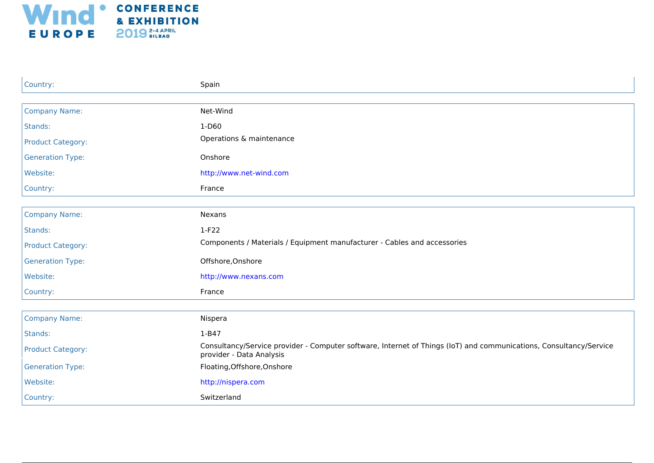

| Country:                 | Spain                                                                                                                                          |
|--------------------------|------------------------------------------------------------------------------------------------------------------------------------------------|
|                          |                                                                                                                                                |
| <b>Company Name:</b>     | Net-Wind                                                                                                                                       |
| Stands:                  | 1-D60                                                                                                                                          |
| <b>Product Category:</b> | Operations & maintenance                                                                                                                       |
| <b>Generation Type:</b>  | Onshore                                                                                                                                        |
| Website:                 | http://www.net-wind.com                                                                                                                        |
| Country:                 | France                                                                                                                                         |
|                          |                                                                                                                                                |
| <b>Company Name:</b>     | Nexans                                                                                                                                         |
| Stands:                  | $1-F22$                                                                                                                                        |
| <b>Product Category:</b> | Components / Materials / Equipment manufacturer - Cables and accessories                                                                       |
| <b>Generation Type:</b>  | Offshore, Onshore                                                                                                                              |
| Website:                 | http://www.nexans.com                                                                                                                          |
| Country:                 | France                                                                                                                                         |
|                          |                                                                                                                                                |
| <b>Company Name:</b>     | Nispera                                                                                                                                        |
| Stands:                  | $1 - B47$                                                                                                                                      |
| <b>Product Category:</b> | Consultancy/Service provider - Computer software, Internet of Things (IoT) and communications, Consultancy/Service<br>provider - Data Analysis |
| <b>Generation Type:</b>  | Floating, Offshore, Onshore                                                                                                                    |
| Website:                 | http://nispera.com                                                                                                                             |
| Country:                 | Switzerland                                                                                                                                    |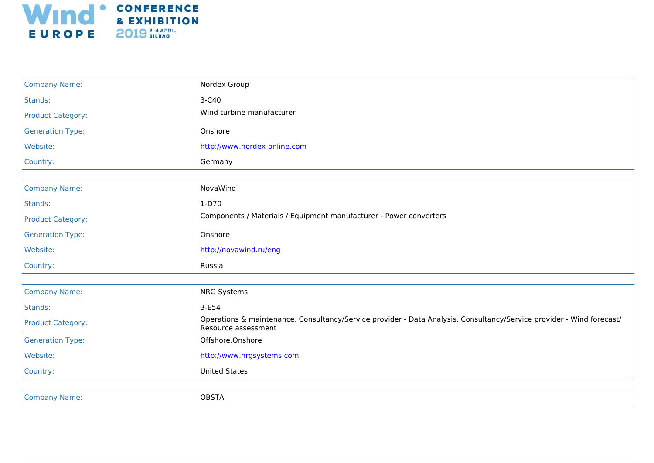

| <b>Company Name:</b>     | Nordex Group                                                                                                                                 |
|--------------------------|----------------------------------------------------------------------------------------------------------------------------------------------|
| Stands:                  | 3-C40                                                                                                                                        |
| <b>Product Category:</b> | Wind turbine manufacturer                                                                                                                    |
| <b>Generation Type:</b>  | Onshore                                                                                                                                      |
| Website:                 | http://www.nordex-online.com                                                                                                                 |
| Country:                 | Germany                                                                                                                                      |
|                          |                                                                                                                                              |
| <b>Company Name:</b>     | NovaWind                                                                                                                                     |
| Stands:                  | $1-D70$                                                                                                                                      |
| <b>Product Category:</b> | Components / Materials / Equipment manufacturer - Power converters                                                                           |
| <b>Generation Type:</b>  | Onshore                                                                                                                                      |
| Website:                 | http://novawind.ru/eng                                                                                                                       |
| Country:                 | Russia                                                                                                                                       |
| <b>Company Name:</b>     | <b>NRG Systems</b>                                                                                                                           |
| Stands:                  | $3-E54$                                                                                                                                      |
| <b>Product Category:</b> | Operations & maintenance, Consultancy/Service provider - Data Analysis, Consultancy/Service provider - Wind forecast/<br>Resource assessment |
| <b>Generation Type:</b>  | Offshore, Onshore                                                                                                                            |
| Website:                 | http://www.nrgsystems.com                                                                                                                    |
| Country:                 | <b>United States</b>                                                                                                                         |
|                          |                                                                                                                                              |
| <b>Company Name:</b>     | <b>OBSTA</b>                                                                                                                                 |
|                          |                                                                                                                                              |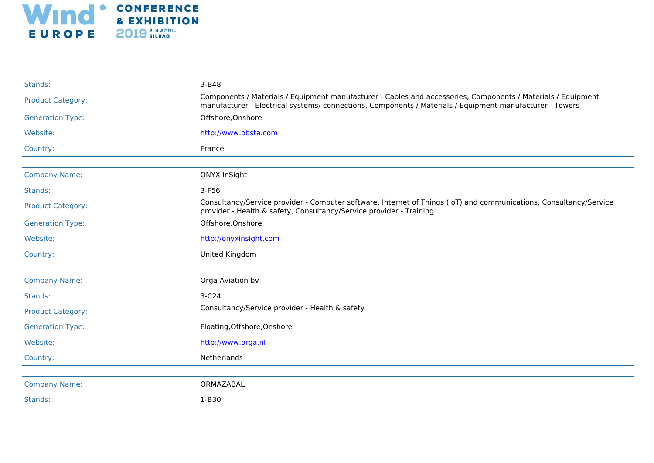

| Stands:                  | 3-B48                                                                                                                                                                                                                   |
|--------------------------|-------------------------------------------------------------------------------------------------------------------------------------------------------------------------------------------------------------------------|
| <b>Product Category:</b> | Components / Materials / Equipment manufacturer - Cables and accessories, Components / Materials / Equipment<br>manufacturer - Electrical systems/connections, Components / Materials / Equipment manufacturer - Towers |
| <b>Generation Type:</b>  | Offshore, Onshore                                                                                                                                                                                                       |
| Website:                 | http://www.obsta.com                                                                                                                                                                                                    |
| Country:                 | France                                                                                                                                                                                                                  |
|                          |                                                                                                                                                                                                                         |
| <b>Company Name:</b>     | <b>ONYX InSight</b>                                                                                                                                                                                                     |
| Stands:                  | $3-F56$                                                                                                                                                                                                                 |
| <b>Product Category:</b> | Consultancy/Service provider - Computer software, Internet of Things (IoT) and communications, Consultancy/Service<br>provider - Health & safety, Consultancy/Service provider - Training                               |
| <b>Generation Type:</b>  | Offshore, Onshore                                                                                                                                                                                                       |
| Website:                 | http://onyxinsight.com                                                                                                                                                                                                  |
| Country:                 | United Kingdom                                                                                                                                                                                                          |
|                          |                                                                                                                                                                                                                         |
| <b>Company Name:</b>     | Orga Aviation bv                                                                                                                                                                                                        |
| Stands:                  | $3-C24$                                                                                                                                                                                                                 |
| <b>Product Category:</b> | Consultancy/Service provider - Health & safety                                                                                                                                                                          |
| <b>Generation Type:</b>  | Floating, Offshore, Onshore                                                                                                                                                                                             |
| Website:                 | http://www.orga.nl                                                                                                                                                                                                      |
| Country:                 | Netherlands                                                                                                                                                                                                             |
|                          |                                                                                                                                                                                                                         |
| <b>Company Name:</b>     | ORMAZABAL                                                                                                                                                                                                               |
| Stands:                  | $1-B30$                                                                                                                                                                                                                 |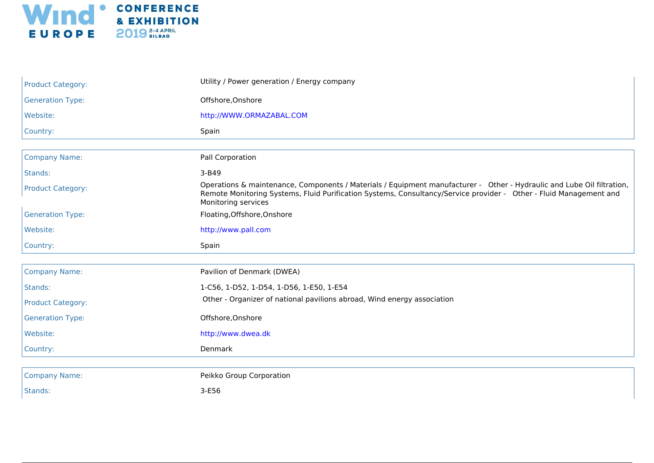

| <b>Product Category:</b> | Utility / Power generation / Energy company                                                                                                                                                                                                                         |
|--------------------------|---------------------------------------------------------------------------------------------------------------------------------------------------------------------------------------------------------------------------------------------------------------------|
| <b>Generation Type:</b>  | Offshore, Onshore                                                                                                                                                                                                                                                   |
| Website:                 | http://WWW.ORMAZABAL.COM                                                                                                                                                                                                                                            |
| Country:                 | Spain                                                                                                                                                                                                                                                               |
|                          |                                                                                                                                                                                                                                                                     |
| <b>Company Name:</b>     | Pall Corporation                                                                                                                                                                                                                                                    |
| Stands:                  | 3-B49                                                                                                                                                                                                                                                               |
| <b>Product Category:</b> | Operations & maintenance, Components / Materials / Equipment manufacturer - Other - Hydraulic and Lube Oil filtration,<br>Remote Monitoring Systems, Fluid Purification Systems, Consultancy/Service provider - Other - Fluid Management and<br>Monitoring services |
| <b>Generation Type:</b>  | Floating, Offshore, Onshore                                                                                                                                                                                                                                         |
| Website:                 | http://www.pall.com                                                                                                                                                                                                                                                 |
| Country:                 | Spain                                                                                                                                                                                                                                                               |
|                          |                                                                                                                                                                                                                                                                     |
| <b>Company Name:</b>     | Pavilion of Denmark (DWEA)                                                                                                                                                                                                                                          |
| Stands:                  | 1-C56, 1-D52, 1-D54, 1-D56, 1-E50, 1-E54                                                                                                                                                                                                                            |
| <b>Product Category:</b> | Other - Organizer of national pavilions abroad, Wind energy association                                                                                                                                                                                             |
| <b>Generation Type:</b>  | Offshore, Onshore                                                                                                                                                                                                                                                   |
| Website:                 | http://www.dwea.dk                                                                                                                                                                                                                                                  |
| Country:                 | Denmark                                                                                                                                                                                                                                                             |
|                          |                                                                                                                                                                                                                                                                     |
| <b>Company Name:</b>     | Peikko Group Corporation                                                                                                                                                                                                                                            |
| Stands:                  |                                                                                                                                                                                                                                                                     |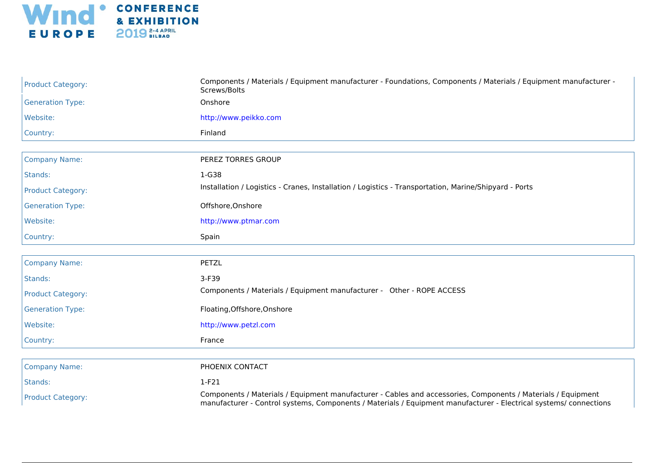

| <b>Product Category:</b> | Components / Materials / Equipment manufacturer - Foundations, Components / Materials / Equipment manufacturer -<br>Screws/Bolts                                                                                                  |
|--------------------------|-----------------------------------------------------------------------------------------------------------------------------------------------------------------------------------------------------------------------------------|
| <b>Generation Type:</b>  | Onshore                                                                                                                                                                                                                           |
| Website:                 | http://www.peikko.com                                                                                                                                                                                                             |
| Country:                 | Finland                                                                                                                                                                                                                           |
|                          |                                                                                                                                                                                                                                   |
| <b>Company Name:</b>     | PEREZ TORRES GROUP                                                                                                                                                                                                                |
| Stands:                  | $1-G38$                                                                                                                                                                                                                           |
| <b>Product Category:</b> | Installation / Logistics - Cranes, Installation / Logistics - Transportation, Marine/Shipyard - Ports                                                                                                                             |
| <b>Generation Type:</b>  | Offshore, Onshore                                                                                                                                                                                                                 |
| Website:                 | http://www.ptmar.com                                                                                                                                                                                                              |
| Country:                 | Spain                                                                                                                                                                                                                             |
|                          |                                                                                                                                                                                                                                   |
| <b>Company Name:</b>     | <b>PETZL</b>                                                                                                                                                                                                                      |
| Stands:                  | 3-F39                                                                                                                                                                                                                             |
| <b>Product Category:</b> | Components / Materials / Equipment manufacturer - Other - ROPE ACCESS                                                                                                                                                             |
| <b>Generation Type:</b>  | Floating, Offshore, Onshore                                                                                                                                                                                                       |
| Website:                 | http://www.petzl.com                                                                                                                                                                                                              |
| Country:                 | France                                                                                                                                                                                                                            |
|                          |                                                                                                                                                                                                                                   |
| <b>Company Name:</b>     | PHOENIX CONTACT                                                                                                                                                                                                                   |
| Stands:                  | $1-F21$                                                                                                                                                                                                                           |
| <b>Product Category:</b> | Components / Materials / Equipment manufacturer - Cables and accessories, Components / Materials / Equipment<br>manufacturer - Control systems, Components / Materials / Equipment manufacturer - Electrical systems/ connections |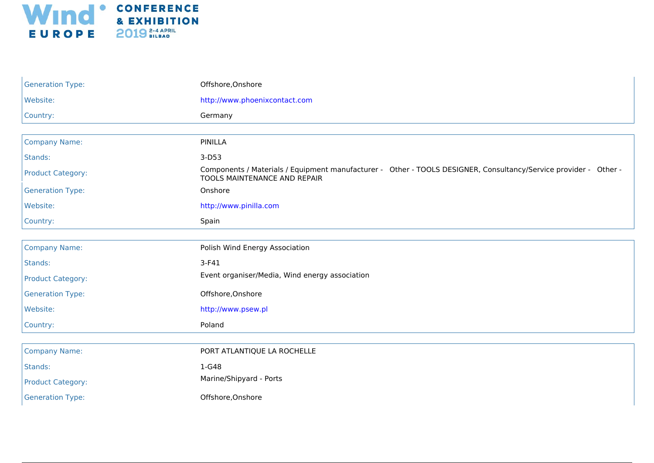

| <b>Generation Type:</b>  | Offshore, Onshore                                                                                                                                |
|--------------------------|--------------------------------------------------------------------------------------------------------------------------------------------------|
| Website:                 | http://www.phoenixcontact.com                                                                                                                    |
| Country:                 | Germany                                                                                                                                          |
|                          |                                                                                                                                                  |
| <b>Company Name:</b>     | <b>PINILLA</b>                                                                                                                                   |
| Stands:                  | $3-D53$                                                                                                                                          |
| <b>Product Category:</b> | Components / Materials / Equipment manufacturer - Other - TOOLS DESIGNER, Consultancy/Service provider - Other -<br>TOOLS MAINTENANCE AND REPAIR |
| <b>Generation Type:</b>  | Onshore                                                                                                                                          |
| Website:                 | http://www.pinilla.com                                                                                                                           |
| Country:                 | Spain                                                                                                                                            |
|                          |                                                                                                                                                  |
| <b>Company Name:</b>     | Polish Wind Energy Association                                                                                                                   |
| Stands:                  | $3-F41$                                                                                                                                          |
| <b>Product Category:</b> | Event organiser/Media, Wind energy association                                                                                                   |
| <b>Generation Type:</b>  | Offshore, Onshore                                                                                                                                |
| Website:                 | http://www.psew.pl                                                                                                                               |
| Country:                 | Poland                                                                                                                                           |
|                          |                                                                                                                                                  |
| <b>Company Name:</b>     | PORT ATLANTIQUE LA ROCHELLE                                                                                                                      |
| Stands:                  | 1-G48                                                                                                                                            |
| <b>Product Category:</b> | Marine/Shipyard - Ports                                                                                                                          |
| <b>Generation Type:</b>  | Offshore, Onshore                                                                                                                                |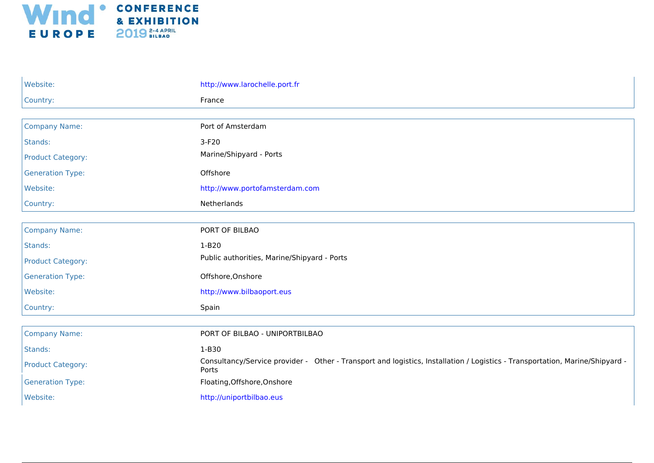

| Website:                 | http://www.larochelle.port.fr                                                                                                         |
|--------------------------|---------------------------------------------------------------------------------------------------------------------------------------|
| Country:                 | France                                                                                                                                |
|                          |                                                                                                                                       |
| <b>Company Name:</b>     | Port of Amsterdam                                                                                                                     |
| Stands:                  | $3-F20$                                                                                                                               |
| <b>Product Category:</b> | Marine/Shipyard - Ports                                                                                                               |
| <b>Generation Type:</b>  | Offshore                                                                                                                              |
| Website:                 | http://www.portofamsterdam.com                                                                                                        |
| Country:                 | Netherlands                                                                                                                           |
|                          |                                                                                                                                       |
| <b>Company Name:</b>     | PORT OF BILBAO                                                                                                                        |
| Stands:                  | $1-B20$                                                                                                                               |
| <b>Product Category:</b> | Public authorities, Marine/Shipyard - Ports                                                                                           |
| <b>Generation Type:</b>  | Offshore, Onshore                                                                                                                     |
| Website:                 | http://www.bilbaoport.eus                                                                                                             |
| Country:                 | Spain                                                                                                                                 |
|                          |                                                                                                                                       |
| <b>Company Name:</b>     | PORT OF BILBAO - UNIPORTBILBAO                                                                                                        |
| Stands:                  | 1-B30                                                                                                                                 |
| <b>Product Category:</b> | Consultancy/Service provider - Other - Transport and logistics, Installation / Logistics - Transportation, Marine/Shipyard -<br>Ports |
| <b>Generation Type:</b>  | Floating, Offshore, Onshore                                                                                                           |
| Website:                 | http://uniportbilbao.eus                                                                                                              |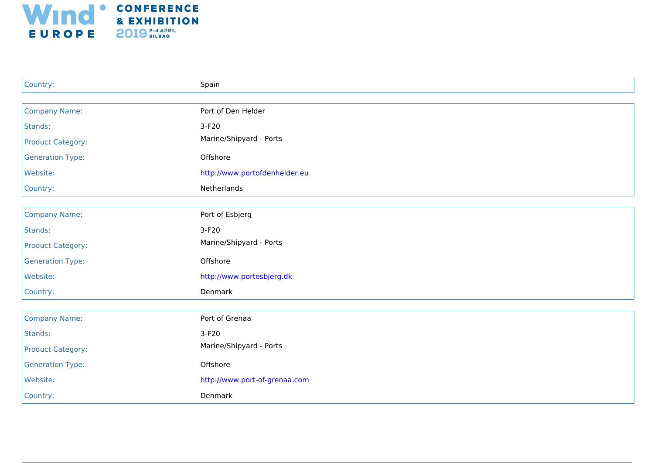

| Country:                 | Spain                         |
|--------------------------|-------------------------------|
|                          |                               |
| <b>Company Name:</b>     | Port of Den Helder            |
| Stands:                  | 3-F20                         |
| <b>Product Category:</b> | Marine/Shipyard - Ports       |
| <b>Generation Type:</b>  | Offshore                      |
| Website:                 | http://www.portofdenhelder.eu |
| Country:                 | Netherlands                   |
|                          |                               |
| <b>Company Name:</b>     | Port of Esbjerg               |
| Stands:                  | $3-F20$                       |
| <b>Product Category:</b> | Marine/Shipyard - Ports       |
| <b>Generation Type:</b>  | Offshore                      |
| Website:                 | http://www.portesbjerg.dk     |
| Country:                 | Denmark                       |
|                          |                               |
| <b>Company Name:</b>     | Port of Grenaa                |
| Stands:                  | $3-F20$                       |
| <b>Product Category:</b> | Marine/Shipyard - Ports       |
| <b>Generation Type:</b>  | Offshore                      |
| Website:                 | http://www.port-of-grenaa.com |
| Country:                 | Denmark                       |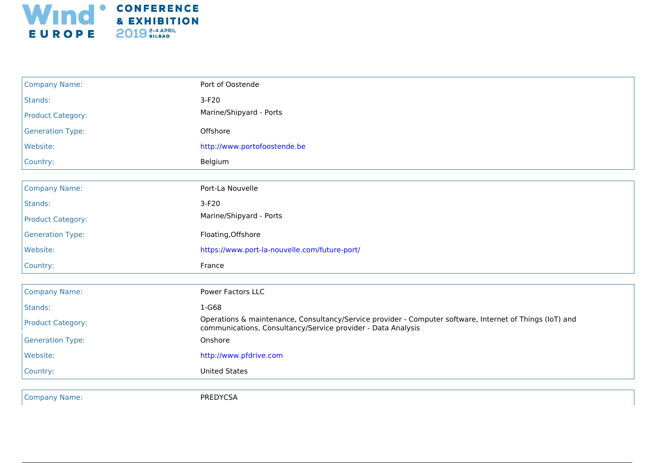

| <b>Company Name:</b>     | Port of Oostende                                                                                                                                                         |
|--------------------------|--------------------------------------------------------------------------------------------------------------------------------------------------------------------------|
| Stands:                  | $3-F20$                                                                                                                                                                  |
| <b>Product Category:</b> | Marine/Shipyard - Ports                                                                                                                                                  |
| <b>Generation Type:</b>  | Offshore                                                                                                                                                                 |
| Website:                 | http://www.portofoostende.be                                                                                                                                             |
| Country:                 | Belgium                                                                                                                                                                  |
|                          |                                                                                                                                                                          |
| <b>Company Name:</b>     | Port-La Nouvelle                                                                                                                                                         |
| Stands:                  | $3-F20$                                                                                                                                                                  |
| <b>Product Category:</b> | Marine/Shipyard - Ports                                                                                                                                                  |
| <b>Generation Type:</b>  | Floating, Offshore                                                                                                                                                       |
| Website:                 | https://www.port-la-nouvelle.com/future-port/                                                                                                                            |
| Country:                 | France                                                                                                                                                                   |
| <b>Company Name:</b>     | Power Factors LLC                                                                                                                                                        |
| Stands:                  | 1-G68                                                                                                                                                                    |
| <b>Product Category:</b> | Operations & maintenance, Consultancy/Service provider - Computer software, Internet of Things (IoT) and<br>communications, Consultancy/Service provider - Data Analysis |
| <b>Generation Type:</b>  | Onshore                                                                                                                                                                  |
| Website:                 | http://www.pfdrive.com                                                                                                                                                   |
| Country:                 | <b>United States</b>                                                                                                                                                     |
|                          |                                                                                                                                                                          |
| <b>Company Name:</b>     | PREDYCSA                                                                                                                                                                 |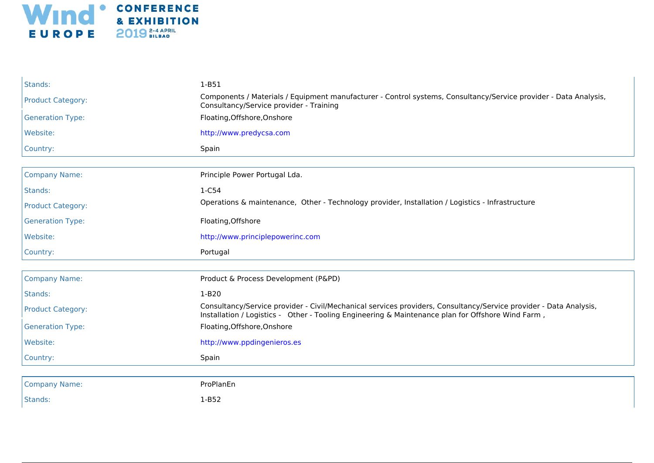

| Stands:                  | $1-B51$                                                                                                                                                                                                                |
|--------------------------|------------------------------------------------------------------------------------------------------------------------------------------------------------------------------------------------------------------------|
| <b>Product Category:</b> | Components / Materials / Equipment manufacturer - Control systems, Consultancy/Service provider - Data Analysis,<br>Consultancy/Service provider - Training                                                            |
| <b>Generation Type:</b>  | Floating, Offshore, Onshore                                                                                                                                                                                            |
| Website:                 | http://www.predycsa.com                                                                                                                                                                                                |
| Country:                 | Spain                                                                                                                                                                                                                  |
|                          |                                                                                                                                                                                                                        |
| <b>Company Name:</b>     | Principle Power Portugal Lda.                                                                                                                                                                                          |
| Stands:                  | 1-C54                                                                                                                                                                                                                  |
| <b>Product Category:</b> | Operations & maintenance, Other - Technology provider, Installation / Logistics - Infrastructure                                                                                                                       |
| <b>Generation Type:</b>  | Floating, Offshore                                                                                                                                                                                                     |
| Website:                 | http://www.principlepowerinc.com                                                                                                                                                                                       |
| Country:                 | Portugal                                                                                                                                                                                                               |
|                          |                                                                                                                                                                                                                        |
| <b>Company Name:</b>     | Product & Process Development (P&PD)                                                                                                                                                                                   |
| Stands:                  | $1-B20$                                                                                                                                                                                                                |
| <b>Product Category:</b> | Consultancy/Service provider - Civil/Mechanical services providers, Consultancy/Service provider - Data Analysis,<br>Installation / Logistics - Other - Tooling Engineering & Maintenance plan for Offshore Wind Farm, |
| <b>Generation Type:</b>  | Floating, Offshore, Onshore                                                                                                                                                                                            |
| Website:                 | http://www.ppdingenieros.es                                                                                                                                                                                            |
| Country:                 | Spain                                                                                                                                                                                                                  |
|                          |                                                                                                                                                                                                                        |
| <b>Company Name:</b>     | ProPlanEn                                                                                                                                                                                                              |
| Stands:                  | $1-B52$                                                                                                                                                                                                                |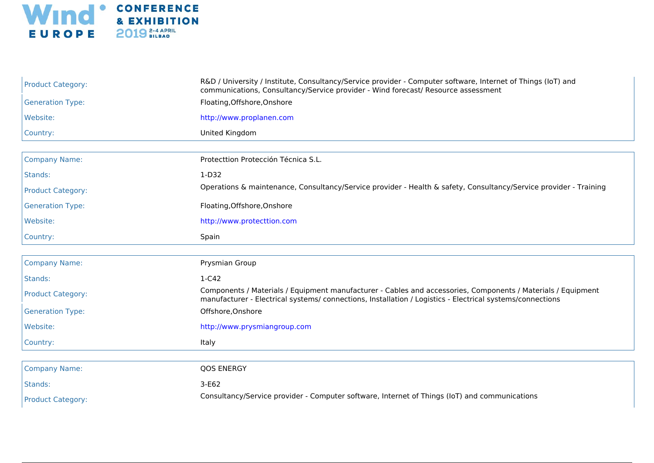

| <b>Product Category:</b> | R&D / University / Institute, Consultancy/Service provider - Computer software, Internet of Things (IoT) and<br>communications, Consultancy/Service provider - Wind forecast/ Resource assessment                         |
|--------------------------|---------------------------------------------------------------------------------------------------------------------------------------------------------------------------------------------------------------------------|
| <b>Generation Type:</b>  | Floating, Offshore, Onshore                                                                                                                                                                                               |
| Website:                 | http://www.proplanen.com                                                                                                                                                                                                  |
| Country:                 | United Kingdom                                                                                                                                                                                                            |
|                          |                                                                                                                                                                                                                           |
| <b>Company Name:</b>     | Protecttion Protección Técnica S.L.                                                                                                                                                                                       |
| Stands:                  | $1-D32$                                                                                                                                                                                                                   |
| <b>Product Category:</b> | Operations & maintenance, Consultancy/Service provider - Health & safety, Consultancy/Service provider - Training                                                                                                         |
| <b>Generation Type:</b>  | Floating, Offshore, Onshore                                                                                                                                                                                               |
| Website:                 | http://www.protecttion.com                                                                                                                                                                                                |
| Country:                 | Spain                                                                                                                                                                                                                     |
|                          |                                                                                                                                                                                                                           |
| <b>Company Name:</b>     | Prysmian Group                                                                                                                                                                                                            |
| Stands:                  | $1-C42$                                                                                                                                                                                                                   |
| <b>Product Category:</b> | Components / Materials / Equipment manufacturer - Cables and accessories, Components / Materials / Equipment<br>manufacturer - Electrical systems/ connections, Installation / Logistics - Electrical systems/connections |
| <b>Generation Type:</b>  | Offshore, Onshore                                                                                                                                                                                                         |
| Website:                 | http://www.prysmiangroup.com                                                                                                                                                                                              |
| Country:                 | Italy                                                                                                                                                                                                                     |
|                          |                                                                                                                                                                                                                           |
| <b>Company Name:</b>     | <b>QOS ENERGY</b>                                                                                                                                                                                                         |
| Stands:                  | 3-E62                                                                                                                                                                                                                     |
| <b>Product Category:</b> | Consultancy/Service provider - Computer software, Internet of Things (IoT) and communications                                                                                                                             |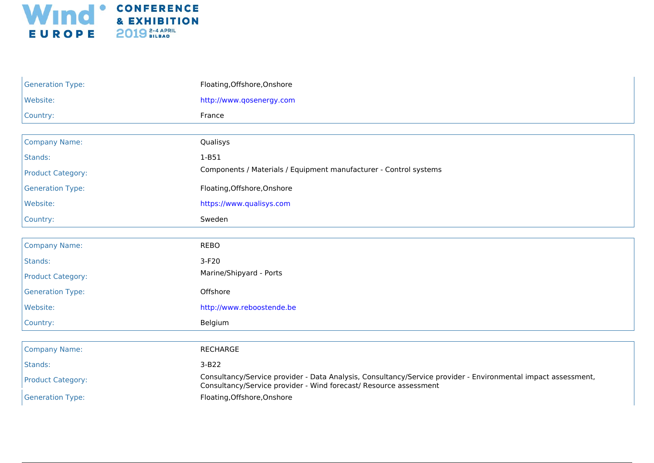

| <b>Generation Type:</b>  | Floating, Offshore, Onshore                                                                                                                                                        |
|--------------------------|------------------------------------------------------------------------------------------------------------------------------------------------------------------------------------|
| Website:                 | http://www.qosenergy.com                                                                                                                                                           |
| Country:                 | France                                                                                                                                                                             |
|                          |                                                                                                                                                                                    |
| <b>Company Name:</b>     | Qualisys                                                                                                                                                                           |
| Stands:                  | $1-B51$                                                                                                                                                                            |
| <b>Product Category:</b> | Components / Materials / Equipment manufacturer - Control systems                                                                                                                  |
| <b>Generation Type:</b>  | Floating, Offshore, Onshore                                                                                                                                                        |
| Website:                 | https://www.qualisys.com                                                                                                                                                           |
| Country:                 | Sweden                                                                                                                                                                             |
|                          |                                                                                                                                                                                    |
| <b>Company Name:</b>     | <b>REBO</b>                                                                                                                                                                        |
| Stands:                  | $3-F20$                                                                                                                                                                            |
| <b>Product Category:</b> | Marine/Shipyard - Ports                                                                                                                                                            |
| <b>Generation Type:</b>  | Offshore                                                                                                                                                                           |
| Website:                 | http://www.reboostende.be                                                                                                                                                          |
| Country:                 | Belgium                                                                                                                                                                            |
|                          |                                                                                                                                                                                    |
| <b>Company Name:</b>     | <b>RECHARGE</b>                                                                                                                                                                    |
| Stands:                  | $3-B22$                                                                                                                                                                            |
| <b>Product Category:</b> | Consultancy/Service provider - Data Analysis, Consultancy/Service provider - Environmental impact assessment,<br>Consultancy/Service provider - Wind forecast/ Resource assessment |
| <b>Generation Type:</b>  | Floating, Offshore, Onshore                                                                                                                                                        |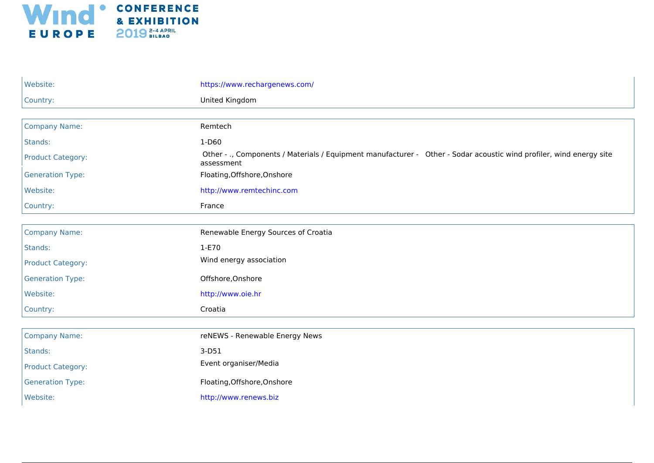

| Website:                 | https://www.rechargenews.com/                                                                                                     |
|--------------------------|-----------------------------------------------------------------------------------------------------------------------------------|
| Country:                 | United Kingdom                                                                                                                    |
|                          |                                                                                                                                   |
| <b>Company Name:</b>     | Remtech                                                                                                                           |
| Stands:                  | 1-D60                                                                                                                             |
| <b>Product Category:</b> | Other - ., Components / Materials / Equipment manufacturer - Other - Sodar acoustic wind profiler, wind energy site<br>assessment |
| <b>Generation Type:</b>  | Floating, Offshore, Onshore                                                                                                       |
| Website:                 | http://www.remtechinc.com                                                                                                         |
| Country:                 | France                                                                                                                            |
|                          |                                                                                                                                   |
| <b>Company Name:</b>     | Renewable Energy Sources of Croatia                                                                                               |
| Stands:                  | 1-E70                                                                                                                             |
| <b>Product Category:</b> | Wind energy association                                                                                                           |
| <b>Generation Type:</b>  | Offshore, Onshore                                                                                                                 |
| Website:                 | http://www.oie.hr                                                                                                                 |
| Country:                 | Croatia                                                                                                                           |
|                          |                                                                                                                                   |
| <b>Company Name:</b>     | reNEWS - Renewable Energy News                                                                                                    |
| Stands:                  | $3-D51$                                                                                                                           |
| <b>Product Category:</b> | Event organiser/Media                                                                                                             |
| <b>Generation Type:</b>  | Floating, Offshore, Onshore                                                                                                       |
| Website:                 | http://www.renews.biz                                                                                                             |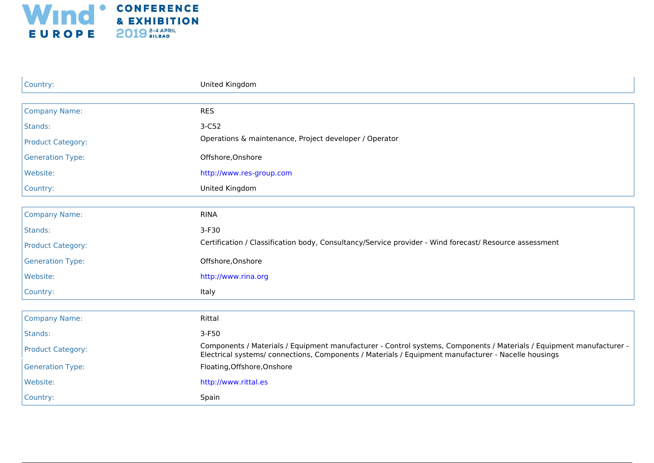

| Country:                 | United Kingdom                                                                                                                                                                                                              |
|--------------------------|-----------------------------------------------------------------------------------------------------------------------------------------------------------------------------------------------------------------------------|
|                          |                                                                                                                                                                                                                             |
| <b>Company Name:</b>     | <b>RES</b>                                                                                                                                                                                                                  |
| Stands:                  | $3-C52$                                                                                                                                                                                                                     |
| <b>Product Category:</b> | Operations & maintenance, Project developer / Operator                                                                                                                                                                      |
| <b>Generation Type:</b>  | Offshore, Onshore                                                                                                                                                                                                           |
| Website:                 | http://www.res-group.com                                                                                                                                                                                                    |
| Country:                 | United Kingdom                                                                                                                                                                                                              |
|                          |                                                                                                                                                                                                                             |
| <b>Company Name:</b>     | <b>RINA</b>                                                                                                                                                                                                                 |
| Stands:                  | 3-F30                                                                                                                                                                                                                       |
| <b>Product Category:</b> | Certification / Classification body, Consultancy/Service provider - Wind forecast/ Resource assessment                                                                                                                      |
| <b>Generation Type:</b>  | Offshore, Onshore                                                                                                                                                                                                           |
| Website:                 | http://www.rina.org                                                                                                                                                                                                         |
| Country:                 | Italy                                                                                                                                                                                                                       |
|                          |                                                                                                                                                                                                                             |
| <b>Company Name:</b>     | Rittal                                                                                                                                                                                                                      |
| Stands:                  | 3-F50                                                                                                                                                                                                                       |
| <b>Product Category:</b> | Components / Materials / Equipment manufacturer - Control systems, Components / Materials / Equipment manufacturer -<br>Electrical systems/ connections, Components / Materials / Equipment manufacturer - Nacelle housings |
| <b>Generation Type:</b>  | Floating, Offshore, Onshore                                                                                                                                                                                                 |
| Website:                 | http://www.rittal.es                                                                                                                                                                                                        |
| Country:                 | Spain                                                                                                                                                                                                                       |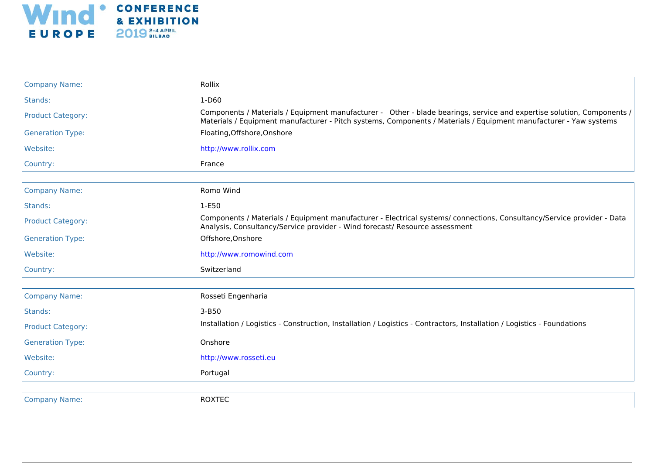

| <b>Company Name:</b>     | Rollix                                                                                                                                                                                                                                      |
|--------------------------|---------------------------------------------------------------------------------------------------------------------------------------------------------------------------------------------------------------------------------------------|
| Stands:                  | 1-D60                                                                                                                                                                                                                                       |
| <b>Product Category:</b> | Components / Materials / Equipment manufacturer - Other - blade bearings, service and expertise solution, Components /<br>Materials / Equipment manufacturer - Pitch systems, Components / Materials / Equipment manufacturer - Yaw systems |
| <b>Generation Type:</b>  | Floating, Offshore, Onshore                                                                                                                                                                                                                 |
| Website:                 | http://www.rollix.com                                                                                                                                                                                                                       |
| Country:                 | France                                                                                                                                                                                                                                      |
| <b>Company Name:</b>     | Romo Wind                                                                                                                                                                                                                                   |
| Stands:                  | 1-E50                                                                                                                                                                                                                                       |
| <b>Product Category:</b> | Components / Materials / Equipment manufacturer - Electrical systems/ connections, Consultancy/Service provider - Data<br>Analysis, Consultancy/Service provider - Wind forecast/ Resource assessment                                       |
| <b>Generation Type:</b>  | Offshore, Onshore                                                                                                                                                                                                                           |
| Website:                 | http://www.romowind.com                                                                                                                                                                                                                     |
| Country:                 | Switzerland                                                                                                                                                                                                                                 |
| <b>Company Name:</b>     | Rosseti Engenharia                                                                                                                                                                                                                          |
| Stands:                  | $3 - B50$                                                                                                                                                                                                                                   |
| <b>Product Category:</b> | Installation / Logistics - Construction, Installation / Logistics - Contractors, Installation / Logistics - Foundations                                                                                                                     |
| <b>Generation Type:</b>  | Onshore                                                                                                                                                                                                                                     |
| Website:                 | http://www.rosseti.eu                                                                                                                                                                                                                       |
| Country:                 | Portugal                                                                                                                                                                                                                                    |
|                          |                                                                                                                                                                                                                                             |
| <b>Company Name:</b>     | <b>ROXTEC</b>                                                                                                                                                                                                                               |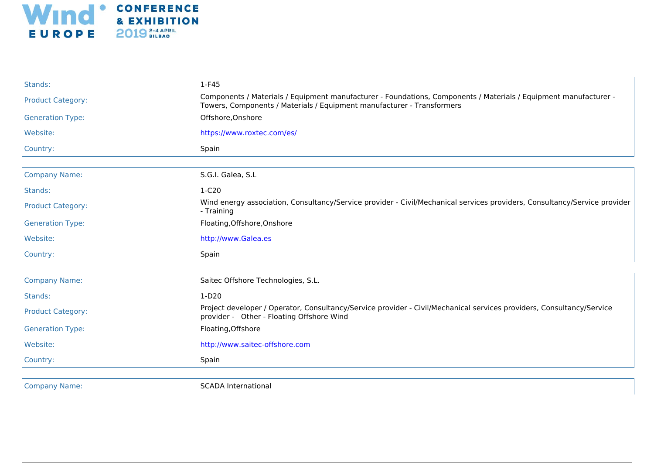

| Stands:                  | $1-F45$                                                                                                                                                                                    |
|--------------------------|--------------------------------------------------------------------------------------------------------------------------------------------------------------------------------------------|
| <b>Product Category:</b> | Components / Materials / Equipment manufacturer - Foundations, Components / Materials / Equipment manufacturer -<br>Towers, Components / Materials / Equipment manufacturer - Transformers |
| <b>Generation Type:</b>  | Offshore, Onshore                                                                                                                                                                          |
| Website:                 | https://www.roxtec.com/es/                                                                                                                                                                 |
| Country:                 | Spain                                                                                                                                                                                      |
| <b>Company Name:</b>     | S.G.I. Galea, S.L                                                                                                                                                                          |
| Stands:                  | $1-C20$                                                                                                                                                                                    |
| <b>Product Category:</b> | Wind energy association, Consultancy/Service provider - Civil/Mechanical services providers, Consultancy/Service provider<br>- Training                                                    |
| <b>Generation Type:</b>  | Floating, Offshore, Onshore                                                                                                                                                                |
| Website:                 | http://www.Galea.es                                                                                                                                                                        |
| Country:                 | Spain                                                                                                                                                                                      |
| <b>Company Name:</b>     | Saitec Offshore Technologies, S.L.                                                                                                                                                         |
| Stands:                  | $1-D20$                                                                                                                                                                                    |
| <b>Product Category:</b> | Project developer / Operator, Consultancy/Service provider - Civil/Mechanical services providers, Consultancy/Service<br>provider - Other - Floating Offshore Wind                         |
| <b>Generation Type:</b>  | Floating, Offshore                                                                                                                                                                         |
| Website:                 | http://www.saitec-offshore.com                                                                                                                                                             |
| Country:                 | Spain                                                                                                                                                                                      |
| <b>Company Name:</b>     | <b>SCADA International</b>                                                                                                                                                                 |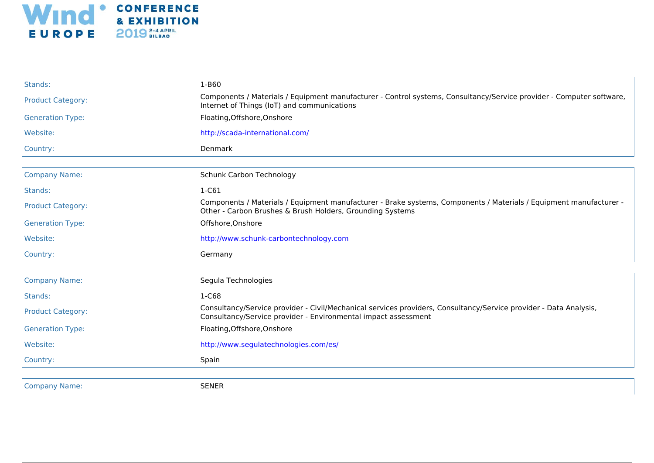

| Stands:                  | $1 - B60$                                                                                                                                                                           |
|--------------------------|-------------------------------------------------------------------------------------------------------------------------------------------------------------------------------------|
| <b>Product Category:</b> | Components / Materials / Equipment manufacturer - Control systems, Consultancy/Service provider - Computer software,<br>Internet of Things (IoT) and communications                 |
| <b>Generation Type:</b>  | Floating, Offshore, Onshore                                                                                                                                                         |
| Website:                 | http://scada-international.com/                                                                                                                                                     |
| Country:                 | Denmark                                                                                                                                                                             |
|                          |                                                                                                                                                                                     |
| <b>Company Name:</b>     | Schunk Carbon Technology                                                                                                                                                            |
| Stands:                  | $1-C61$                                                                                                                                                                             |
| <b>Product Category:</b> | Components / Materials / Equipment manufacturer - Brake systems, Components / Materials / Equipment manufacturer -<br>Other - Carbon Brushes & Brush Holders, Grounding Systems     |
| <b>Generation Type:</b>  | Offshore, Onshore                                                                                                                                                                   |
| Website:                 | http://www.schunk-carbontechnology.com                                                                                                                                              |
| Country:                 | Germany                                                                                                                                                                             |
| <b>Company Name:</b>     | Segula Technologies                                                                                                                                                                 |
|                          |                                                                                                                                                                                     |
| Stands:                  | $1-C68$                                                                                                                                                                             |
| <b>Product Category:</b> | Consultancy/Service provider - Civil/Mechanical services providers, Consultancy/Service provider - Data Analysis,<br>Consultancy/Service provider - Environmental impact assessment |
| <b>Generation Type:</b>  | Floating, Offshore, Onshore                                                                                                                                                         |
| Website:                 | http://www.segulatechnologies.com/es/                                                                                                                                               |
| Country:                 | Spain                                                                                                                                                                               |
|                          |                                                                                                                                                                                     |
| <b>Company Name:</b>     |                                                                                                                                                                                     |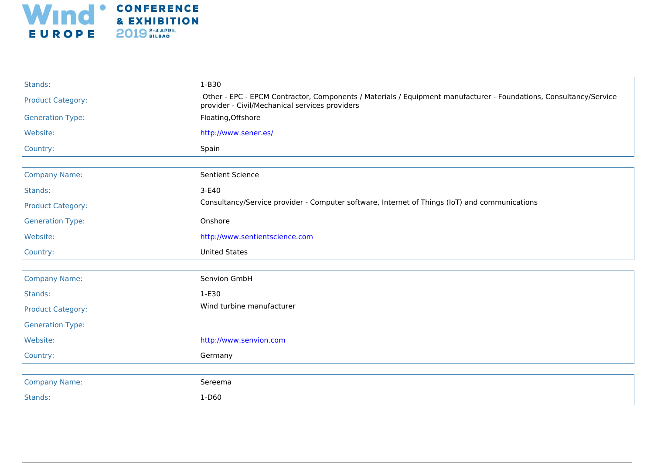

| Stands:                  | $1-B30$                                                                                                                                                             |
|--------------------------|---------------------------------------------------------------------------------------------------------------------------------------------------------------------|
| <b>Product Category:</b> | Other - EPC - EPCM Contractor, Components / Materials / Equipment manufacturer - Foundations, Consultancy/Service<br>provider - Civil/Mechanical services providers |
| <b>Generation Type:</b>  | Floating, Offshore                                                                                                                                                  |
| Website:                 | http://www.sener.es/                                                                                                                                                |
| Country:                 | Spain                                                                                                                                                               |
|                          |                                                                                                                                                                     |
| <b>Company Name:</b>     | Sentient Science                                                                                                                                                    |
| Stands:                  | 3-E40                                                                                                                                                               |
| <b>Product Category:</b> | Consultancy/Service provider - Computer software, Internet of Things (IoT) and communications                                                                       |
| <b>Generation Type:</b>  | Onshore                                                                                                                                                             |
| Website:                 | http://www.sentientscience.com                                                                                                                                      |
| Country:                 | <b>United States</b>                                                                                                                                                |
|                          |                                                                                                                                                                     |
| <b>Company Name:</b>     | Senvion GmbH                                                                                                                                                        |
| Stands:                  | 1-E30                                                                                                                                                               |
| <b>Product Category:</b> | Wind turbine manufacturer                                                                                                                                           |
| <b>Generation Type:</b>  |                                                                                                                                                                     |
| Website:                 | http://www.senvion.com                                                                                                                                              |
| Country:                 | Germany                                                                                                                                                             |
|                          |                                                                                                                                                                     |
| <b>Company Name:</b>     | Sereema                                                                                                                                                             |
| Stands:                  | $1-D60$                                                                                                                                                             |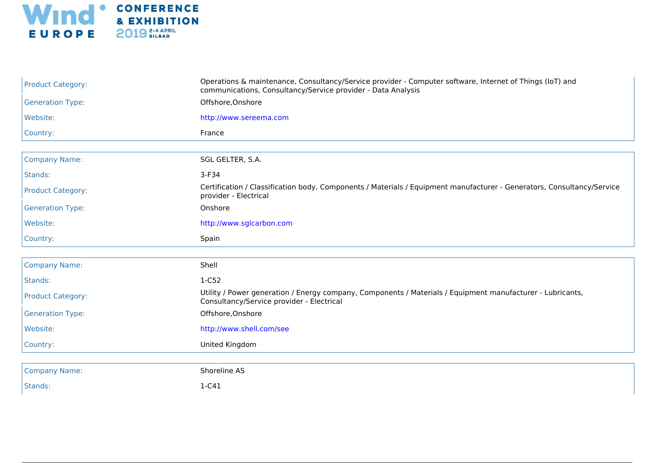

| <b>Product Category:</b> | Operations & maintenance, Consultancy/Service provider - Computer software, Internet of Things (IoT) and<br>communications, Consultancy/Service provider - Data Analysis |
|--------------------------|--------------------------------------------------------------------------------------------------------------------------------------------------------------------------|
| <b>Generation Type:</b>  | Offshore, Onshore                                                                                                                                                        |
| Website:                 | http://www.sereema.com                                                                                                                                                   |
| Country:                 | France                                                                                                                                                                   |
|                          |                                                                                                                                                                          |
| <b>Company Name:</b>     | SGL GELTER, S.A.                                                                                                                                                         |
| Stands:                  | $3-F34$                                                                                                                                                                  |
| <b>Product Category:</b> | Certification / Classification body, Components / Materials / Equipment manufacturer - Generators, Consultancy/Service<br>provider - Electrical                          |
| <b>Generation Type:</b>  | Onshore                                                                                                                                                                  |
| Website:                 | http://www.sglcarbon.com                                                                                                                                                 |
| Country:                 | Spain                                                                                                                                                                    |
|                          |                                                                                                                                                                          |
| <b>Company Name:</b>     | Shell                                                                                                                                                                    |
| Stands:                  | 1-C52                                                                                                                                                                    |
| <b>Product Category:</b> | Utility / Power generation / Energy company, Components / Materials / Equipment manufacturer - Lubricants,<br>Consultancy/Service provider - Electrical                  |
| <b>Generation Type:</b>  | Offshore, Onshore                                                                                                                                                        |
| Website:                 | http://www.shell.com/see                                                                                                                                                 |
| Country:                 | United Kingdom                                                                                                                                                           |
| <b>Company Name:</b>     | Shoreline AS                                                                                                                                                             |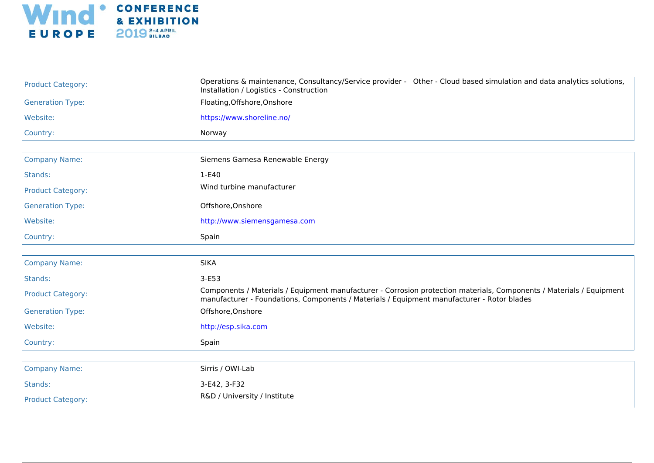

| <b>Product Category:</b> | Operations & maintenance, Consultancy/Service provider - Other - Cloud based simulation and data analytics solutions,<br>Installation / Logistics - Construction                                                   |
|--------------------------|--------------------------------------------------------------------------------------------------------------------------------------------------------------------------------------------------------------------|
| <b>Generation Type:</b>  | Floating, Offshore, Onshore                                                                                                                                                                                        |
| Website:                 | https://www.shoreline.no/                                                                                                                                                                                          |
| Country:                 | Norway                                                                                                                                                                                                             |
| <b>Company Name:</b>     | Siemens Gamesa Renewable Energy                                                                                                                                                                                    |
|                          |                                                                                                                                                                                                                    |
| Stands:                  | 1-E40                                                                                                                                                                                                              |
| <b>Product Category:</b> | Wind turbine manufacturer                                                                                                                                                                                          |
| <b>Generation Type:</b>  | Offshore, Onshore                                                                                                                                                                                                  |
| Website:                 | http://www.siemensgamesa.com                                                                                                                                                                                       |
| Country:                 | Spain                                                                                                                                                                                                              |
| <b>Company Name:</b>     | <b>SIKA</b>                                                                                                                                                                                                        |
| Stands:                  | $3-E53$                                                                                                                                                                                                            |
| <b>Product Category:</b> | Components / Materials / Equipment manufacturer - Corrosion protection materials, Components / Materials / Equipment<br>manufacturer - Foundations, Components / Materials / Equipment manufacturer - Rotor blades |
| <b>Generation Type:</b>  | Offshore, Onshore                                                                                                                                                                                                  |
| Website:                 | http://esp.sika.com                                                                                                                                                                                                |
| Country:                 | Spain                                                                                                                                                                                                              |
|                          |                                                                                                                                                                                                                    |
| <b>Company Name:</b>     | Sirris / OWI-Lab                                                                                                                                                                                                   |
| Stands:                  | 3-E42, 3-F32                                                                                                                                                                                                       |
| <b>Product Category:</b> | R&D / University / Institute                                                                                                                                                                                       |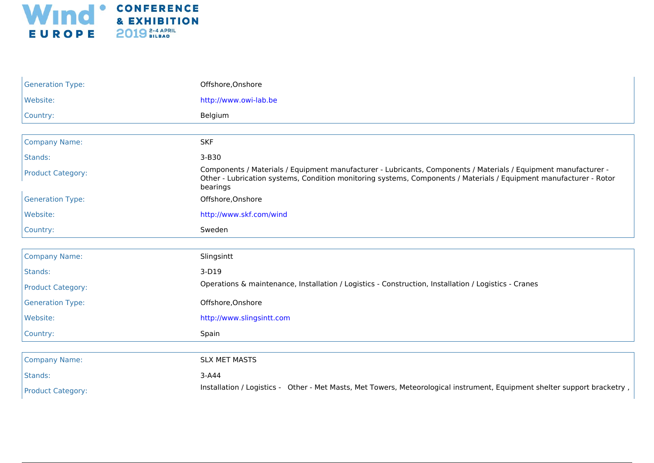

| <b>Generation Type:</b>  | Offshore, Onshore                                                                                                                                                                                                                                 |
|--------------------------|---------------------------------------------------------------------------------------------------------------------------------------------------------------------------------------------------------------------------------------------------|
| Website:                 | http://www.owi-lab.be                                                                                                                                                                                                                             |
| Country:                 | Belgium                                                                                                                                                                                                                                           |
|                          |                                                                                                                                                                                                                                                   |
| <b>Company Name:</b>     | <b>SKF</b>                                                                                                                                                                                                                                        |
| Stands:                  | 3-B30                                                                                                                                                                                                                                             |
| <b>Product Category:</b> | Components / Materials / Equipment manufacturer - Lubricants, Components / Materials / Equipment manufacturer -<br>Other - Lubrication systems, Condition monitoring systems, Components / Materials / Equipment manufacturer - Rotor<br>bearings |
| <b>Generation Type:</b>  | Offshore, Onshore                                                                                                                                                                                                                                 |
| Website:                 | http://www.skf.com/wind                                                                                                                                                                                                                           |
| Country:                 | Sweden                                                                                                                                                                                                                                            |
|                          |                                                                                                                                                                                                                                                   |
| <b>Company Name:</b>     | Slingsintt                                                                                                                                                                                                                                        |
| Stands:                  | 3-D19                                                                                                                                                                                                                                             |
| <b>Product Category:</b> | Operations & maintenance, Installation / Logistics - Construction, Installation / Logistics - Cranes                                                                                                                                              |
| <b>Generation Type:</b>  | Offshore, Onshore                                                                                                                                                                                                                                 |
| Website:                 | http://www.slingsintt.com                                                                                                                                                                                                                         |
| Country:                 | Spain                                                                                                                                                                                                                                             |
|                          |                                                                                                                                                                                                                                                   |
| <b>Company Name:</b>     | <b>SLX MET MASTS</b>                                                                                                                                                                                                                              |
| Stands:                  | $3-A44$                                                                                                                                                                                                                                           |
| <b>Product Category:</b> | Installation / Logistics - Other - Met Masts, Met Towers, Meteorological instrument, Equipment shelter support bracketry,                                                                                                                         |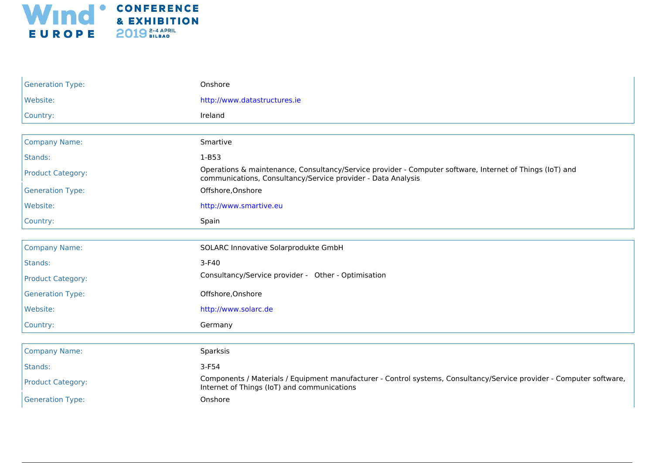

| <b>Generation Type:</b>  | Onshore                                                                                                                                                                  |
|--------------------------|--------------------------------------------------------------------------------------------------------------------------------------------------------------------------|
| Website:                 | http://www.datastructures.ie                                                                                                                                             |
| Country:                 | Ireland                                                                                                                                                                  |
|                          |                                                                                                                                                                          |
| <b>Company Name:</b>     | Smartive                                                                                                                                                                 |
| Stands:                  | $1-B53$                                                                                                                                                                  |
| <b>Product Category:</b> | Operations & maintenance, Consultancy/Service provider - Computer software, Internet of Things (IoT) and<br>communications, Consultancy/Service provider - Data Analysis |
| <b>Generation Type:</b>  | Offshore, Onshore                                                                                                                                                        |
| Website:                 | http://www.smartive.eu                                                                                                                                                   |
| Country:                 | Spain                                                                                                                                                                    |
|                          |                                                                                                                                                                          |
| <b>Company Name:</b>     | SOLARC Innovative Solarprodukte GmbH                                                                                                                                     |
| Stands:                  | $3-F40$                                                                                                                                                                  |
| <b>Product Category:</b> | Consultancy/Service provider - Other - Optimisation                                                                                                                      |
| <b>Generation Type:</b>  | Offshore, Onshore                                                                                                                                                        |
| Website:                 | http://www.solarc.de                                                                                                                                                     |
| Country:                 | Germany                                                                                                                                                                  |
|                          |                                                                                                                                                                          |
| <b>Company Name:</b>     | Sparksis                                                                                                                                                                 |
| Stands:                  | $3-F54$                                                                                                                                                                  |
| <b>Product Category:</b> | Components / Materials / Equipment manufacturer - Control systems, Consultancy/Service provider - Computer software,<br>Internet of Things (IoT) and communications      |
| <b>Generation Type:</b>  | Onshore                                                                                                                                                                  |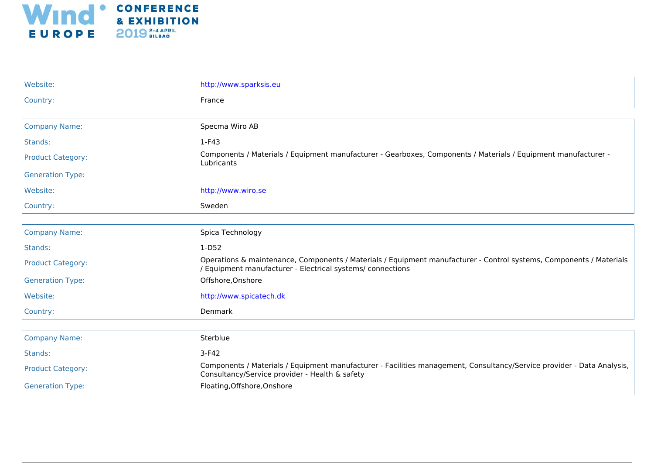

| Website:                 | http://www.sparksis.eu                                                                                                                                                            |
|--------------------------|-----------------------------------------------------------------------------------------------------------------------------------------------------------------------------------|
| Country:                 | France                                                                                                                                                                            |
|                          |                                                                                                                                                                                   |
| <b>Company Name:</b>     | Specma Wiro AB                                                                                                                                                                    |
| Stands:                  | 1-F43                                                                                                                                                                             |
| <b>Product Category:</b> | Components / Materials / Equipment manufacturer - Gearboxes, Components / Materials / Equipment manufacturer -<br>Lubricants                                                      |
| <b>Generation Type:</b>  |                                                                                                                                                                                   |
| Website:                 | http://www.wiro.se                                                                                                                                                                |
| Country:                 | Sweden                                                                                                                                                                            |
|                          |                                                                                                                                                                                   |
| <b>Company Name:</b>     | Spica Technology                                                                                                                                                                  |
| Stands:                  | $1-D52$                                                                                                                                                                           |
| <b>Product Category:</b> | Operations & maintenance, Components / Materials / Equipment manufacturer - Control systems, Components / Materials<br>/ Equipment manufacturer - Electrical systems/ connections |
| <b>Generation Type:</b>  | Offshore, Onshore                                                                                                                                                                 |
| Website:                 | http://www.spicatech.dk                                                                                                                                                           |
| Country:                 | Denmark                                                                                                                                                                           |
|                          |                                                                                                                                                                                   |
| <b>Company Name:</b>     | Sterblue                                                                                                                                                                          |
| Stands:                  | $3-F42$                                                                                                                                                                           |
| <b>Product Category:</b> | Components / Materials / Equipment manufacturer - Facilities management, Consultancy/Service provider - Data Analysis,<br>Consultancy/Service provider - Health & safety          |
| <b>Generation Type:</b>  | Floating, Offshore, Onshore                                                                                                                                                       |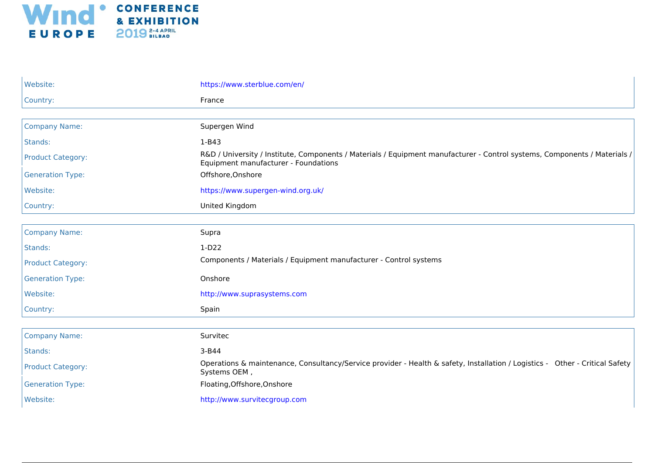

| Website:                 | https://www.sterblue.com/en/                                                                                                                                      |
|--------------------------|-------------------------------------------------------------------------------------------------------------------------------------------------------------------|
| Country:                 | France                                                                                                                                                            |
|                          |                                                                                                                                                                   |
| <b>Company Name:</b>     | Supergen Wind                                                                                                                                                     |
| Stands:                  | $1 - B43$                                                                                                                                                         |
| <b>Product Category:</b> | R&D / University / Institute, Components / Materials / Equipment manufacturer - Control systems, Components / Materials /<br>Equipment manufacturer - Foundations |
| <b>Generation Type:</b>  | Offshore, Onshore                                                                                                                                                 |
| Website:                 | https://www.supergen-wind.org.uk/                                                                                                                                 |
| Country:                 | United Kingdom                                                                                                                                                    |
|                          |                                                                                                                                                                   |
| <b>Company Name:</b>     | Supra                                                                                                                                                             |
| Stands:                  | $1-D22$                                                                                                                                                           |
| <b>Product Category:</b> | Components / Materials / Equipment manufacturer - Control systems                                                                                                 |
| <b>Generation Type:</b>  | Onshore                                                                                                                                                           |
| Website:                 | http://www.suprasystems.com                                                                                                                                       |
| Country:                 | Spain                                                                                                                                                             |
|                          |                                                                                                                                                                   |
| <b>Company Name:</b>     | Survitec                                                                                                                                                          |
| Stands:                  | $3-B44$                                                                                                                                                           |
| <b>Product Category:</b> | Operations & maintenance, Consultancy/Service provider - Health & safety, Installation / Logistics - Other - Critical Safety<br>Systems OEM,                      |
| <b>Generation Type:</b>  | Floating, Offshore, Onshore                                                                                                                                       |
| Website:                 | http://www.survitecgroup.com                                                                                                                                      |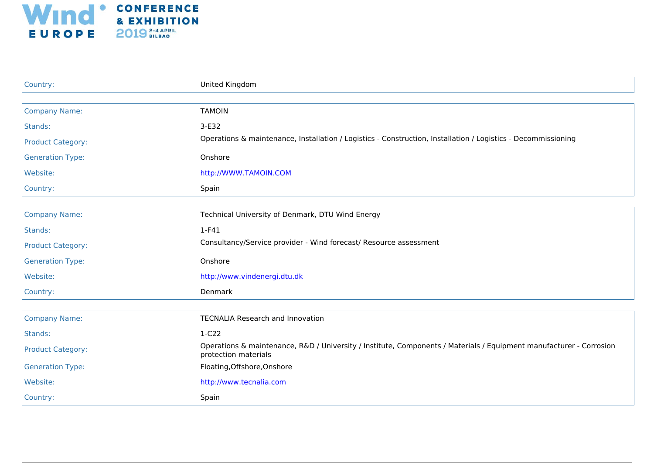

| Country:                 | United Kingdom                                                                                                                              |
|--------------------------|---------------------------------------------------------------------------------------------------------------------------------------------|
|                          |                                                                                                                                             |
| <b>Company Name:</b>     | <b>TAMOIN</b>                                                                                                                               |
| Stands:                  | 3-E32                                                                                                                                       |
| <b>Product Category:</b> | Operations & maintenance, Installation / Logistics - Construction, Installation / Logistics - Decommissioning                               |
| <b>Generation Type:</b>  | Onshore                                                                                                                                     |
| Website:                 | http://WWW.TAMOIN.COM                                                                                                                       |
| Country:                 | Spain                                                                                                                                       |
|                          |                                                                                                                                             |
| <b>Company Name:</b>     | Technical University of Denmark, DTU Wind Energy                                                                                            |
| Stands:                  | $1-F41$                                                                                                                                     |
| <b>Product Category:</b> | Consultancy/Service provider - Wind forecast/ Resource assessment                                                                           |
| <b>Generation Type:</b>  | Onshore                                                                                                                                     |
| Website:                 | http://www.vindenergi.dtu.dk                                                                                                                |
| Country:                 | Denmark                                                                                                                                     |
|                          |                                                                                                                                             |
| <b>Company Name:</b>     | <b>TECNALIA Research and Innovation</b>                                                                                                     |
| Stands:                  | $1-C22$                                                                                                                                     |
| <b>Product Category:</b> | Operations & maintenance, R&D / University / Institute, Components / Materials / Equipment manufacturer - Corrosion<br>protection materials |
| <b>Generation Type:</b>  | Floating, Offshore, Onshore                                                                                                                 |
| Website:                 | http://www.tecnalia.com                                                                                                                     |
| Country:                 | Spain                                                                                                                                       |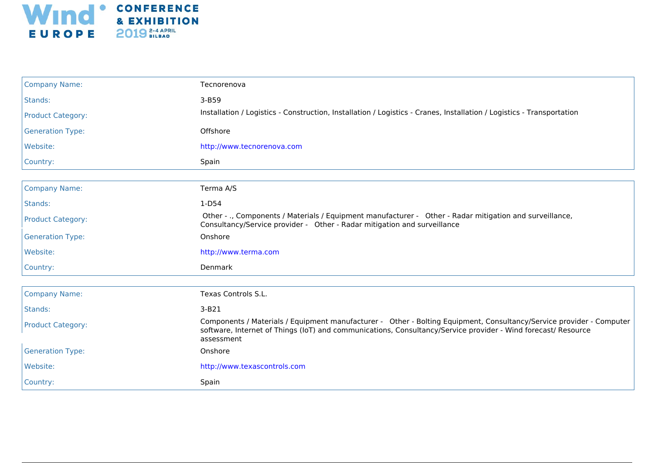

| <b>Company Name:</b>     | Tecnorenova                                                                                                                                                                                                                                         |
|--------------------------|-----------------------------------------------------------------------------------------------------------------------------------------------------------------------------------------------------------------------------------------------------|
| Stands:                  | $3-B59$                                                                                                                                                                                                                                             |
| <b>Product Category:</b> | Installation / Logistics - Construction, Installation / Logistics - Cranes, Installation / Logistics - Transportation                                                                                                                               |
| <b>Generation Type:</b>  | Offshore                                                                                                                                                                                                                                            |
| Website:                 | http://www.tecnorenova.com                                                                                                                                                                                                                          |
| Country:                 | Spain                                                                                                                                                                                                                                               |
|                          |                                                                                                                                                                                                                                                     |
| <b>Company Name:</b>     | Terma A/S                                                                                                                                                                                                                                           |
| Stands:                  | $1-D54$                                                                                                                                                                                                                                             |
| <b>Product Category:</b> | Other - ., Components / Materials / Equipment manufacturer - Other - Radar mitigation and surveillance,<br>Consultancy/Service provider - Other - Radar mitigation and surveillance                                                                 |
| <b>Generation Type:</b>  | Onshore                                                                                                                                                                                                                                             |
| Website:                 | http://www.terma.com                                                                                                                                                                                                                                |
| Country:                 | Denmark                                                                                                                                                                                                                                             |
|                          |                                                                                                                                                                                                                                                     |
| <b>Company Name:</b>     | Texas Controls S.L.                                                                                                                                                                                                                                 |
| Stands:                  | $3-B21$                                                                                                                                                                                                                                             |
| <b>Product Category:</b> | Components / Materials / Equipment manufacturer - Other - Bolting Equipment, Consultancy/Service provider - Computer<br>software, Internet of Things (IoT) and communications, Consultancy/Service provider - Wind forecast/ Resource<br>assessment |
| <b>Generation Type:</b>  | Onshore                                                                                                                                                                                                                                             |
| Website:                 | http://www.texascontrols.com                                                                                                                                                                                                                        |
| Country:                 | Spain                                                                                                                                                                                                                                               |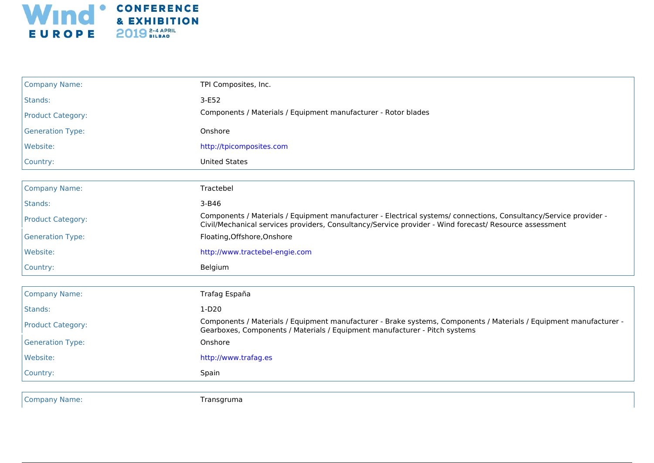

| <b>Company Name:</b>     | TPI Composites, Inc.                                                                                                                                                                                                        |
|--------------------------|-----------------------------------------------------------------------------------------------------------------------------------------------------------------------------------------------------------------------------|
| Stands:                  | $3-E52$                                                                                                                                                                                                                     |
| <b>Product Category:</b> | Components / Materials / Equipment manufacturer - Rotor blades                                                                                                                                                              |
| <b>Generation Type:</b>  | Onshore                                                                                                                                                                                                                     |
| Website:                 | http://tpicomposites.com                                                                                                                                                                                                    |
| Country:                 | <b>United States</b>                                                                                                                                                                                                        |
|                          |                                                                                                                                                                                                                             |
| <b>Company Name:</b>     | Tractebel                                                                                                                                                                                                                   |
| Stands:                  | $3 - B46$                                                                                                                                                                                                                   |
| <b>Product Category:</b> | Components / Materials / Equipment manufacturer - Electrical systems/ connections, Consultancy/Service provider -<br>Civil/Mechanical services providers, Consultancy/Service provider - Wind forecast/ Resource assessment |
| <b>Generation Type:</b>  | Floating, Offshore, Onshore                                                                                                                                                                                                 |
| Website:                 | http://www.tractebel-engie.com                                                                                                                                                                                              |
| Country:                 | Belgium                                                                                                                                                                                                                     |
| <b>Company Name:</b>     | Trafag España                                                                                                                                                                                                               |
| Stands:                  | $1-D20$                                                                                                                                                                                                                     |
| <b>Product Category:</b> | Components / Materials / Equipment manufacturer - Brake systems, Components / Materials / Equipment manufacturer -<br>Gearboxes, Components / Materials / Equipment manufacturer - Pitch systems                            |
| <b>Generation Type:</b>  | Onshore                                                                                                                                                                                                                     |
| Website:                 | http://www.trafag.es                                                                                                                                                                                                        |
| Country:                 | Spain                                                                                                                                                                                                                       |
|                          |                                                                                                                                                                                                                             |

Company Name: Transgruma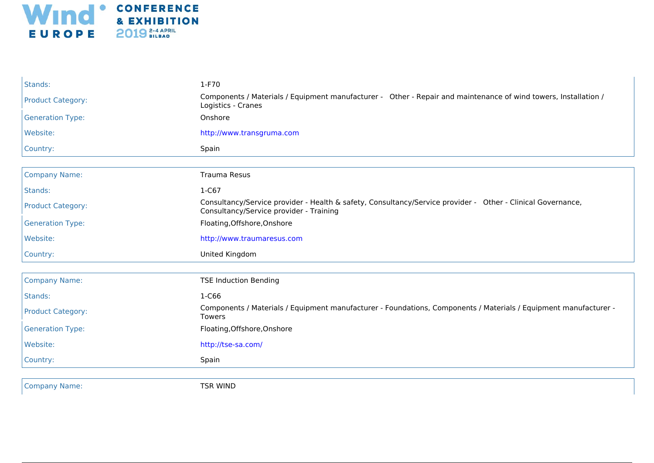

| Stands:                  | 1-F70                                                                                                                                                  |
|--------------------------|--------------------------------------------------------------------------------------------------------------------------------------------------------|
| <b>Product Category:</b> | Components / Materials / Equipment manufacturer - Other - Repair and maintenance of wind towers, Installation /<br>Logistics - Cranes                  |
| <b>Generation Type:</b>  | Onshore                                                                                                                                                |
| Website:                 | http://www.transgruma.com                                                                                                                              |
| Country:                 | Spain                                                                                                                                                  |
|                          |                                                                                                                                                        |
| <b>Company Name:</b>     | <b>Trauma Resus</b>                                                                                                                                    |
| Stands:                  | $1-C67$                                                                                                                                                |
| <b>Product Category:</b> | Consultancy/Service provider - Health & safety, Consultancy/Service provider - Other - Clinical Governance,<br>Consultancy/Service provider - Training |
| <b>Generation Type:</b>  | Floating, Offshore, Onshore                                                                                                                            |
| Website:                 | http://www.traumaresus.com                                                                                                                             |
| Country:                 | United Kingdom                                                                                                                                         |
|                          |                                                                                                                                                        |
| <b>Company Name:</b>     | <b>TSE Induction Bending</b>                                                                                                                           |
| Stands:                  | 1-C66                                                                                                                                                  |
| <b>Product Category:</b> | Components / Materials / Equipment manufacturer - Foundations, Components / Materials / Equipment manufacturer -<br><b>Towers</b>                      |
| <b>Generation Type:</b>  | Floating, Offshore, Onshore                                                                                                                            |
| Website:                 | http://tse-sa.com/                                                                                                                                     |
| Country:                 | Spain                                                                                                                                                  |
|                          |                                                                                                                                                        |
| <b>Company Name:</b>     | <b>TSR WIND</b>                                                                                                                                        |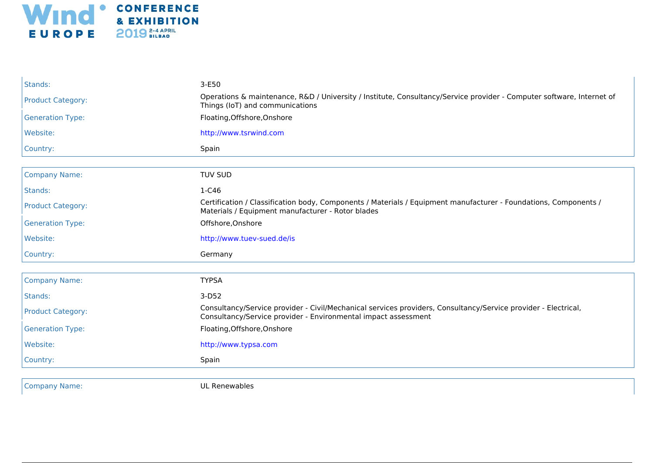

| Stands:                  | 3-E50<br>Operations & maintenance, R&D / University / Institute, Consultancy/Service provider - Computer software, Internet of                                                   |
|--------------------------|----------------------------------------------------------------------------------------------------------------------------------------------------------------------------------|
| <b>Product Category:</b> | Things (IoT) and communications                                                                                                                                                  |
| <b>Generation Type:</b>  | Floating, Offshore, Onshore                                                                                                                                                      |
| Website:                 | http://www.tsrwind.com                                                                                                                                                           |
| Country:                 | Spain                                                                                                                                                                            |
| <b>Company Name:</b>     | <b>TUV SUD</b>                                                                                                                                                                   |
| Stands:                  | 1-C46                                                                                                                                                                            |
| <b>Product Category:</b> | Certification / Classification body, Components / Materials / Equipment manufacturer - Foundations, Components /<br>Materials / Equipment manufacturer - Rotor blades            |
| <b>Generation Type:</b>  | Offshore, Onshore                                                                                                                                                                |
| Website:                 | http://www.tuev-sued.de/is                                                                                                                                                       |
| Country:                 | Germany                                                                                                                                                                          |
| <b>Company Name:</b>     | <b>TYPSA</b>                                                                                                                                                                     |
| Stands:                  | $3-D52$                                                                                                                                                                          |
| <b>Product Category:</b> | Consultancy/Service provider - Civil/Mechanical services providers, Consultancy/Service provider - Electrical,<br>Consultancy/Service provider - Environmental impact assessment |
| <b>Generation Type:</b>  | Floating, Offshore, Onshore                                                                                                                                                      |
| Website:                 | http://www.typsa.com                                                                                                                                                             |
| Country:                 | Spain                                                                                                                                                                            |
| <b>Company Name:</b>     | UL Renewables                                                                                                                                                                    |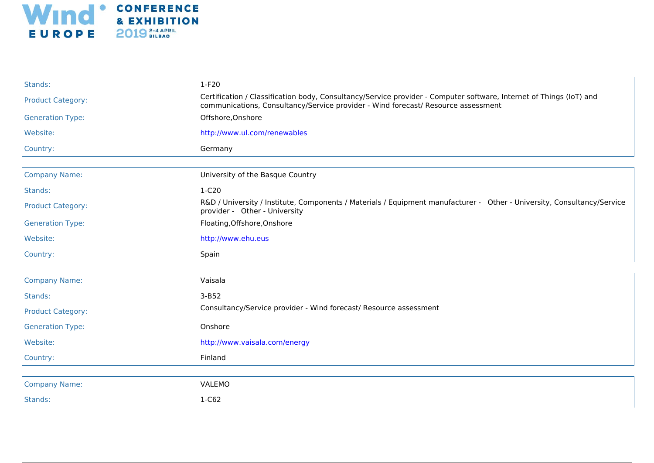

| Stands:                  | $1-F20$                                                                                                                                                                                                  |
|--------------------------|----------------------------------------------------------------------------------------------------------------------------------------------------------------------------------------------------------|
| <b>Product Category:</b> | Certification / Classification body, Consultancy/Service provider - Computer software, Internet of Things (IoT) and<br>communications, Consultancy/Service provider - Wind forecast/ Resource assessment |
| <b>Generation Type:</b>  | Offshore, Onshore                                                                                                                                                                                        |
| Website:                 | http://www.ul.com/renewables                                                                                                                                                                             |
| Country:                 | Germany                                                                                                                                                                                                  |
|                          |                                                                                                                                                                                                          |
| <b>Company Name:</b>     | University of the Basque Country                                                                                                                                                                         |
| Stands:                  | 1-C20                                                                                                                                                                                                    |
| <b>Product Category:</b> | R&D / University / Institute, Components / Materials / Equipment manufacturer - Other - University, Consultancy/Service<br>provider - Other - University                                                 |
| <b>Generation Type:</b>  | Floating, Offshore, Onshore                                                                                                                                                                              |
| Website:                 | http://www.ehu.eus                                                                                                                                                                                       |
| Country:                 | Spain                                                                                                                                                                                                    |
|                          |                                                                                                                                                                                                          |
| <b>Company Name:</b>     | Vaisala                                                                                                                                                                                                  |
| Stands:                  | $3-B52$                                                                                                                                                                                                  |
|                          |                                                                                                                                                                                                          |
| <b>Product Category:</b> | Consultancy/Service provider - Wind forecast/ Resource assessment                                                                                                                                        |
| <b>Generation Type:</b>  | Onshore                                                                                                                                                                                                  |
| Website:                 | http://www.vaisala.com/energy                                                                                                                                                                            |
| Country:                 | Finland                                                                                                                                                                                                  |
|                          |                                                                                                                                                                                                          |
| <b>Company Name:</b>     | VALEMO                                                                                                                                                                                                   |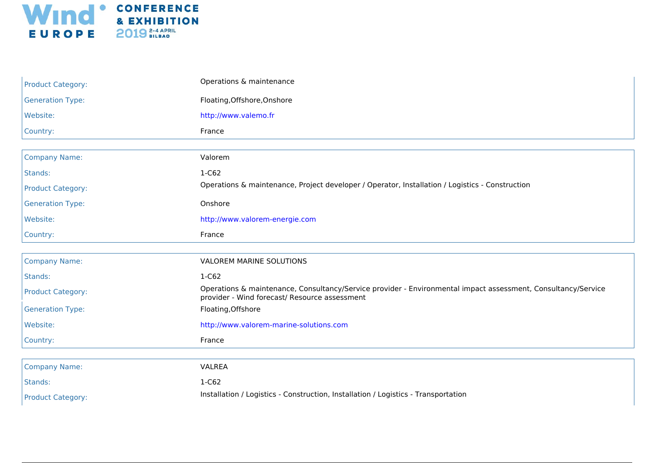

| <b>Product Category:</b> | Operations & maintenance                                                                                                                                       |
|--------------------------|----------------------------------------------------------------------------------------------------------------------------------------------------------------|
| <b>Generation Type:</b>  | Floating, Offshore, Onshore                                                                                                                                    |
| Website:                 | http://www.valemo.fr                                                                                                                                           |
| Country:                 | France                                                                                                                                                         |
|                          |                                                                                                                                                                |
| <b>Company Name:</b>     | Valorem                                                                                                                                                        |
| Stands:                  | 1-C62                                                                                                                                                          |
| <b>Product Category:</b> | Operations & maintenance, Project developer / Operator, Installation / Logistics - Construction                                                                |
| <b>Generation Type:</b>  | Onshore                                                                                                                                                        |
| Website:                 | http://www.valorem-energie.com                                                                                                                                 |
| Country:                 | France                                                                                                                                                         |
|                          |                                                                                                                                                                |
| <b>Company Name:</b>     | VALOREM MARINE SOLUTIONS                                                                                                                                       |
| Stands:                  | 1-C62                                                                                                                                                          |
| <b>Product Category:</b> | Operations & maintenance, Consultancy/Service provider - Environmental impact assessment, Consultancy/Service<br>provider - Wind forecast/ Resource assessment |
| <b>Generation Type:</b>  | Floating, Offshore                                                                                                                                             |
| Website:                 | http://www.valorem-marine-solutions.com                                                                                                                        |
| Country:                 | France                                                                                                                                                         |
|                          |                                                                                                                                                                |
| <b>Company Name:</b>     | VALREA                                                                                                                                                         |
| Stands:                  | 1-C62                                                                                                                                                          |
| <b>Product Category:</b> | Installation / Logistics - Construction, Installation / Logistics - Transportation                                                                             |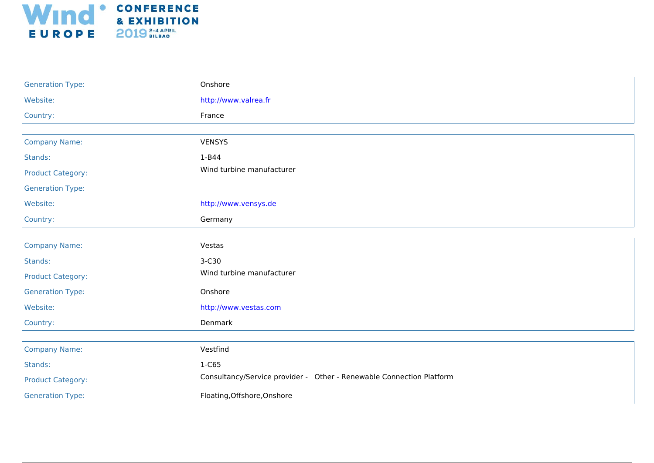

| <b>Generation Type:</b>  | Onshore                                                              |
|--------------------------|----------------------------------------------------------------------|
| Website:                 | http://www.valrea.fr                                                 |
| Country:                 | France                                                               |
|                          |                                                                      |
| <b>Company Name:</b>     | <b>VENSYS</b>                                                        |
| Stands:                  | 1-B44                                                                |
| <b>Product Category:</b> | Wind turbine manufacturer                                            |
| <b>Generation Type:</b>  |                                                                      |
| Website:                 | http://www.vensys.de                                                 |
| Country:                 | Germany                                                              |
|                          |                                                                      |
| <b>Company Name:</b>     | Vestas                                                               |
| Stands:                  | 3-C30                                                                |
| <b>Product Category:</b> | Wind turbine manufacturer                                            |
| <b>Generation Type:</b>  | Onshore                                                              |
| Website:                 | http://www.vestas.com                                                |
| Country:                 | Denmark                                                              |
|                          |                                                                      |
| <b>Company Name:</b>     | Vestfind                                                             |
| Stands:                  | 1-C65                                                                |
| <b>Product Category:</b> | Consultancy/Service provider - Other - Renewable Connection Platform |
| <b>Generation Type:</b>  | Floating, Offshore, Onshore                                          |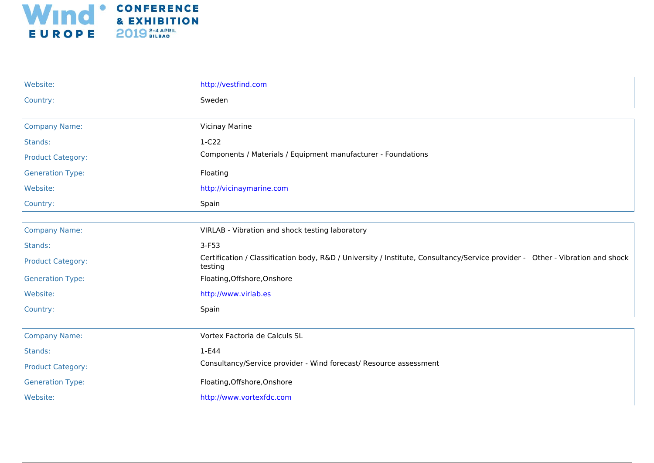

| Website:                 | http://vestfind.com                                                                                                                      |
|--------------------------|------------------------------------------------------------------------------------------------------------------------------------------|
| Country:                 | Sweden                                                                                                                                   |
|                          |                                                                                                                                          |
| <b>Company Name:</b>     | <b>Vicinay Marine</b>                                                                                                                    |
| Stands:                  | $1-C22$                                                                                                                                  |
| <b>Product Category:</b> | Components / Materials / Equipment manufacturer - Foundations                                                                            |
| <b>Generation Type:</b>  | Floating                                                                                                                                 |
| Website:                 | http://vicinaymarine.com                                                                                                                 |
| Country:                 | Spain                                                                                                                                    |
|                          |                                                                                                                                          |
| <b>Company Name:</b>     | VIRLAB - Vibration and shock testing laboratory                                                                                          |
| Stands:                  | $3-F53$                                                                                                                                  |
| <b>Product Category:</b> | Certification / Classification body, R&D / University / Institute, Consultancy/Service provider - Other - Vibration and shock<br>testing |
| <b>Generation Type:</b>  | Floating, Offshore, Onshore                                                                                                              |
| Website:                 | http://www.virlab.es                                                                                                                     |
| Country:                 | Spain                                                                                                                                    |
|                          |                                                                                                                                          |
| <b>Company Name:</b>     | Vortex Factoria de Calculs SL                                                                                                            |
| Stands:                  | 1-E44                                                                                                                                    |
| <b>Product Category:</b> | Consultancy/Service provider - Wind forecast/ Resource assessment                                                                        |
| <b>Generation Type:</b>  | Floating, Offshore, Onshore                                                                                                              |
| Website:                 | http://www.vortexfdc.com                                                                                                                 |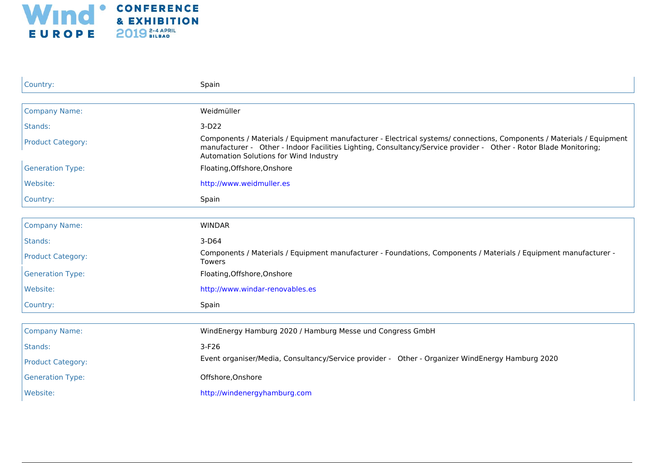

| Country:                 | Spain                                                                                                                                                                                                                                                                                |
|--------------------------|--------------------------------------------------------------------------------------------------------------------------------------------------------------------------------------------------------------------------------------------------------------------------------------|
|                          |                                                                                                                                                                                                                                                                                      |
| <b>Company Name:</b>     | Weidmüller                                                                                                                                                                                                                                                                           |
| Stands:                  | $3-D22$                                                                                                                                                                                                                                                                              |
| <b>Product Category:</b> | Components / Materials / Equipment manufacturer - Electrical systems/ connections, Components / Materials / Equipment<br>manufacturer - Other - Indoor Facilities Lighting, Consultancy/Service provider - Other - Rotor Blade Monitoring;<br>Automation Solutions for Wind Industry |
| <b>Generation Type:</b>  | Floating, Offshore, Onshore                                                                                                                                                                                                                                                          |
| Website:                 | http://www.weidmuller.es                                                                                                                                                                                                                                                             |
| Country:                 | Spain                                                                                                                                                                                                                                                                                |
|                          |                                                                                                                                                                                                                                                                                      |
| <b>Company Name:</b>     | <b>WINDAR</b>                                                                                                                                                                                                                                                                        |
| Stands:                  | $3-D64$                                                                                                                                                                                                                                                                              |
| <b>Product Category:</b> | Components / Materials / Equipment manufacturer - Foundations, Components / Materials / Equipment manufacturer -<br><b>Towers</b>                                                                                                                                                    |
| <b>Generation Type:</b>  | Floating, Offshore, Onshore                                                                                                                                                                                                                                                          |
| Website:                 | http://www.windar-renovables.es                                                                                                                                                                                                                                                      |
| Country:                 | Spain                                                                                                                                                                                                                                                                                |
|                          |                                                                                                                                                                                                                                                                                      |
| <b>Company Name:</b>     | WindEnergy Hamburg 2020 / Hamburg Messe und Congress GmbH                                                                                                                                                                                                                            |
| Stands:                  | $3-F26$                                                                                                                                                                                                                                                                              |
| <b>Product Category:</b> | Event organiser/Media, Consultancy/Service provider - Other - Organizer WindEnergy Hamburg 2020                                                                                                                                                                                      |
| <b>Generation Type:</b>  | Offshore, Onshore                                                                                                                                                                                                                                                                    |
| Website:                 | http://windenergyhamburg.com                                                                                                                                                                                                                                                         |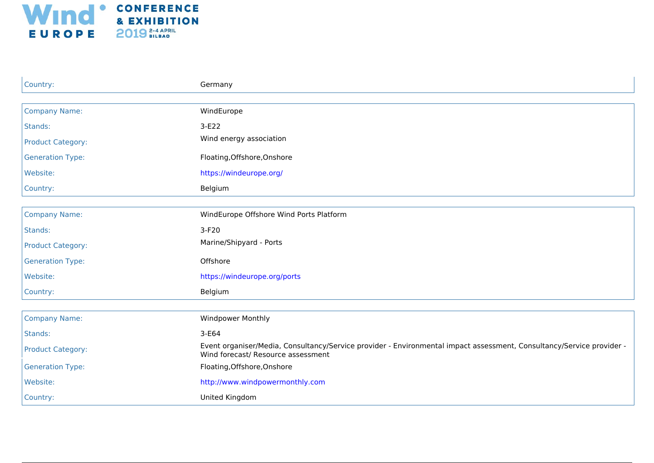

| Country:                 | Germany                                                                                                                                                     |
|--------------------------|-------------------------------------------------------------------------------------------------------------------------------------------------------------|
|                          |                                                                                                                                                             |
| <b>Company Name:</b>     | WindEurope                                                                                                                                                  |
| Stands:                  | 3-E22                                                                                                                                                       |
| <b>Product Category:</b> | Wind energy association                                                                                                                                     |
| <b>Generation Type:</b>  | Floating, Offshore, Onshore                                                                                                                                 |
| Website:                 | https://windeurope.org/                                                                                                                                     |
| Country:                 | Belgium                                                                                                                                                     |
|                          |                                                                                                                                                             |
| <b>Company Name:</b>     | WindEurope Offshore Wind Ports Platform                                                                                                                     |
| Stands:                  | $3-F20$                                                                                                                                                     |
| <b>Product Category:</b> | Marine/Shipyard - Ports                                                                                                                                     |
| <b>Generation Type:</b>  | Offshore                                                                                                                                                    |
| Website:                 | https://windeurope.org/ports                                                                                                                                |
| Country:                 | Belgium                                                                                                                                                     |
|                          |                                                                                                                                                             |
| <b>Company Name:</b>     | Windpower Monthly                                                                                                                                           |
| Stands:                  | 3-E64                                                                                                                                                       |
| <b>Product Category:</b> | Event organiser/Media, Consultancy/Service provider - Environmental impact assessment, Consultancy/Service provider -<br>Wind forecast/ Resource assessment |
| <b>Generation Type:</b>  | Floating, Offshore, Onshore                                                                                                                                 |
| Website:                 | http://www.windpowermonthly.com                                                                                                                             |
| Country:                 | United Kingdom                                                                                                                                              |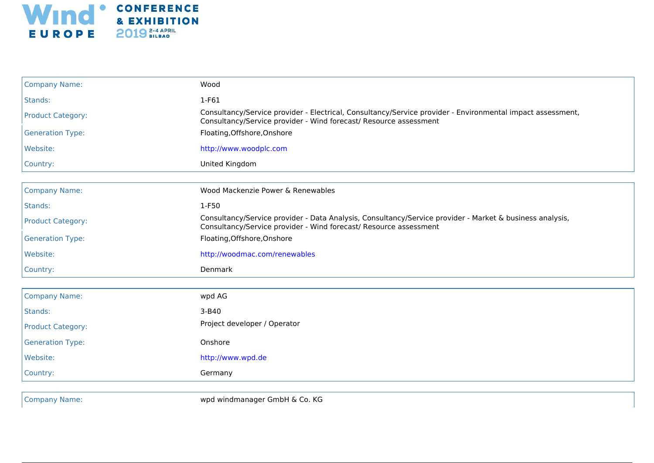

| <b>Company Name:</b>     | Wood                                                                                                                                                                            |
|--------------------------|---------------------------------------------------------------------------------------------------------------------------------------------------------------------------------|
| Stands:                  | $1-F61$                                                                                                                                                                         |
| <b>Product Category:</b> | Consultancy/Service provider - Electrical, Consultancy/Service provider - Environmental impact assessment,<br>Consultancy/Service provider - Wind forecast/ Resource assessment |
| <b>Generation Type:</b>  | Floating, Offshore, Onshore                                                                                                                                                     |
| Website:                 | http://www.woodplc.com                                                                                                                                                          |
| Country:                 | United Kingdom                                                                                                                                                                  |
|                          |                                                                                                                                                                                 |
| <b>Company Name:</b>     | Wood Mackenzie Power & Renewables                                                                                                                                               |
| Stands:                  | 1-F50                                                                                                                                                                           |
| <b>Product Category:</b> | Consultancy/Service provider - Data Analysis, Consultancy/Service provider - Market & business analysis,<br>Consultancy/Service provider - Wind forecast/ Resource assessment   |
| <b>Generation Type:</b>  | Floating, Offshore, Onshore                                                                                                                                                     |
| Website:                 | http://woodmac.com/renewables                                                                                                                                                   |
| Country:                 | Denmark                                                                                                                                                                         |
|                          |                                                                                                                                                                                 |
| <b>Company Name:</b>     | wpd AG                                                                                                                                                                          |
| Stands:                  | $3 - B40$                                                                                                                                                                       |
| <b>Product Category:</b> | Project developer / Operator                                                                                                                                                    |
| <b>Generation Type:</b>  | Onshore                                                                                                                                                                         |
| Website:                 | http://www.wpd.de                                                                                                                                                               |
| Country:                 | Germany                                                                                                                                                                         |

Company Name: wpd windmanager GmbH & Co. KG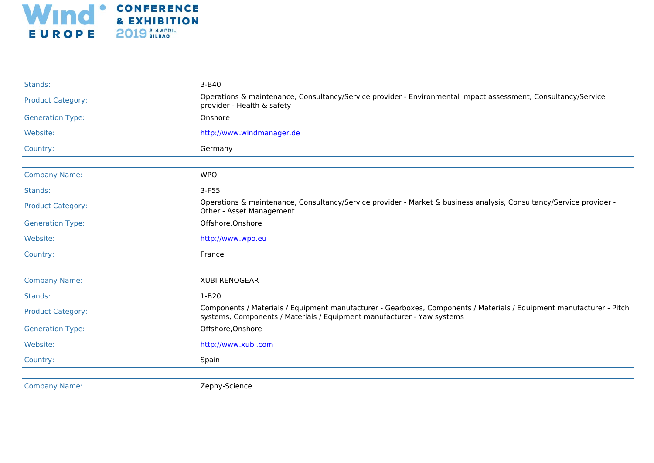

| Stands:                  | $3 - B40$                                                                                                                                                                                      |
|--------------------------|------------------------------------------------------------------------------------------------------------------------------------------------------------------------------------------------|
| <b>Product Category:</b> | Operations & maintenance, Consultancy/Service provider - Environmental impact assessment, Consultancy/Service<br>provider - Health & safety                                                    |
| <b>Generation Type:</b>  | Onshore                                                                                                                                                                                        |
| Website:                 | http://www.windmanager.de                                                                                                                                                                      |
| Country:                 | Germany                                                                                                                                                                                        |
|                          |                                                                                                                                                                                                |
| <b>Company Name:</b>     | <b>WPO</b>                                                                                                                                                                                     |
| Stands:                  | $3-F55$                                                                                                                                                                                        |
| <b>Product Category:</b> | Operations & maintenance, Consultancy/Service provider - Market & business analysis, Consultancy/Service provider -<br>Other - Asset Management                                                |
| <b>Generation Type:</b>  | Offshore, Onshore                                                                                                                                                                              |
| Website:                 | http://www.wpo.eu                                                                                                                                                                              |
| Country:                 | France                                                                                                                                                                                         |
|                          |                                                                                                                                                                                                |
| <b>Company Name:</b>     | <b>XUBI RENOGEAR</b>                                                                                                                                                                           |
| Stands:                  | $1-B20$                                                                                                                                                                                        |
| <b>Product Category:</b> | Components / Materials / Equipment manufacturer - Gearboxes, Components / Materials / Equipment manufacturer - Pitch<br>systems, Components / Materials / Equipment manufacturer - Yaw systems |
| <b>Generation Type:</b>  | Offshore, Onshore                                                                                                                                                                              |
| Website:                 | http://www.xubi.com                                                                                                                                                                            |
| Country:                 | Spain                                                                                                                                                                                          |
|                          |                                                                                                                                                                                                |

Company Name: Zephy-Science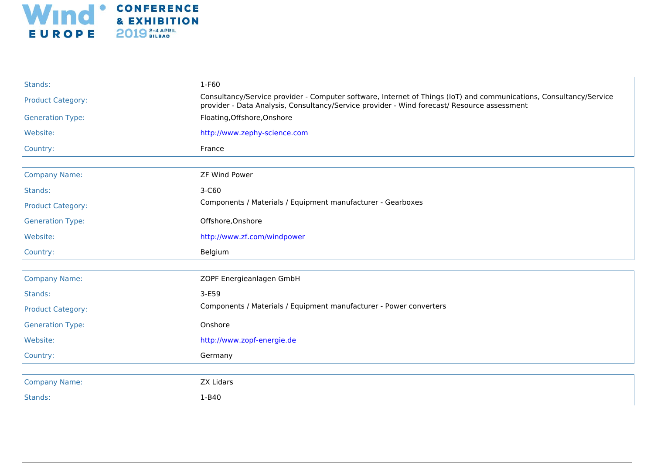

| Stands:                  | 1-F60                                                                                                                                                                                                             |
|--------------------------|-------------------------------------------------------------------------------------------------------------------------------------------------------------------------------------------------------------------|
| <b>Product Category:</b> | Consultancy/Service provider - Computer software, Internet of Things (IoT) and communications, Consultancy/Service<br>provider - Data Analysis, Consultancy/Service provider - Wind forecast/ Resource assessment |
| <b>Generation Type:</b>  | Floating, Offshore, Onshore                                                                                                                                                                                       |
| Website:                 | http://www.zephy-science.com                                                                                                                                                                                      |
| Country:                 | France                                                                                                                                                                                                            |
|                          |                                                                                                                                                                                                                   |
| <b>Company Name:</b>     | <b>ZF Wind Power</b>                                                                                                                                                                                              |
| Stands:                  | 3-C60                                                                                                                                                                                                             |
| <b>Product Category:</b> | Components / Materials / Equipment manufacturer - Gearboxes                                                                                                                                                       |
| <b>Generation Type:</b>  | Offshore, Onshore                                                                                                                                                                                                 |
| Website:                 | http://www.zf.com/windpower                                                                                                                                                                                       |
| Country:                 | Belgium                                                                                                                                                                                                           |
|                          |                                                                                                                                                                                                                   |
| <b>Company Name:</b>     | ZOPF Energieanlagen GmbH                                                                                                                                                                                          |
| Stands:                  | 3-E59                                                                                                                                                                                                             |
| <b>Product Category:</b> | Components / Materials / Equipment manufacturer - Power converters                                                                                                                                                |
| <b>Generation Type:</b>  | Onshore                                                                                                                                                                                                           |
| Website:                 | http://www.zopf-energie.de                                                                                                                                                                                        |
| Country:                 | Germany                                                                                                                                                                                                           |
|                          |                                                                                                                                                                                                                   |
| <b>Company Name:</b>     | <b>ZX Lidars</b>                                                                                                                                                                                                  |
| Stands:                  | 1-B40                                                                                                                                                                                                             |